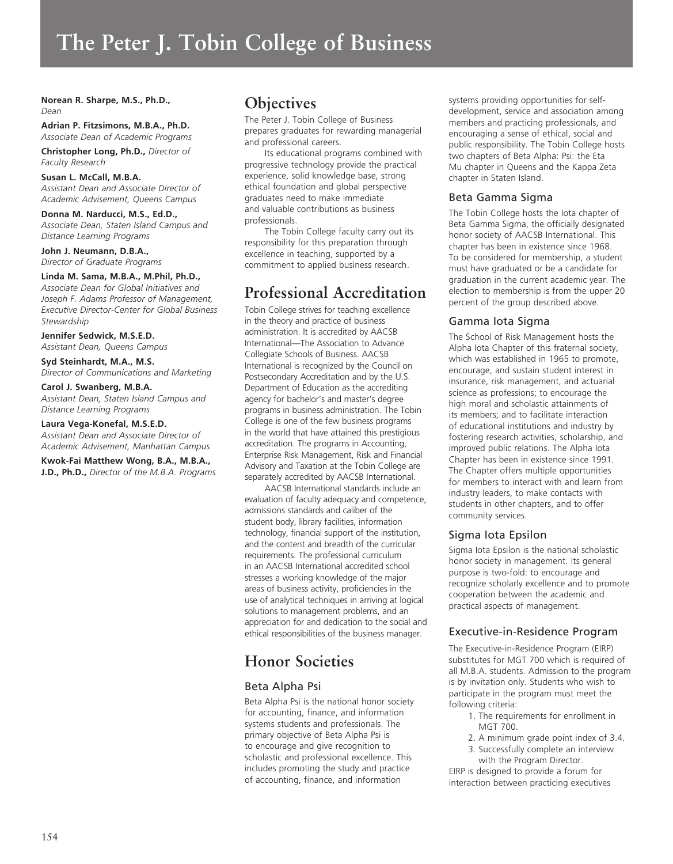# **The Peter J. Tobin College of Business**

# **Norean R. Sharpe, M.S., Ph.D.,** *Dean*

**Adrian P. Fitzsimons, M.B.A., Ph.D.** *Associate Dean of Academic Programs* 

**Christopher Long, Ph.D.,** *Director of Faculty Research* 

# **Susan L. McCall, M.B.A.**

*Assistant Dean and Associate Director of Academic Advisement, Queens Campus* 

# **Donna M. Narducci, M.S., Ed.D.,**

*Associate Dean, Staten Island Campus and Distance Learning Programs*

**John J. Neumann, D.B.A.,** *Director of Graduate Programs*

# **Linda M. Sama, M.B.A., M.Phil, Ph.D.,**

*Associate Dean for Global Initiatives and Joseph F. Adams Professor of Management, Executive Director-Center for Global Business Stewardship* 

**Jennifer Sedwick, M.S.E.D.** *Assistant Dean, Queens Campus*

**Syd Steinhardt, M.A., M.S.** *Director of Communications and Marketing*

# **Carol J. Swanberg, M.B.A.**

*Assistant Dean, Staten Island Campus and Distance Learning Programs*

# **Laura Vega-Konefal, M.S.E.D.**

*Assistant Dean and Associate Director of Academic Advisement, Manhattan Campus*

**Kwok-Fai Matthew Wong, B.A., M.B.A., J.D., Ph.D.,** *Director of the M.B.A. Programs*

# **Objectives**

The Peter J. Tobin College of Business prepares graduates for rewarding managerial and professional careers.

Its educational programs combined with progressive technology provide the practical experience, solid knowledge base, strong ethical foundation and global perspective graduates need to make immediate and valuable contributions as business professionals.

The Tobin College faculty carry out its responsibility for this preparation through excellence in teaching, supported by a commitment to applied business research.

# **Professional Accreditation**

Tobin College strives for teaching excellence in the theory and practice of business administration. It is accredited by AACSB International—The Association to Advance Collegiate Schools of Business. AACSB International is recognized by the Council on Postsecondary Accreditation and by the U.S. Department of Education as the accrediting agency for bachelor's and master's degree programs in business administration. The Tobin College is one of the few business programs in the world that have attained this prestigious accreditation. The programs in Accounting, Enterprise Risk Management, Risk and Financial Advisory and Taxation at the Tobin College are separately accredited by AACSB International.

AACSB International standards include an evaluation of faculty adequacy and competence, admissions standards and caliber of the student body, library facilities, information technology, financial support of the institution, and the content and breadth of the curricular requirements. The professional curriculum in an AACSB International accredited school stresses a working knowledge of the major areas of business activity, proficiencies in the use of analytical techniques in arriving at logical solutions to management problems, and an appreciation for and dedication to the social and ethical responsibilities of the business manager.

# **Honor Societies**

# Beta Alpha Psi

Beta Alpha Psi is the national honor society for accounting, finance, and information systems students and professionals. The primary objective of Beta Alpha Psi is to encourage and give recognition to scholastic and professional excellence. This includes promoting the study and practice of accounting, finance, and information

systems providing opportunities for selfdevelopment, service and association among members and practicing professionals, and encouraging a sense of ethical, social and public responsibility. The Tobin College hosts two chapters of Beta Alpha: Psi: the Eta Mu chapter in Queens and the Kappa Zeta chapter in Staten Island.

# Beta Gamma Sigma

The Tobin College hosts the Iota chapter of Beta Gamma Sigma, the officially designated honor society of AACSB International. This chapter has been in existence since 1968. To be considered for membership, a student must have graduated or be a candidate for graduation in the current academic year. The election to membership is from the upper 20 percent of the group described above.

# Gamma Iota Sigma

The School of Risk Management hosts the Alpha Iota Chapter of this fraternal society, which was established in 1965 to promote, encourage, and sustain student interest in insurance, risk management, and actuarial science as professions; to encourage the high moral and scholastic attainments of its members; and to facilitate interaction of educational institutions and industry by fostering research activities, scholarship, and improved public relations. The Alpha Iota Chapter has been in existence since 1991. The Chapter offers multiple opportunities for members to interact with and learn from industry leaders, to make contacts with students in other chapters, and to offer community services.

# Sigma Iota Epsilon

Sigma Iota Epsilon is the national scholastic honor society in management. Its general purpose is two-fold: to encourage and recognize scholarly excellence and to promote cooperation between the academic and practical aspects of management.

# Executive-in-Residence Program

The Executive-in-Residence Program (EIRP) substitutes for MGT 700 which is required of all M.B.A. students. Admission to the program is by invitation only. Students who wish to participate in the program must meet the following criteria:

- 1. The requirements for enrollment in MGT 700.
- 2. A minimum grade point index of 3.4.
- 3. Successfully complete an interview with the Program Director.

EIRP is designed to provide a forum for interaction between practicing executives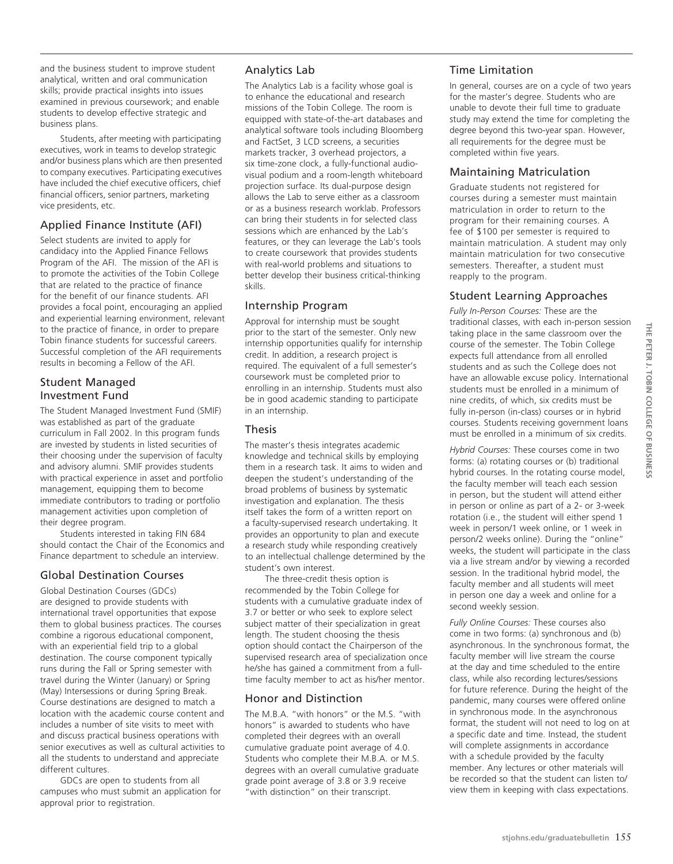and the business student to improve student analytical, written and oral communication skills; provide practical insights into issues examined in previous coursework; and enable students to develop effective strategic and business plans.

Students, after meeting with participating executives, work in teams to develop strategic and/or business plans which are then presented to company executives. Participating executives have included the chief executive officers, chief financial officers, senior partners, marketing vice presidents, etc.

# Applied Finance Institute (AFI)

Select students are invited to apply for candidacy into the Applied Finance Fellows Program of the AFI. The mission of the AFI is to promote the activities of the Tobin College that are related to the practice of finance for the benefit of our finance students. AFI provides a focal point, encouraging an applied and experiential learning environment, relevant to the practice of finance, in order to prepare Tobin finance students for successful careers. Successful completion of the AFI requirements results in becoming a Fellow of the AFI.

# Student Managed Investment Fund

The Student Managed Investment Fund (SMIF) was established as part of the graduate curriculum in Fall 2002. In this program funds are invested by students in listed securities of their choosing under the supervision of faculty and advisory alumni. SMIF provides students with practical experience in asset and portfolio management, equipping them to become immediate contributors to trading or portfolio management activities upon completion of their degree program.

Students interested in taking FIN 684 should contact the Chair of the Economics and Finance department to schedule an interview.

# Global Destination Courses

Global Destination Courses (GDCs) are designed to provide students with international travel opportunities that expose them to global business practices. The courses combine a rigorous educational component, with an experiential field trip to a global destination. The course component typically runs during the Fall or Spring semester with travel during the Winter (January) or Spring (May) Intersessions or during Spring Break. Course destinations are designed to match a location with the academic course content and includes a number of site visits to meet with and discuss practical business operations with senior executives as well as cultural activities to all the students to understand and appreciate different cultures.

GDCs are open to students from all campuses who must submit an application for approval prior to registration.

# Analytics Lab

The Analytics Lab is a facility whose goal is to enhance the educational and research missions of the Tobin College. The room is equipped with state-of-the-art databases and analytical software tools including Bloomberg and FactSet, 3 LCD screens, a securities markets tracker, 3 overhead projectors, a six time-zone clock, a fully-functional audiovisual podium and a room-length whiteboard projection surface. Its dual-purpose design allows the Lab to serve either as a classroom or as a business research worklab. Professors can bring their students in for selected class sessions which are enhanced by the Lab's features, or they can leverage the Lab's tools to create coursework that provides students with real-world problems and situations to better develop their business critical-thinking skills.

# Internship Program

Approval for internship must be sought prior to the start of the semester. Only new internship opportunities qualify for internship credit. In addition, a research project is required. The equivalent of a full semester's coursework must be completed prior to enrolling in an internship. Students must also be in good academic standing to participate in an internship.

# Thesis

The master's thesis integrates academic knowledge and technical skills by employing them in a research task. It aims to widen and deepen the student's understanding of the broad problems of business by systematic investigation and explanation. The thesis itself takes the form of a written report on a faculty-supervised research undertaking. It provides an opportunity to plan and execute a research study while responding creatively to an intellectual challenge determined by the student's own interest.

The three-credit thesis option is recommended by the Tobin College for students with a cumulative graduate index of 3.7 or better or who seek to explore select subject matter of their specialization in great length. The student choosing the thesis option should contact the Chairperson of the supervised research area of specialization once he/she has gained a commitment from a fulltime faculty member to act as his/her mentor.

# Honor and Distinction

The M.B.A. "with honors" or the M.S. "with honors" is awarded to students who have completed their degrees with an overall cumulative graduate point average of 4.0. Students who complete their M.B.A. or M.S. degrees with an overall cumulative graduate grade point average of 3.8 or 3.9 receive "with distinction" on their transcript.

# Time Limitation

In general, courses are on a cycle of two years for the master's degree. Students who are unable to devote their full time to graduate study may extend the time for completing the degree beyond this two-year span. However, all requirements for the degree must be completed within five years.

# Maintaining Matriculation

Graduate students not registered for courses during a semester must maintain matriculation in order to return to the program for their remaining courses. A fee of \$100 per semester is required to maintain matriculation. A student may only maintain matriculation for two consecutive semesters. Thereafter, a student must reapply to the program.

# Student Learning Approaches

*Fully In-Person Courses:* These are the traditional classes, with each in-person session taking place in the same classroom over the course of the semester. The Tobin College expects full attendance from all enrolled students and as such the College does not have an allowable excuse policy. International students must be enrolled in a minimum of nine credits, of which, six credits must be fully in-person (in-class) courses or in hybrid courses. Students receiving government loans must be enrolled in a minimum of six credits.

*Hybrid Courses:* These courses come in two forms: (a) rotating courses or (b) traditional hybrid courses. In the rotating course model, the faculty member will teach each session in person, but the student will attend either in person or online as part of a 2- or 3-week rotation (i.e., the student will either spend 1 week in person/1 week online, or 1 week in person/2 weeks online). During the "online" weeks, the student will participate in the class via a live stream and/or by viewing a recorded session. In the traditional hybrid model, the faculty member and all students will meet in person one day a week and online for a second weekly session.

*Fully Online Courses:* These courses also come in two forms: (a) synchronous and (b) asynchronous. In the synchronous format, the faculty member will live stream the course at the day and time scheduled to the entire class, while also recording lectures/sessions for future reference. During the height of the pandemic, many courses were offered online in synchronous mode. In the asynchronous format, the student will not need to log on at a specific date and time. Instead, the student will complete assignments in accordance with a schedule provided by the faculty member. Any lectures or other materials will be recorded so that the student can listen to/ view them in keeping with class expectations.

THE PETER J. TOBIN COLLEGE OF BUSINESS **The Peter J. Tobin College of Business**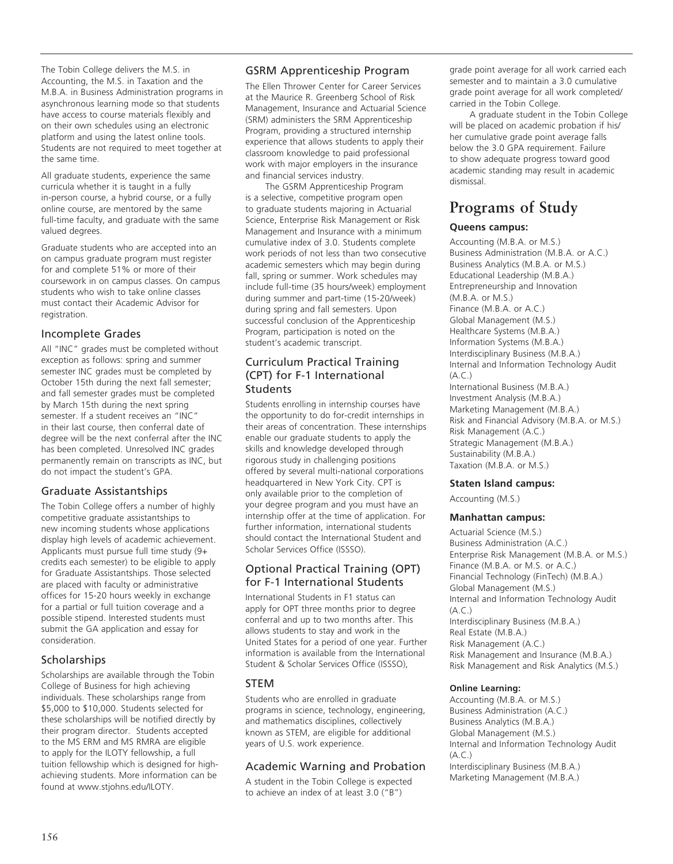The Tobin College delivers the M.S. in Accounting, the M.S. in Taxation and the M.B.A. in Business Administration programs in asynchronous learning mode so that students have access to course materials flexibly and on their own schedules using an electronic platform and using the latest online tools. Students are not required to meet together at the same time.

All graduate students, experience the same curricula whether it is taught in a fully in-person course, a hybrid course, or a fully online course, are mentored by the same full-time faculty, and graduate with the same valued degrees.

Graduate students who are accepted into an on campus graduate program must register for and complete 51% or more of their coursework in on campus classes. On campus students who wish to take online classes must contact their Academic Advisor for registration.

# Incomplete Grades

All "INC" grades must be completed without exception as follows: spring and summer semester INC grades must be completed by October 15th during the next fall semester; and fall semester grades must be completed by March 15th during the next spring semester. If a student receives an "INC" in their last course, then conferral date of degree will be the next conferral after the INC has been completed. Unresolved INC grades permanently remain on transcripts as INC, but do not impact the student's GPA.

# Graduate Assistantships

The Tobin College offers a number of highly competitive graduate assistantships to new incoming students whose applications display high levels of academic achievement. Applicants must pursue full time study (9+ credits each semester) to be eligible to apply for Graduate Assistantships. Those selected are placed with faculty or administrative offices for 15-20 hours weekly in exchange for a partial or full tuition coverage and a possible stipend. Interested students must submit the GA application and essay for consideration.

# **Scholarships**

Scholarships are available through the Tobin College of Business for high achieving individuals. These scholarships range from \$5,000 to \$10,000. Students selected for these scholarships will be notified directly by their program director. Students accepted to the MS ERM and MS RMRA are eligible to apply for the ILOTY fellowship, a full tuition fellowship which is designed for highachieving students. More information can be found at www.stjohns.edu/ILOTY.

# GSRM Apprenticeship Program

The Ellen Thrower Center for Career Services at the Maurice R. Greenberg School of Risk Management, Insurance and Actuarial Science (SRM) administers the SRM Apprenticeship Program, providing a structured internship experience that allows students to apply their classroom knowledge to paid professional work with major employers in the insurance and financial services industry.

The GSRM Apprenticeship Program is a selective, competitive program open to graduate students majoring in Actuarial Science, Enterprise Risk Management or Risk Management and Insurance with a minimum cumulative index of 3.0. Students complete work periods of not less than two consecutive academic semesters which may begin during fall, spring or summer. Work schedules may include full-time (35 hours/week) employment during summer and part-time (15-20/week) during spring and fall semesters. Upon successful conclusion of the Apprenticeship Program, participation is noted on the student's academic transcript.

# Curriculum Practical Training (CPT) for F-1 International **Students**

Students enrolling in internship courses have the opportunity to do for-credit internships in their areas of concentration. These internships enable our graduate students to apply the skills and knowledge developed through rigorous study in challenging positions offered by several multi-national corporations headquartered in New York City. CPT is only available prior to the completion of your degree program and you must have an internship offer at the time of application. For further information, international students should contact the International Student and Scholar Services Office (ISSSO).

# Optional Practical Training (OPT) for F-1 International Students

International Students in F1 status can apply for OPT three months prior to degree conferral and up to two months after. This allows students to stay and work in the United States for a period of one year. Further information is available from the International Student & Scholar Services Office (ISSSO),

# **STEM**

Students who are enrolled in graduate programs in science, technology, engineering, and mathematics disciplines, collectively known as STEM, are eligible for additional years of U.S. work experience.

# Academic Warning and Probation

A student in the Tobin College is expected to achieve an index of at least 3.0 ("B")

grade point average for all work carried each semester and to maintain a 3.0 cumulative grade point average for all work completed/ carried in the Tobin College.

A graduate student in the Tobin College will be placed on academic probation if his/ her cumulative grade point average falls below the 3.0 GPA requirement. Failure to show adequate progress toward good academic standing may result in academic dismissal.

# **Programs of Study**

# **Queens campus:**

Accounting (M.B.A. or M.S.) Business Administration (M.B.A. or A.C.) Business Analytics (M.B.A. or M.S.) Educational Leadership (M.B.A.) Entrepreneurship and Innovation (M.B.A. or M.S.) Finance (M.B.A. or A.C.) Global Management (M.S.) Healthcare Systems (M.B.A.) Information Systems (M.B.A.) Interdisciplinary Business (M.B.A.) Internal and Information Technology Audit (A.C.) International Business (M.B.A.) Investment Analysis (M.B.A.) Marketing Management (M.B.A.) Risk and Financial Advisory (M.B.A. or M.S.) Risk Management (A.C.) Strategic Management (M.B.A.) Sustainability (M.B.A.) Taxation (M.B.A. or M.S.)

# **Staten Island campus:**

Accounting (M.S.)

# **Manhattan campus:**

Actuarial Science (M.S.) Business Administration (A.C.) Enterprise Risk Management (M.B.A. or M.S.) Finance (M.B.A. or M.S. or A.C.) Financial Technology (FinTech) (M.B.A.) Global Management (M.S.) Internal and Information Technology Audit  $(A \cap)$ Interdisciplinary Business (M.B.A.) Real Estate (M.B.A.) Risk Management (A.C.) Risk Management and Insurance (M.B.A.) Risk Management and Risk Analytics (M.S.)

# **Online Learning:**

Accounting (M.B.A. or M.S.) Business Administration (A.C.) Business Analytics (M.B.A.) Global Management (M.S.) Internal and Information Technology Audit  $(A \cap C)$ Interdisciplinary Business (M.B.A.) Marketing Management (M.B.A.)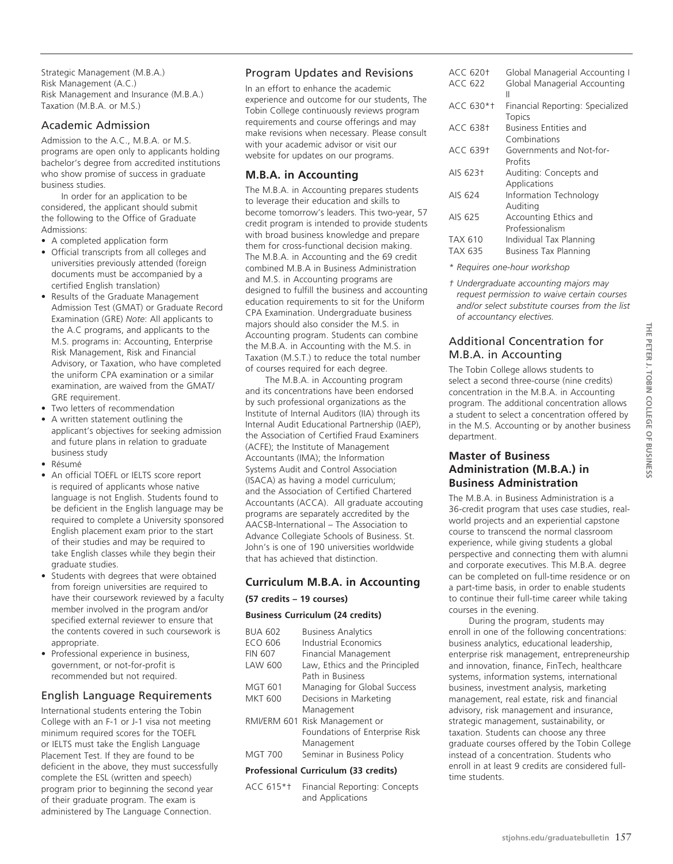Strategic Management (M.B.A.) Risk Management (A.C.) Risk Management and Insurance (M.B.A.) Taxation (M.B.A. or M.S.)

# Academic Admission

Admission to the A.C., M.B.A. or M.S. programs are open only to applicants holding bachelor's degree from accredited institutions who show promise of success in graduate business studies.

In order for an application to be considered, the applicant should submit the following to the Office of Graduate Admissions:

- A completed application form
- Official transcripts from all colleges and universities previously attended (foreign documents must be accompanied by a certified English translation)
- Results of the Graduate Management Admission Test (GMAT) or Graduate Record Examination (GRE) *Note*: All applicants to the A.C programs, and applicants to the M.S. programs in: Accounting, Enterprise Risk Management, Risk and Financial Advisory, or Taxation, who have completed the uniform CPA examination or a similar examination, are waived from the GMAT/ GRE requirement.
- Two letters of recommendation
- A written statement outlining the applicant's objectives for seeking admission and future plans in relation to graduate business study
- Résumé
- An official TOEFL or IELTS score report is required of applicants whose native language is not English. Students found to be deficient in the English language may be required to complete a University sponsored English placement exam prior to the start of their studies and may be required to take English classes while they begin their graduate studies.
- Students with degrees that were obtained from foreign universities are required to have their coursework reviewed by a faculty member involved in the program and/or specified external reviewer to ensure that the contents covered in such coursework is appropriate.
- Professional experience in business, government, or not-for-profit is recommended but not required.

# English Language Requirements

International students entering the Tobin College with an F-1 or J-1 visa not meeting minimum required scores for the TOEFL or IELTS must take the English Language Placement Test. If they are found to be deficient in the above, they must successfully complete the ESL (written and speech) program prior to beginning the second year of their graduate program. The exam is administered by The Language Connection.

# Program Updates and Revisions

In an effort to enhance the academic experience and outcome for our students, The Tobin College continuously reviews program requirements and course offerings and may make revisions when necessary. Please consult with your academic advisor or visit our website for updates on our programs.

# **M.B.A. in Accounting**

The M.B.A. in Accounting prepares students to leverage their education and skills to become tomorrow's leaders. This two-year, 57 credit program is intended to provide students with broad business knowledge and prepare them for cross-functional decision making. The M.B.A. in Accounting and the 69 credit combined M.B.A in Business Administration and M.S. in Accounting programs are designed to fulfill the business and accounting education requirements to sit for the Uniform CPA Examination. Undergraduate business majors should also consider the M.S. in Accounting program. Students can combine the M.B.A. in Accounting with the M.S. in Taxation (M.S.T.) to reduce the total number of courses required for each degree.

The M.B.A. in Accounting program and its concentrations have been endorsed by such professional organizations as the Institute of Internal Auditors (IIA) through its Internal Audit Educational Partnership (IAEP), the Association of Certified Fraud Examiners (ACFE); the Institute of Management Accountants (IMA); the Information Systems Audit and Control Association (ISACA) as having a model curriculum; and the Association of Certified Chartered Accountants (ACCA). All graduate accouting programs are separately accredited by the AACSB-International – The Association to Advance Collegiate Schools of Business. St. John's is one of 190 universities worldwide that has achieved that distinction.

# **Curriculum M.B.A. in Accounting**

# **(57 credits – 19 courses)**

# **Business Curriculum (24 credits)**

| <b>BUA 602</b><br>ECO 606<br><b>FIN 607</b><br>LAW 600 | <b>Business Analytics</b><br>Industrial Economics<br>Financial Management<br>Law, Ethics and the Principled |
|--------------------------------------------------------|-------------------------------------------------------------------------------------------------------------|
|                                                        | Path in Business                                                                                            |
| MGT 601                                                | Managing for Global Success                                                                                 |
| <b>MKT 600</b>                                         | Decisions in Marketing                                                                                      |
|                                                        | Management                                                                                                  |
| RMI/ERM 601                                            | Risk Management or                                                                                          |
|                                                        | Foundations of Enterprise Risk                                                                              |
|                                                        | Management                                                                                                  |
| <b>MGT 700</b>                                         | Seminar in Business Policy                                                                                  |
| <b>Professional Curriculum (33 credits)</b>            |                                                                                                             |

ACC 615\*† Financial Reporting: Concepts and Applications

| ACC 620†        | Global Managerial Accounting I    |
|-----------------|-----------------------------------|
| ACC 622         | Global Managerial Accounting<br>Ш |
| ACC 630*†       | Financial Reporting: Specialized  |
|                 | Topics                            |
| <b>ACC 638†</b> | <b>Business Entities and</b>      |
|                 | Combinations                      |
| ACC 639†        | Governments and Not-for-          |
|                 | Profits                           |
| AIS 623†        | Auditing: Concepts and            |
|                 | Applications                      |
| AIS 624         | Information Technology            |
|                 | Auditing                          |
| AIS 625         | Accounting Ethics and             |
|                 | Professionalism                   |
| TAX 610         | Individual Tax Planning           |
| TAX 635         | Business Tax Planning             |
|                 |                                   |

- *\* Requires one-hour workshop*
- *† Undergraduate accounting majors may request permission to waive certain courses and/or select substitute courses from the list of accountancy electives.*

# Additional Concentration for M.B.A. in Accounting

The Tobin College allows students to select a second three-course (nine credits) concentration in the M.B.A. in Accounting program. The additional concentration allows a student to select a concentration offered by in the M.S. Accounting or by another business department.

# **Master of Business Administration (M.B.A.) in Business Administration**

The M.B.A. in Business Administration is a 36-credit program that uses case studies, realworld projects and an experiential capstone course to transcend the normal classroom experience, while giving students a global perspective and connecting them with alumni and corporate executives. This M.B.A. degree can be completed on full-time residence or on a part-time basis, in order to enable students to continue their full-time career while taking courses in the evening.

During the program, students may enroll in one of the following concentrations: business analytics, educational leadership, enterprise risk management, entrepreneurship and innovation, finance, FinTech, healthcare systems, information systems, international business, investment analysis, marketing management, real estate, risk and financial advisory, risk management and insurance, strategic management, sustainability, or taxation. Students can choose any three graduate courses offered by the Tobin College instead of a concentration. Students who enroll in at least 9 credits are considered fulltime students.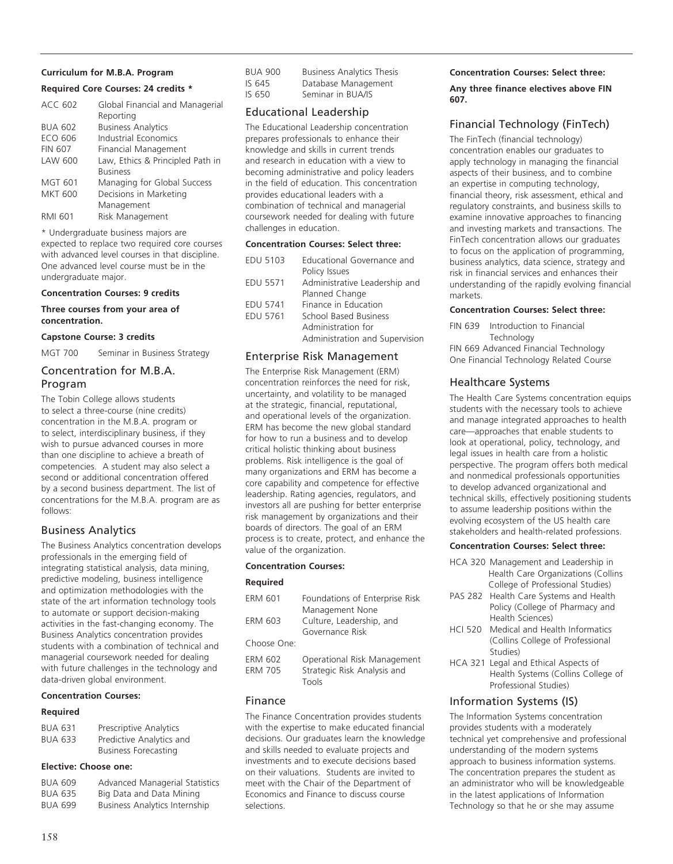# **Curriculum for M.B.A. Program**

# **Required Core Courses: 24 credits \***

| <b>ACC 602</b> | Global Financial and Managerial  |
|----------------|----------------------------------|
|                | Reporting                        |
| <b>BUA 602</b> | <b>Business Analytics</b>        |
| ECO 606        | Industrial Economics             |
| <b>FIN 607</b> | Financial Management             |
| LAW 600        | Law, Ethics & Principled Path in |
|                | <b>Business</b>                  |
| <b>MGT 601</b> | Managing for Global Success      |
| <b>MKT 600</b> | Decisions in Marketing           |
|                | Management                       |
| RMI 601        | Risk Management                  |

\* Undergraduate business majors are expected to replace two required core courses with advanced level courses in that discipline. One advanced level course must be in the undergraduate major.

#### **Concentration Courses: 9 credits**

#### **Three courses from your area of concentration.**

#### **Capstone Course: 3 credits**

MGT 700 Seminar in Business Strategy

# Concentration for M.B.A. Program

The Tobin College allows students to select a three-course (nine credits) concentration in the M.B.A. program or to select, interdisciplinary business, if they wish to pursue advanced courses in more than one discipline to achieve a breath of competencies. A student may also select a second or additional concentration offered by a second business department. The list of concentrations for the M.B.A. program are as follows:

# Business Analytics

The Business Analytics concentration develops professionals in the emerging field of integrating statistical analysis, data mining, predictive modeling, business intelligence and optimization methodologies with the state of the art information technology tools to automate or support decision-making activities in the fast-changing economy. The Business Analytics concentration provides students with a combination of technical and managerial coursework needed for dealing with future challenges in the technology and data-driven global environment.

# **Concentration Courses:**

# **Required**

| <b>BUA 631</b> | Prescriptive Analytics      |
|----------------|-----------------------------|
| <b>BUA 633</b> | Predictive Analytics and    |
|                | <b>Business Forecasting</b> |

# **Elective: Choose one:**

| <b>BUA 609</b> | Advanced Managerial Statistics |
|----------------|--------------------------------|
| <b>BUA 635</b> | Big Data and Data Mining       |
| <b>BUA 699</b> | Business Analytics Internship  |

| BUA 900 | <b>Business Analytics Thesis</b> |
|---------|----------------------------------|
| IS 645  | Database Management              |
| IS 650  | Seminar in BUA/IS                |

# Educational Leadership

The Educational Leadership concentration prepares professionals to enhance their knowledge and skills in current trends and research in education with a view to becoming administrative and policy leaders in the field of education. This concentration provides educational leaders with a combination of technical and managerial coursework needed for dealing with future challenges in education.

# **Concentration Courses: Select three:**

| <b>EDU 5103</b> | Educational Governance and     |
|-----------------|--------------------------------|
|                 | Policy Issues                  |
| <b>EDU 5571</b> | Administrative Leadership and  |
|                 | Planned Change                 |
| <b>EDU 5741</b> | Finance in Education           |
| <b>EDU 5761</b> | School Based Business          |
|                 | Administration for             |
|                 | Administration and Supervision |
|                 |                                |

# Enterprise Risk Management

The Enterprise Risk Management (ERM) concentration reinforces the need for risk, uncertainty, and volatility to be managed at the strategic, financial, reputational, and operational levels of the organization. ERM has become the new global standard for how to run a business and to develop critical holistic thinking about business problems. Risk intelligence is the goal of many organizations and ERM has become a core capability and competence for effective leadership. Rating agencies, regulators, and investors all are pushing for better enterprise risk management by organizations and their boards of directors. The goal of an ERM process is to create, protect, and enhance the value of the organization.

# **Concentration Courses:**

#### **Required**

| ERM 601                   | Foundations of Enterprise Risk                                      |
|---------------------------|---------------------------------------------------------------------|
|                           | Management None                                                     |
| ERM 603                   | Culture, Leadership, and                                            |
|                           | Governance Risk                                                     |
| Choose One:               |                                                                     |
| ERM 602<br><b>ERM 705</b> | Operational Risk Management<br>Strategic Risk Analysis and<br>Tools |

# Finance

The Finance Concentration provides students with the expertise to make educated financial decisions. Our graduates learn the knowledge and skills needed to evaluate projects and investments and to execute decisions based on their valuations. Students are invited to meet with the Chair of the Department of Economics and Finance to discuss course selections.

# **Concentration Courses: Select three:**

**Any three finance electives above FIN 607.**

# Financial Technology (FinTech)

The FinTech (financial technology) concentration enables our graduates to apply technology in managing the financial aspects of their business, and to combine an expertise in computing technology, financial theory, risk assessment, ethical and regulatory constraints, and business skills to examine innovative approaches to financing and investing markets and transactions. The FinTech concentration allows our graduates to focus on the application of programming, business analytics, data science, strategy and risk in financial services and enhances their understanding of the rapidly evolving financial markets.

## **Concentration Courses: Select three:**

FIN 639 Introduction to Financial **Technology** FIN 669 Advanced Financial Technology One Financial Technology Related Course

# Healthcare Systems

The Health Care Systems concentration equips students with the necessary tools to achieve and manage integrated approaches to health care—approaches that enable students to look at operational, policy, technology, and legal issues in health care from a holistic perspective. The program offers both medical and nonmedical professionals opportunities to develop advanced organizational and technical skills, effectively positioning students to assume leadership positions within the evolving ecosystem of the US health care stakeholders and health-related professions.

# **Concentration Courses: Select three:**

- HCA 320 Management and Leadership in Health Care Organizations (Collins College of Professional Studies)
- PAS 282 Health Care Systems and Health Policy (College of Pharmacy and Health Sciences)
- HCI 520 Medical and Health Informatics (Collins College of Professional Studies)
- HCA 321 Legal and Ethical Aspects of Health Systems (Collins College of Professional Studies)

# Information Systems (IS)

The Information Systems concentration provides students with a moderately technical yet comprehensive and professional understanding of the modern systems approach to business information systems. The concentration prepares the student as an administrator who will be knowledgeable in the latest applications of Information Technology so that he or she may assume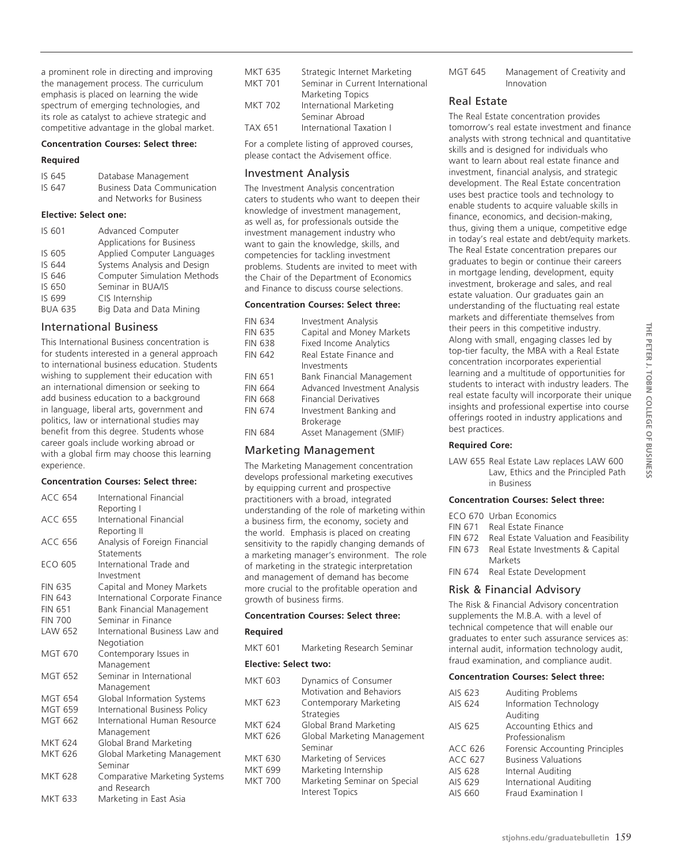a prominent role in directing and improving the management process. The curriculum emphasis is placed on learning the wide spectrum of emerging technologies, and its role as catalyst to achieve strategic and competitive advantage in the global market.

# **Concentration Courses: Select three:**

#### **Required**

| IS 645 | Database Management                |
|--------|------------------------------------|
| IS 647 | <b>Business Data Communication</b> |
|        | and Networks for Business          |

### **Elective: Select one:**

| Advanced Computer                  |
|------------------------------------|
| <b>Applications for Business</b>   |
| Applied Computer Languages         |
| Systems Analysis and Design        |
| <b>Computer Simulation Methods</b> |
| Seminar in BUA/IS                  |
| CIS Internship                     |
| Big Data and Data Mining           |
|                                    |

# International Business

This International Business concentration is for students interested in a general approach to international business education. Students wishing to supplement their education with an international dimension or seeking to add business education to a background in language, liberal arts, government and politics, law or international studies may benefit from this degree. Students whose career goals include working abroad or with a global firm may choose this learning experience.

#### **Concentration Courses: Select three:**

| <b>ACC 654</b> | International Financial          |
|----------------|----------------------------------|
|                | Reporting I                      |
| <b>ACC 655</b> | International Financial          |
|                | Reporting II                     |
| <b>ACC 656</b> | Analysis of Foreign Financial    |
|                | Statements                       |
| ECO 605        | International Trade and          |
|                | Investment                       |
| <b>FIN 635</b> | Capital and Money Markets        |
| <b>FIN 643</b> | International Corporate Finance  |
| <b>FIN 651</b> | <b>Bank Financial Management</b> |
| <b>FIN 700</b> | Seminar in Finance               |
| LAW 652        | International Business Law and   |
|                | Negotiation                      |
| <b>MGT 670</b> | Contemporary Issues in           |
|                | Management                       |
| <b>MGT 652</b> | Seminar in International         |
|                | Management                       |
| <b>MGT 654</b> | Global Information Systems       |
| <b>MGT 659</b> | International Business Policy    |
| <b>MGT 662</b> | International Human Resource     |
|                | Management                       |
| <b>MKT 624</b> | Global Brand Marketing           |
| MKT 626        | Global Marketing Management      |
|                | Seminar                          |
| <b>MKT 628</b> | Comparative Marketing Systems    |
|                | and Research                     |
| <b>MKT 633</b> | Marketing in East Asia           |

| MKT 635        | Strategic Internet Marketing     |
|----------------|----------------------------------|
| <b>MKT 701</b> | Seminar in Current International |
|                | <b>Marketing Topics</b>          |
| MKT 702        | International Marketing          |
|                | Seminar Abroad                   |
| TAX 651        | International Taxation I         |
|                |                                  |

For a complete listing of approved courses, please contact the Advisement office.

## Investment Analysis

The Investment Analysis concentration caters to students who want to deepen their knowledge of investment management, as well as, for professionals outside the investment management industry who want to gain the knowledge, skills, and competencies for tackling investment problems. Students are invited to meet with the Chair of the Department of Economics and Finance to discuss course selections.

#### **Concentration Courses: Select three:**

| <b>FIN 634</b> | <b>Investment Analysis</b>    |
|----------------|-------------------------------|
| <b>FIN 635</b> | Capital and Money Markets     |
| <b>FIN 638</b> | <b>Fixed Income Analytics</b> |
| <b>FIN 642</b> | Real Estate Finance and       |
|                | Investments                   |
| <b>FIN 651</b> | Bank Financial Management     |
| <b>FIN 664</b> | Advanced Investment Analysis  |
| <b>FIN 668</b> | <b>Financial Derivatives</b>  |
| <b>FIN 674</b> | Investment Banking and        |
|                | <b>Brokerage</b>              |
| <b>FIN 684</b> | Asset Management (SMIF)       |
|                |                               |

# Marketing Management

The Marketing Management concentration develops professional marketing executives by equipping current and prospective practitioners with a broad, integrated understanding of the role of marketing within a business firm, the economy, society and the world. Emphasis is placed on creating sensitivity to the rapidly changing demands of a marketing manager's environment. The role of marketing in the strategic interpretation and management of demand has become more crucial to the profitable operation and growth of business firms.

## **Concentration Courses: Select three:**

# **Required**

MKT 601 Marketing Research Seminar

## **Elective: Select two:**

| MKT 603        | Dynamics of Consumer         |
|----------------|------------------------------|
|                | Motivation and Behaviors     |
| MKT 623        | Contemporary Marketing       |
|                | Strategies                   |
| <b>MKT 624</b> | Global Brand Marketing       |
| MKT 626        | Global Marketing Management  |
|                | Seminar                      |
| <b>MKT 630</b> | Marketing of Services        |
| MKT 699        | Marketing Internship         |
| <b>MKT 700</b> | Marketing Seminar on Special |
|                | <b>Interest Topics</b>       |
|                |                              |

MGT 645 Management of Creativity and Innovation

# Real Estate

The Real Estate concentration provides tomorrow's real estate investment and finance analysts with strong technical and quantitative skills and is designed for individuals who want to learn about real estate finance and investment, financial analysis, and strategic development. The Real Estate concentration uses best practice tools and technology to enable students to acquire valuable skills in finance, economics, and decision-making, thus, giving them a unique, competitive edge in today's real estate and debt/equity markets. The Real Estate concentration prepares our graduates to begin or continue their careers in mortgage lending, development, equity investment, brokerage and sales, and real estate valuation. Our graduates gain an understanding of the fluctuating real estate markets and differentiate themselves from their peers in this competitive industry. Along with small, engaging classes led by top-tier faculty, the MBA with a Real Estate concentration incorporates experiential learning and a multitude of opportunities for students to interact with industry leaders. The real estate faculty will incorporate their unique insights and professional expertise into course offerings rooted in industry applications and best practices.

# **Required Core:**

LAW 655 Real Estate Law replaces LAW 600 Law, Ethics and the Principled Path in Business

# **Concentration Courses: Select three:**

| ECO 670 Urban Economics                       |
|-----------------------------------------------|
| FIN 671 Real Estate Finance                   |
| FIN 672 Real Estate Valuation and Feasibility |
| FIN 673 Real Estate Investments & Capital     |
| <b>Markets</b>                                |
| FIN 674 Real Estate Development               |
|                                               |

# Risk & Financial Advisory

The Risk & Financial Advisory concentration supplements the M.B.A. with a level of technical competence that will enable our graduates to enter such assurance services as: internal audit, information technology audit, fraud examination, and compliance audit.

#### **Concentration Courses: Select three:**

| AIS 623 | <b>Auditing Problems</b>       |
|---------|--------------------------------|
| AIS 624 | Information Technology         |
|         | Auditing                       |
| AIS 625 | Accounting Ethics and          |
|         | Professionalism                |
| ACC 626 | Forensic Accounting Principles |
| ACC 627 | <b>Business Valuations</b>     |
| AIS 628 | Internal Auditing              |
| AIS 629 | International Auditing         |
| AIS 660 | Fraud Examination I            |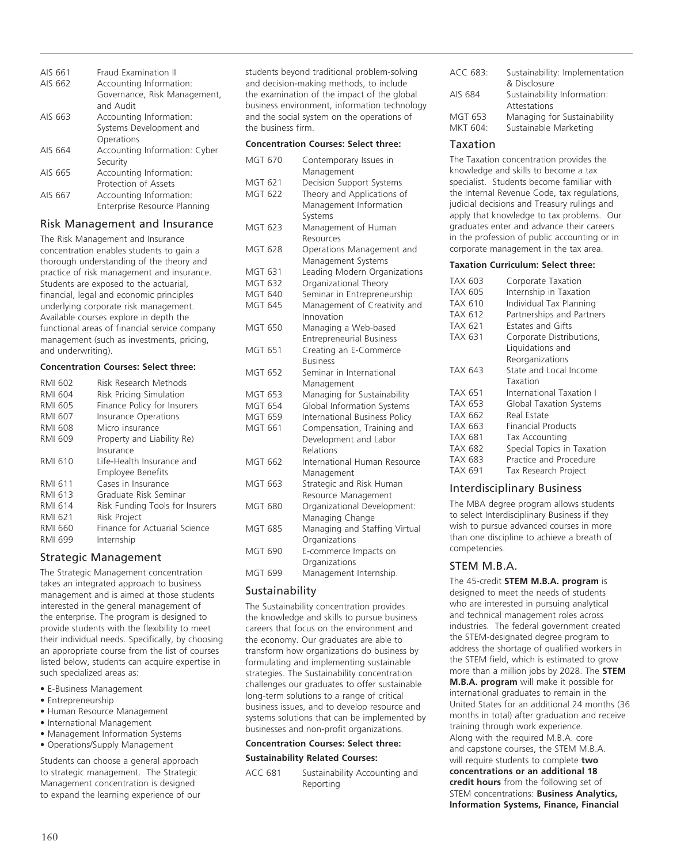| AIS 661 | <b>Fraud Examination II</b>               |
|---------|-------------------------------------------|
| AIS 662 | Accounting Information:                   |
|         | Governance, Risk Management,<br>and Audit |
| AIS 663 | Accounting Information:                   |
|         | Systems Development and                   |
|         | Operations                                |
| AIS 664 | Accounting Information: Cyber             |
|         | Security                                  |
| AIS 665 | Accounting Information:                   |
|         | Protection of Assets                      |
| AIS 667 | Accounting Information:                   |
|         | Enterprise Resource Planning              |

# Risk Management and Insurance

The Risk Management and Insurance concentration enables students to gain a thorough understanding of the theory and practice of risk management and insurance. Students are exposed to the actuarial, financial, legal and economic principles underlying corporate risk management. Available courses explore in depth the functional areas of financial service company management (such as investments, pricing, and underwriting).

# **Concentration Courses: Select three:**

| <b>RMI 602</b> | Risk Research Methods           |
|----------------|---------------------------------|
| RMI 604        | Risk Pricing Simulation         |
| <b>RMI 605</b> | Finance Policy for Insurers     |
| <b>RMI 607</b> | <b>Insurance Operations</b>     |
| <b>RMI 608</b> | Micro insurance                 |
| <b>RMI 609</b> | Property and Liability Re)      |
|                | Insurance                       |
| <b>RMI 610</b> | Life-Health Insurance and       |
|                | <b>Employee Benefits</b>        |
| <b>RMI 611</b> | Cases in Insurance              |
| <b>RMI 613</b> | Graduate Risk Seminar           |
| <b>RMI 614</b> | Risk Funding Tools for Insurers |
| RMI 621        | <b>Risk Project</b>             |
| RMI 660        | Finance for Actuarial Science   |
| <b>RMI 699</b> | Internship                      |

# Strategic Management

The Strategic Management concentration takes an integrated approach to business management and is aimed at those students interested in the general management of the enterprise. The program is designed to provide students with the flexibility to meet their individual needs. Specifically, by choosing an appropriate course from the list of courses listed below, students can acquire expertise in such specialized areas as:

- E-Business Management
- Entrepreneurship
- Human Resource Management
- International Management
- Management Information Systems
- Operations/Supply Management

Students can choose a general approach to strategic management. The Strategic Management concentration is designed to expand the learning experience of our students beyond traditional problem-solving and decision-making methods, to include the examination of the impact of the global business environment, information technology and the social system on the operations of the business firm.

# **Concentration Courses: Select three:**

| <b>MGT 670</b> | Contemporary Issues in<br>Management |
|----------------|--------------------------------------|
| MGT 621        | Decision Support Systems             |
| <b>MGT 622</b> | Theory and Applications of           |
|                | Management Information               |
| <b>MGT 623</b> | Systems<br>Management of Human       |
|                | Resources                            |
| <b>MGT 628</b> | Operations Management and            |
|                | Management Systems                   |
| <b>MGT 631</b> | Leading Modern Organizations         |
| <b>MGT 632</b> | Organizational Theory                |
| <b>MGT 640</b> | Seminar in Entrepreneurship          |
| <b>MGT 645</b> | Management of Creativity and         |
|                | Innovation                           |
| <b>MGT 650</b> | Managing a Web-based                 |
|                | <b>Entrepreneurial Business</b>      |
| <b>MGT 651</b> | Creating an E-Commerce               |
|                | <b>Business</b>                      |
| <b>MGT 652</b> | Seminar in International             |
|                | Management                           |
| MGT 653        | Managing for Sustainability          |
| <b>MGT 654</b> | Global Information Systems           |
| <b>MGT 659</b> | International Business Policy        |
| MGT 661        | Compensation, Training and           |
|                | Development and Labor                |
|                | Relations                            |
| MGT 662        | International Human Resource         |
|                | Management                           |
| MGT 663        | Strategic and Risk Human             |
|                | Resource Management                  |
| <b>MGT 680</b> | Organizational Development:          |
|                | Managing Change                      |
| MGT 685        | Managing and Staffing Virtual        |
|                | Organizations                        |
| MGT 690        | E-commerce Impacts on                |
|                | Organizations                        |
| <b>MGT 699</b> | Management Internship.               |
|                |                                      |

# Sustainability

The Sustainability concentration provides the knowledge and skills to pursue business careers that focus on the environment and the economy. Our graduates are able to transform how organizations do business by formulating and implementing sustainable strategies. The Sustainability concentration challenges our graduates to offer sustainable long-term solutions to a range of critical business issues, and to develop resource and systems solutions that can be implemented by businesses and non-profit organizations.

#### **Concentration Courses: Select three:**

#### **Sustainability Related Courses:**

ACC 681 Sustainability Accounting and Reporting

| ACC 683: | Sustainability: Implementation<br>& Disclosure |
|----------|------------------------------------------------|
| AIS 684  | Sustainability Information:                    |
| MGT 653  | Attestations<br>Managing for Sustainability    |
| MKT 604: | Sustainable Marketing                          |

# Taxation

The Taxation concentration provides the knowledge and skills to become a tax specialist. Students become familiar with the Internal Revenue Code, tax regulations, judicial decisions and Treasury rulings and apply that knowledge to tax problems. Our graduates enter and advance their careers in the profession of public accounting or in corporate management in the tax area.

#### **Taxation Curriculum: Select three:**

| TAX 603<br>TAX 605 | Corporate Taxation<br>Internship in Taxation |
|--------------------|----------------------------------------------|
| TAX 610            | Individual Tax Planning                      |
| TAX 612            | Partnerships and Partners                    |
| TAX 621            | Estates and Gifts                            |
| TAX 631            | Corporate Distributions,                     |
|                    | Liquidations and                             |
|                    | Reorganizations                              |
| TAX 643            | State and Local Income                       |
|                    | Taxation                                     |
| TAX 651            | International Taxation I                     |
| TAX 653            | Global Taxation Systems                      |
| TAX 662            | Real Estate                                  |
| TAX 663            | <b>Financial Products</b>                    |
| TAX 681            | <b>Tax Accounting</b>                        |
| TAX 682            | Special Topics in Taxation                   |
| TAX 683            | Practice and Procedure                       |
| TAX 691            | Tax Research Project                         |

# Interdisciplinary Business

The MBA degree program allows students to select Interdisciplinary Business if they wish to pursue advanced courses in more than one discipline to achieve a breath of competencies.

# STEM M.B.A.

The 45-credit **STEM M.B.A. program** is designed to meet the needs of students who are interested in pursuing analytical and technical management roles across industries. The federal government created the STEM-designated degree program to address the shortage of qualified workers in the STEM field, which is estimated to grow more than a million jobs by 2028. The **STEM M.B.A. program** will make it possible for international graduates to remain in the United States for an additional 24 months (36 months in total) after graduation and receive training through work experience. Along with the required M.B.A. core and capstone courses, the STEM M.B.A. will require students to complete **two concentrations or an additional 18 credit hours** from the following set of STEM concentrations: **Business Analytics, Information Systems, Finance, Financial**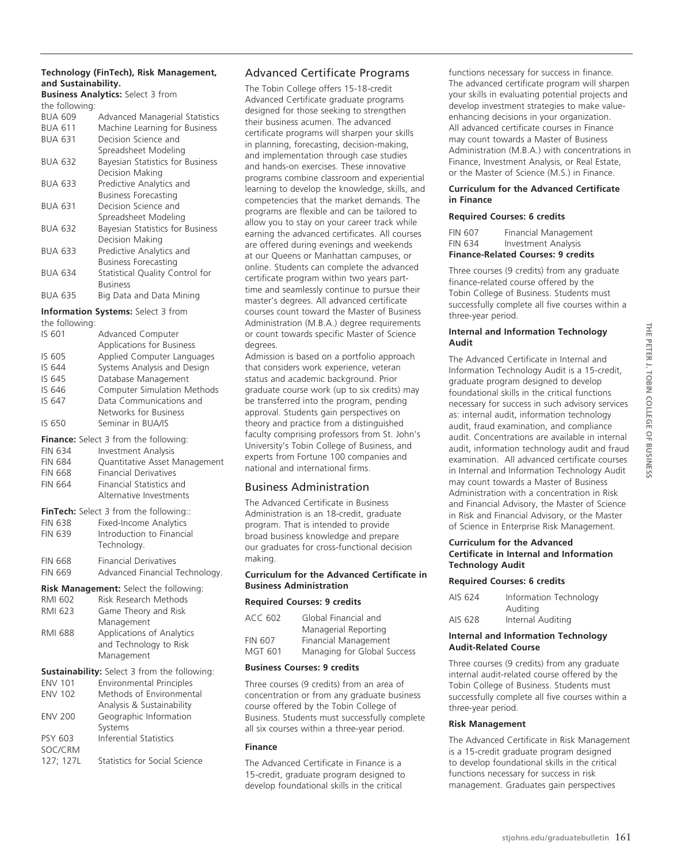# **Technology (FinTech), Risk Management, and Sustainability.**

**Business Analytics:** Select 3 from the following:

| u icholiovving. |                                         |
|-----------------|-----------------------------------------|
| <b>BUA 609</b>  | <b>Advanced Managerial Statistics</b>   |
| <b>BUA 611</b>  | Machine Learning for Business           |
| <b>BUA 631</b>  | Decision Science and                    |
|                 | Spreadsheet Modeling                    |
| <b>BUA 632</b>  | Bayesian Statistics for Business        |
|                 | Decision Making                         |
| BUA 633         | Predictive Analytics and                |
|                 | <b>Business Forecasting</b>             |
| <b>BUA 631</b>  | Decision Science and                    |
|                 | Spreadsheet Modeling                    |
| <b>BUA 632</b>  | <b>Bayesian Statistics for Business</b> |
|                 | Decision Making                         |
| <b>BUA 633</b>  | Predictive Analytics and                |
|                 | <b>Business Forecasting</b>             |
| BUA 634         | Statistical Quality Control for         |
|                 | <b>Business</b>                         |
| <b>BUA 635</b>  | Big Data and Data Mining                |

# **Information Systems:** Select 3 from

the following:

| Advanced Computer                                                      |
|------------------------------------------------------------------------|
| Applications for Business                                              |
| Applied Computer Languages                                             |
| Systems Analysis and Design                                            |
| Database Management                                                    |
| <b>Computer Simulation Methods</b>                                     |
| Data Communications and                                                |
| Networks for Business                                                  |
| Seminar in BUA/IS                                                      |
| <b>Finance:</b> Select 3 from the following:                           |
| <b>Investment Analysis</b>                                             |
| Quantitative Asset Management                                          |
| <b>Financial Derivatives</b>                                           |
| <b>Financial Statistics and</b>                                        |
| Alternative Investments                                                |
| <b>FinTech:</b> Select 3 from the following::                          |
| <b>Fixed-Income Analytics</b>                                          |
| Introduction to Financial                                              |
| Technology.                                                            |
| <b>Financial Derivatives</b>                                           |
| Advanced Financial Technology.                                         |
|                                                                        |
| <b>Risk Management:</b> Select the following:<br>Risk Research Methods |
| Game Theory and Risk                                                   |
| Management                                                             |
| <b>Applications of Analytics</b>                                       |
| and Technology to Risk                                                 |
| Management                                                             |
| Sustainability: Select 3 from the following:                           |
| <b>Environmental Principles</b>                                        |
| Methods of Environmental                                               |
| Analysis & Sustainability                                              |
| Geographic Information                                                 |
| Systems                                                                |
|                                                                        |

PSY 603 Inferential Statistics

127; 127L Statistics for Social Science

SOC/CRM

# Advanced Certificate Programs

The Tobin College offers 15-18-credit Advanced Certificate graduate programs designed for those seeking to strengthen their business acumen. The advanced certificate programs will sharpen your skills in planning, forecasting, decision-making, and implementation through case studies and hands-on exercises. These innovative programs combine classroom and experiential learning to develop the knowledge, skills, and competencies that the market demands. The programs are flexible and can be tailored to allow you to stay on your career track while earning the advanced certificates. All courses are offered during evenings and weekends at our Queens or Manhattan campuses, or online. Students can complete the advanced certificate program within two years parttime and seamlessly continue to pursue their master's degrees. All advanced certificate courses count toward the Master of Business Administration (M.B.A.) degree requirements or count towards specific Master of Science degrees.

Admission is based on a portfolio approach that considers work experience, veteran status and academic background. Prior graduate course work (up to six credits) may be transferred into the program, pending approval. Students gain perspectives on theory and practice from a distinguished faculty comprising professors from St. John's University's Tobin College of Business, and experts from Fortune 100 companies and national and international firms.

# Business Administration

The Advanced Certificate in Business Administration is an 18-credit, graduate program. That is intended to provide broad business knowledge and prepare our graduates for cross-functional decision making.

# **Curriculum for the Advanced Certificate in Business Administration**

#### **Required Courses: 9 credits**

| ACC 602        | Global Financial and        |
|----------------|-----------------------------|
|                | Managerial Reporting        |
| <b>FIN 607</b> | Financial Management        |
| <b>MGT 601</b> | Managing for Global Success |

## **Business Courses: 9 credits**

Three courses (9 credits) from an area of concentration or from any graduate business course offered by the Tobin College of Business. Students must successfully complete all six courses within a three-year period.

### **Finance**

The Advanced Certificate in Finance is a 15-credit, graduate program designed to develop foundational skills in the critical

functions necessary for success in finance. The advanced certificate program will sharpen your skills in evaluating potential projects and develop investment strategies to make valueenhancing decisions in your organization. All advanced certificate courses in Finance may count towards a Master of Business Administration (M.B.A.) with concentrations in Finance, Investment Analysis, or Real Estate, or the Master of Science (M.S.) in Finance.

# **Curriculum for the Advanced Certificate in Finance**

# **Required Courses: 6 credits**

| <b>Finance-Related Courses: 9 credits</b> |                            |
|-------------------------------------------|----------------------------|
| <b>FIN 634</b>                            | <b>Investment Analysis</b> |
| FIN 607                                   | Financial Management       |

Three courses (9 credits) from any graduate finance-related course offered by the Tobin College of Business. Students must successfully complete all five courses within a three-year period.

## **Internal and Information Technology Audit**

The Advanced Certificate in Internal and Information Technology Audit is a 15-credit, graduate program designed to develop foundational skills in the critical functions necessary for success in such advisory services as: internal audit, information technology audit, fraud examination, and compliance audit. Concentrations are available in internal audit, information technology audit and fraud examination. All advanced certificate courses in Internal and Information Technology Audit may count towards a Master of Business Administration with a concentration in Risk and Financial Advisory, the Master of Science in Risk and Financial Advisory, or the Master of Science in Enterprise Risk Management.

## **Curriculum for the Advanced Certificate in Internal and Information Technology Audit**

# **Required Courses: 6 credits**

| AIS 624 | Information Technology |
|---------|------------------------|
|         | Auditing               |
| AIS 628 | Internal Auditing      |

# **Internal and Information Technology Audit-Related Course**

Three courses (9 credits) from any graduate internal audit-related course offered by the Tobin College of Business. Students must successfully complete all five courses within a three-year period.

# **Risk Management**

The Advanced Certificate in Risk Management is a 15-credit graduate program designed to develop foundational skills in the critical functions necessary for success in risk management. Graduates gain perspectives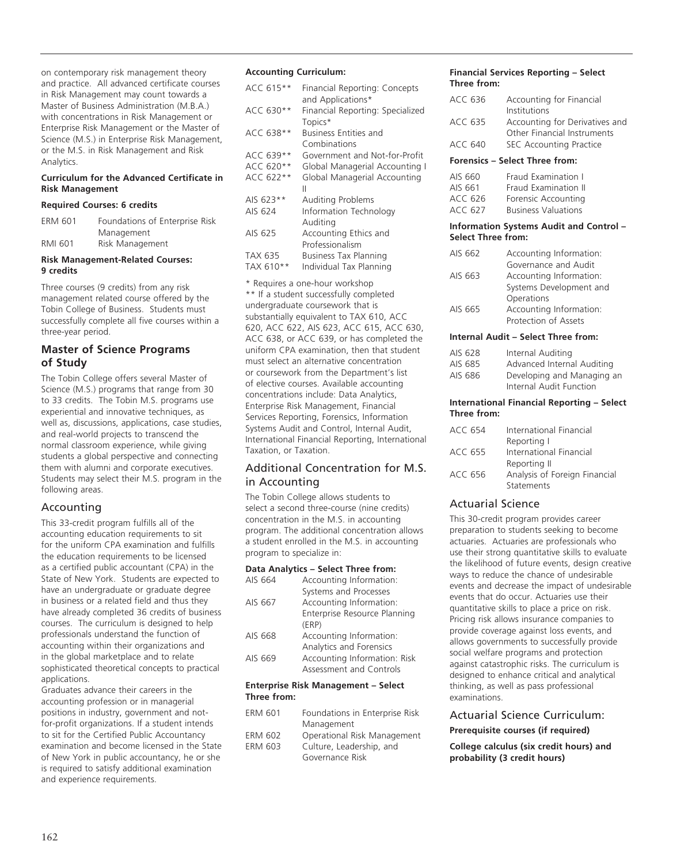on contemporary risk management theory and practice. All advanced certificate courses in Risk Management may count towards a Master of Business Administration (M.B.A.) with concentrations in Risk Management or Enterprise Risk Management or the Master of Science (M.S.) in Enterprise Risk Management, or the M.S. in Risk Management and Risk Analytics.

#### **Curriculum for the Advanced Certificate in Risk Management**

# **Required Courses: 6 credits**

| ERM 601 | Foundations of Enterprise Risk |
|---------|--------------------------------|
|         | Management                     |
| RMI 601 | Risk Management                |

#### **Risk Management-Related Courses: 9 credits**

Three courses (9 credits) from any risk management related course offered by the Tobin College of Business. Students must successfully complete all five courses within a three-year period.

# **Master of Science Programs of Study**

The Tobin College offers several Master of Science (M.S.) programs that range from 30 to 33 credits. The Tobin M.S. programs use experiential and innovative techniques, as well as, discussions, applications, case studies, and real-world projects to transcend the normal classroom experience, while giving students a global perspective and connecting them with alumni and corporate executives. Students may select their M.S. program in the following areas.

# Accounting

This 33-credit program fulfills all of the accounting education requirements to sit for the uniform CPA examination and fulfills the education requirements to be licensed as a certified public accountant (CPA) in the State of New York. Students are expected to have an undergraduate or graduate degree in business or a related field and thus they have already completed 36 credits of business courses. The curriculum is designed to help professionals understand the function of accounting within their organizations and in the global marketplace and to relate sophisticated theoretical concepts to practical applications.

Graduates advance their careers in the accounting profession or in managerial positions in industry, government and notfor-profit organizations. If a student intends to sit for the Certified Public Accountancy examination and become licensed in the State of New York in public accountancy, he or she is required to satisfy additional examination and experience requirements.

# **Accounting Curriculum:**

| ACC 615** | Financial Reporting: Concepts<br>and Applications* |
|-----------|----------------------------------------------------|
| ACC 630** | Financial Reporting: Specialized<br>Topics*        |
| ACC 638** | Business Entities and<br>Combinations              |
| ACC 639** | Government and Not-for-Profit                      |
| ACC 620** | Global Managerial Accounting I                     |
| ACC 622** | Global Managerial Accounting<br>Ш                  |
| AIS 623** | Auditing Problems                                  |
| AIS 624   | Information Technology<br>Auditing                 |
| AIS 625   | Accounting Ethics and<br>Professionalism           |
| TAX 635   | <b>Business Tax Planning</b>                       |
| TAX 610** | Individual Tax Planning                            |

\* Requires a one-hour workshop

\*\* If a student successfully completed undergraduate coursework that is substantially equivalent to TAX 610, ACC 620, ACC 622, AIS 623, ACC 615, ACC 630, ACC 638, or ACC 639, or has completed the uniform CPA examination, then that student must select an alternative concentration or coursework from the Department's list of elective courses. Available accounting concentrations include: Data Analytics, Enterprise Risk Management, Financial Services Reporting, Forensics, Information Systems Audit and Control, Internal Audit, International Financial Reporting, International Taxation, or Taxation.

# Additional Concentration for M.S. in Accounting

The Tobin College allows students to select a second three-course (nine credits) concentration in the M.S. in accounting program. The additional concentration allows a student enrolled in the M.S. in accounting program to specialize in:

# **Data Analytics – Select Three from:**

| AIS 664 | Accounting Information:      |
|---------|------------------------------|
|         | Systems and Processes        |
| AIS 667 | Accounting Information:      |
|         | Enterprise Resource Planning |
|         | (ERP)                        |
| AIS 668 | Accounting Information:      |
|         | Analytics and Forensics      |
| AIS 669 | Accounting Information: Risk |
|         | Assessment and Controls      |
|         |                              |

#### **Enterprise Risk Management – Select Three from:**

| <b>ERM 601</b> | Foundations in Enterprise Risk |
|----------------|--------------------------------|
|                | Management                     |
| <b>ERM 602</b> | Operational Risk Management    |
| <b>ERM 603</b> | Culture, Leadership, and       |
|                | Governance Risk                |

## **Financial Services Reporting – Select Three from:**

| Forensics - Select Three from: |                                |
|--------------------------------|--------------------------------|
| ACC 640                        | <b>SEC Accounting Practice</b> |
|                                | Other Financial Instruments    |
| ACC 635                        | Accounting for Derivatives and |
|                                | Institutions                   |
| ACC 636                        | Accounting for Financial       |
|                                |                                |

| AIS 660 | Fraud Examination I        |
|---------|----------------------------|
| AIS 661 | Fraud Examination II       |
| ACC 626 | Forensic Accounting        |
| ACC 627 | <b>Business Valuations</b> |

#### **Information Systems Audit and Control – Select Three from:**

| AIS 662 | Accounting Information: |
|---------|-------------------------|
|         | Governance and Audit    |
| AIS 663 | Accounting Information: |
|         | Systems Development and |
|         | Operations              |
| AIS 665 | Accounting Information: |
|         | Protection of Assets    |

## **Internal Audit – Select Three from:**

| AIS 628 | Internal Auditing          |
|---------|----------------------------|
| AIS 685 | Advanced Internal Auditing |
| AIS 686 | Developing and Managing an |
|         | Internal Audit Function    |

## **International Financial Reporting – Select Three from:**

| ACC 654 | International Financial       |
|---------|-------------------------------|
|         | Reporting I                   |
| ACC 655 | International Financial       |
|         | Reporting II                  |
| ACC 656 | Analysis of Foreign Financial |
|         | Statements                    |

# Actuarial Science

This 30-credit program provides career preparation to students seeking to become actuaries. Actuaries are professionals who use their strong quantitative skills to evaluate the likelihood of future events, design creative ways to reduce the chance of undesirable events and decrease the impact of undesirable events that do occur. Actuaries use their quantitative skills to place a price on risk. Pricing risk allows insurance companies to provide coverage against loss events, and allows governments to successfully provide social welfare programs and protection against catastrophic risks. The curriculum is designed to enhance critical and analytical thinking, as well as pass professional examinations.

# Actuarial Science Curriculum: **Prerequisite courses (if required)**

**College calculus (six credit hours) and probability (3 credit hours)**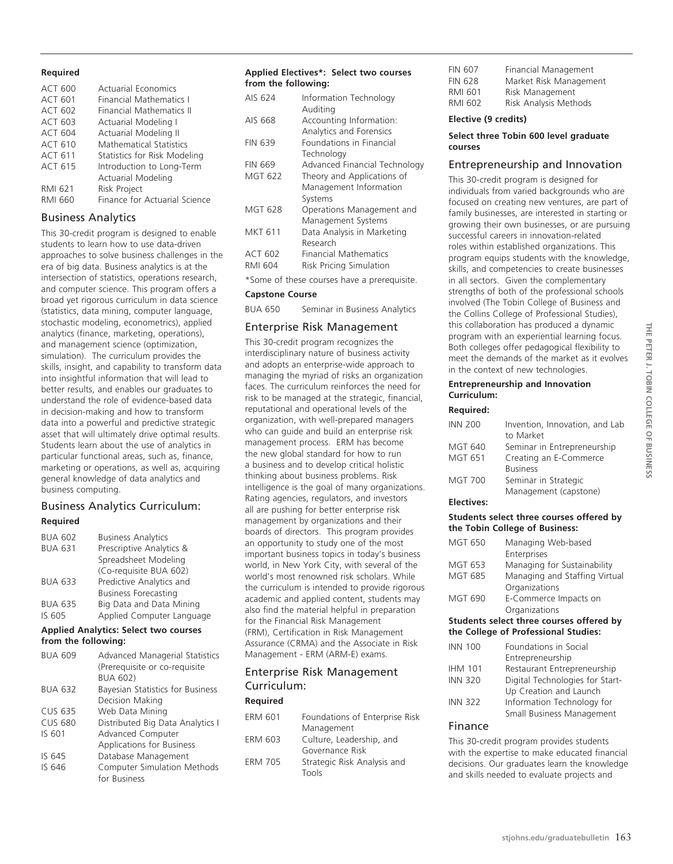# **Required**

| <b>ACT 600</b> | <b>Actuarial Economics</b>     |
|----------------|--------------------------------|
| <b>ACT 601</b> | <b>Financial Mathematics I</b> |
| ACT 602        | Financial Mathematics II       |
| ACT 603        | Actuarial Modeling I           |
| <b>ACT 604</b> | Actuarial Modeling II          |
| <b>ACT 610</b> | <b>Mathematical Statistics</b> |
| <b>ACT 611</b> | Statistics for Risk Modeling   |
| <b>ACT 615</b> | Introduction to Long-Term      |
|                | <b>Actuarial Modeling</b>      |
| RMI 621        | <b>Risk Project</b>            |
| RMI 660        | Finance for Actuarial Science  |
|                |                                |

# Business Analytics

This 30-credit program is designed to enable students to learn how to use data-driven approaches to solve business challenges in the era of big data. Business analytics is at the intersection of statistics, operations research, and computer science. This program offers a broad yet rigorous curriculum in data science (statistics, data mining, computer language, stochastic modeling, econometrics), applied analytics (finance, marketing, operations), and management science (optimization, simulation). The curriculum provides the skills, insight, and capability to transform data into insightful information that will lead to better results, and enables our graduates to understand the role of evidence-based data in decision-making and how to transform data into a powerful and predictive strategic asset that will ultimately drive optimal results. Students learn about the use of analytics in particular functional areas, such as, finance, marketing or operations, as well as, acquiring general knowledge of data analytics and business computing.

# Business Analytics Curriculum: **Required**

| <b>BUA 602</b> | <b>Business Analytics</b>   |
|----------------|-----------------------------|
| <b>BUA 631</b> | Prescriptive Analytics &    |
|                | Spreadsheet Modeling        |
|                | (Co-requisite BUA 602)      |
| <b>BUA 633</b> | Predictive Analytics and    |
|                | <b>Business Forecasting</b> |
| <b>BUA 635</b> | Big Data and Data Mining    |
| IS 605         | Applied Computer Language   |

## **Applied Analytics: Select two courses from the following:**

| <b>BUA 609</b> | <b>Advanced Managerial Statistics</b> |
|----------------|---------------------------------------|
|                | (Prereguisite or co-reguisite         |
|                | <b>BUA 602)</b>                       |
| <b>BUA 632</b> | Bayesian Statistics for Business      |
|                | Decision Making                       |
| <b>CUS 635</b> | Web Data Mining                       |
| <b>CUS 680</b> | Distributed Big Data Analytics I      |
| IS 601         | Advanced Computer                     |
|                | <b>Applications for Business</b>      |
| IS 645         | Database Management                   |
| IS 646         | <b>Computer Simulation Methods</b>    |
|                | for Business                          |

#### **Applied Electives\*: Select two courses from the following:**

| AIS 624        | Information Technology          |
|----------------|---------------------------------|
|                | Auditing                        |
| AIS 668        | Accounting Information:         |
|                | <b>Analytics and Forensics</b>  |
| <b>FIN 639</b> | <b>Foundations in Financial</b> |
|                | Technology                      |
| <b>FIN 669</b> | Advanced Financial Technology   |
| <b>MGT 622</b> | Theory and Applications of      |
|                | Management Information          |
|                | Systems                         |
| <b>MGT 628</b> | Operations Management and       |
|                | Management Systems              |
| MKT 611        | Data Analysis in Marketing      |
|                | Research                        |
| <b>ACT 602</b> | <b>Financial Mathematics</b>    |
| RMI 604        | Risk Pricing Simulation         |
|                |                                 |

\*Some of these courses have a prerequisite.

# **Capstone Course**

BUA 650 Seminar in Business Analytics

# Enterprise Risk Management

This 30-credit program recognizes the interdisciplinary nature of business activity and adopts an enterprise-wide approach to managing the myriad of risks an organization faces. The curriculum reinforces the need for risk to be managed at the strategic, financial, reputational and operational levels of the organization, with well-prepared managers who can guide and build an enterprise risk management process. ERM has become the new global standard for how to run a business and to develop critical holistic thinking about business problems. Risk intelligence is the goal of many organizations. Rating agencies, regulators, and investors all are pushing for better enterprise risk management by organizations and their boards of directors. This program provides an opportunity to study one of the most important business topics in today's business world, in New York City, with several of the world's most renowned risk scholars. While the curriculum is intended to provide rigorous academic and applied content, students may also find the material helpful in preparation for the Financial Risk Management (FRM), Certification in Risk Management Assurance (CRMA) and the Associate in Risk Management - ERM (ARM-E) exams.

# Enterprise Risk Management Curriculum:

# **Required**

| ERM 601 | Foundations of Enterprise Risk |
|---------|--------------------------------|
|         | Management                     |
| ERM 603 | Culture, Leadership, and       |
|         | Governance Risk                |
| ERM 705 | Strategic Risk Analysis and    |
|         | Tools                          |
|         |                                |

| <b>FIN 607</b> | Financial Management   |
|----------------|------------------------|
| <b>FIN 628</b> | Market Risk Management |
| RMI 601        | Risk Management        |
| RMI 602        | Risk Analysis Methods  |
|                |                        |

#### **Elective (9 credits)**

### **Select three Tobin 600 level graduate courses**

# Entrepreneurship and Innovation

This 30-credit program is designed for individuals from varied backgrounds who are focused on creating new ventures, are part of family businesses, are interested in starting or growing their own businesses, or are pursuing successful careers in innovation-related roles within established organizations. This program equips students with the knowledge, skills, and competencies to create businesses in all sectors. Given the complementary strengths of both of the professional schools involved (The Tobin College of Business and the Collins College of Professional Studies), this collaboration has produced a dynamic program with an experiential learning focus. Both colleges offer pedagogical flexibility to meet the demands of the market as it evolves in the context of new technologies.

# **Entrepreneurship and Innovation Curriculum:**

## **Required:**

| <b>INN 200</b> | Invention, Innovation, and Lab<br>to Market |
|----------------|---------------------------------------------|
| <b>MGT 640</b> | Seminar in Entrepreneurship                 |
| MGT 651        | Creating an E-Commerce                      |
|                | <b>Business</b>                             |
| <b>MGT 700</b> | Seminar in Strategic                        |
|                | Management (capstone)                       |

#### **Electives:**

## **Students select three courses offered by the Tobin College of Business:**

| <b>MGT 650</b> | Managing Web-based                        |
|----------------|-------------------------------------------|
|                | Enterprises                               |
| MGT 653        | Managing for Sustainability               |
| MGT 685        | Managing and Staffing Virtual             |
|                | Organizations                             |
| MGT 690        | E-Commerce Impacts on                     |
|                | Organizations                             |
|                | Students select three courses offered by  |
|                | the College of Professional Studies:      |
| <b>INN 100</b> | Foundations in Social<br>Entranrangurchin |
|                |                                           |

|                | Entrepreneurship                |
|----------------|---------------------------------|
| <b>IHM 101</b> | Restaurant Entrepreneurship     |
| <b>INN 320</b> |                                 |
|                | Digital Technologies for Start- |
|                | Up Creation and Launch          |
| <b>INN 322</b> | Information Technology for      |
|                | Small Business Management       |

# Finance

This 30-credit program provides students with the expertise to make educated financial decisions. Our graduates learn the knowledge and skills needed to evaluate projects and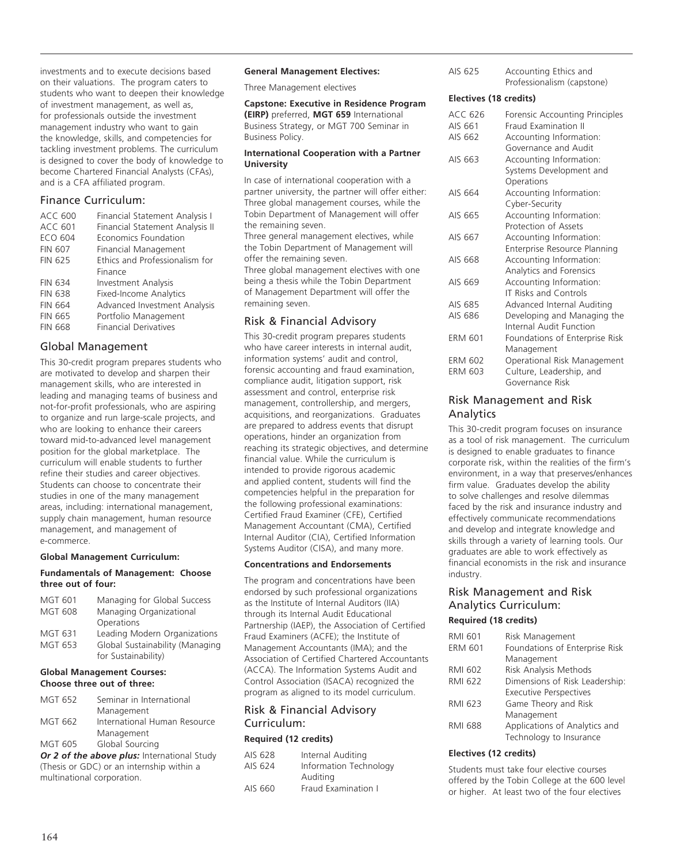investments and to execute decisions based on their valuations. The program caters to students who want to deepen their knowledge of investment management, as well as, for professionals outside the investment management industry who want to gain the knowledge, skills, and competencies for tackling investment problems. The curriculum is designed to cover the body of knowledge to become Chartered Financial Analysts (CFAs), and is a CFA affiliated program.

# Finance Curriculum:

| ACC 600        | Financial Statement Analysis I  |
|----------------|---------------------------------|
| <b>ACC 601</b> | Financial Statement Analysis II |
| <b>ECO 604</b> | Economics Foundation            |
| <b>FIN 607</b> | Financial Management            |
| <b>FIN 625</b> | Ethics and Professionalism for  |
|                | Finance                         |
| <b>FIN 634</b> | <b>Investment Analysis</b>      |
| <b>FIN 638</b> | <b>Fixed-Income Analytics</b>   |
| <b>FIN 664</b> | Advanced Investment Analysis    |
| <b>FIN 665</b> | Portfolio Management            |
| <b>FIN 668</b> | <b>Financial Derivatives</b>    |
|                |                                 |

# Global Management

This 30-credit program prepares students who are motivated to develop and sharpen their management skills, who are interested in leading and managing teams of business and not-for-profit professionals, who are aspiring to organize and run large-scale projects, and who are looking to enhance their careers toward mid-to-advanced level management position for the global marketplace. The curriculum will enable students to further refine their studies and career objectives. Students can choose to concentrate their studies in one of the many management areas, including: international management, supply chain management, human resource management, and management of e-commerce.

# **Global Management Curriculum:**

## **Fundamentals of Management: Choose three out of four:**

| Managing for Global Success                            |
|--------------------------------------------------------|
| Managing Organizational                                |
| Operations                                             |
| Leading Modern Organizations                           |
| Global Sustainability (Managing<br>for Sustainability) |
|                                                        |

#### **Global Management Courses: Choose three out of three:**

| <b>MGT 652</b> | Seminar in International     |
|----------------|------------------------------|
|                | Management                   |
| MGT 662        | International Human Resource |
|                | Management                   |
| <b>MGT 605</b> | Global Sourcing              |
|                |                              |

*Or 2 of the above plus:* International Study (Thesis or GDC) or an internship within a multinational corporation.

### **General Management Electives:**

Three Management electives

| <b>Capstone: Executive in Residence Program</b> |  |
|-------------------------------------------------|--|
| (EIRP) preferred, MGT 659 International         |  |
| Business Strategy, or MGT 700 Seminar in        |  |
| Business Policy.                                |  |

#### **International Cooperation with a Partner University**

In case of international cooperation with a partner university, the partner will offer either: Three global management courses, while the Tobin Department of Management will offer the remaining seven.

Three general management electives, while the Tobin Department of Management will offer the remaining seven.

Three global management electives with one being a thesis while the Tobin Department of Management Department will offer the remaining seven.

# Risk & Financial Advisory

This 30-credit program prepares students who have career interests in internal audit, information systems' audit and control, forensic accounting and fraud examination, compliance audit, litigation support, risk assessment and control, enterprise risk management, controllership, and mergers, acquisitions, and reorganizations. Graduates are prepared to address events that disrupt operations, hinder an organization from reaching its strategic objectives, and determine financial value. While the curriculum is intended to provide rigorous academic and applied content, students will find the competencies helpful in the preparation for the following professional examinations: Certified Fraud Examiner (CFE), Certified Management Accountant (CMA), Certified Internal Auditor (CIA), Certified Information Systems Auditor (CISA), and many more.

# **Concentrations and Endorsements**

The program and concentrations have been endorsed by such professional organizations as the Institute of Internal Auditors (IIA) through its Internal Audit Educational Partnership (IAEP), the Association of Certified Fraud Examiners (ACFE); the Institute of Management Accountants (IMA); and the Association of Certified Chartered Accountants (ACCA). The Information Systems Audit and Control Association (ISACA) recognized the program as aligned to its model curriculum.

# Risk & Financial Advisory Curriculum:

# **Required (12 credits)**

| AIS 628 | Internal Auditing      |
|---------|------------------------|
| AIS 624 | Information Technology |
|         | Auditing               |
| AIS 660 | Fraud Examination I    |
|         |                        |

| AIS 625 | Accounting Ethics and      |
|---------|----------------------------|
|         | Professionalism (capstone) |

### **Electives (18 credits)**

| ACC 626<br>AIS 661 | Forensic Accounting Principles<br><b>Fraud Examination II</b> |
|--------------------|---------------------------------------------------------------|
| AIS 662            | Accounting Information:                                       |
|                    | Governance and Audit                                          |
| AIS 663            | Accounting Information:                                       |
|                    | Systems Development and                                       |
|                    | Operations                                                    |
| AIS 664            | Accounting Information:                                       |
|                    | Cyber-Security                                                |
| AIS 665            | Accounting Information:                                       |
|                    | Protection of Assets                                          |
| AIS 667            | Accounting Information:                                       |
|                    | Enterprise Resource Planning                                  |
| AIS 668            | Accounting Information:                                       |
|                    | Analytics and Forensics                                       |
| AIS 669            | Accounting Information:                                       |
|                    | <b>IT Risks and Controls</b>                                  |
| AIS 685            | Advanced Internal Auditing                                    |
| AIS 686            | Developing and Managing the                                   |
|                    | Internal Audit Function                                       |
| <b>ERM 601</b>     | Foundations of Enterprise Risk                                |
|                    | Management                                                    |
| <b>ERM 602</b>     | Operational Risk Management                                   |
| <b>ERM 603</b>     | Culture, Leadership, and                                      |
|                    | Governance Risk                                               |

# Risk Management and Risk Analytics

This 30-credit program focuses on insurance as a tool of risk management. The curriculum is designed to enable graduates to finance corporate risk, within the realities of the firm's environment, in a way that preserves/enhances firm value. Graduates develop the ability to solve challenges and resolve dilemmas faced by the risk and insurance industry and effectively communicate recommendations and develop and integrate knowledge and skills through a variety of learning tools. Our graduates are able to work effectively as financial economists in the risk and insurance industry.

# Risk Management and Risk Analytics Curriculum:

# **Required (18 credits)**

| RMI 601        | Risk Management                |
|----------------|--------------------------------|
| <b>ERM 601</b> | Foundations of Enterprise Risk |
|                | Management                     |
| RMI 602        | Risk Analysis Methods          |
| RMI 622        | Dimensions of Risk Leadership: |
|                | <b>Executive Perspectives</b>  |
| RMI 623        | Game Theory and Risk           |
|                | Management                     |
| RMI 688        | Applications of Analytics and  |
|                | Technology to Insurance        |

# **Electives (12 credits)**

Students must take four elective courses offered by the Tobin College at the 600 level or higher. At least two of the four electives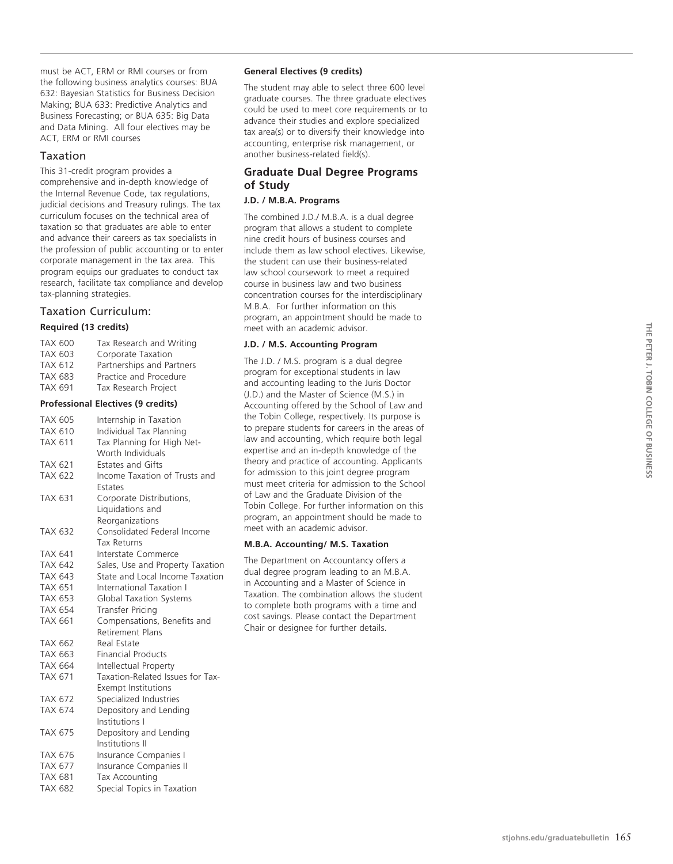must be ACT, ERM or RMI courses or from the following business analytics courses: BUA 632: Bayesian Statistics for Business Decision Making; BUA 633: Predictive Analytics and Business Forecasting; or BUA 635: Big Data and Data Mining. All four electives may be ACT, ERM or RMI courses

# Taxation

This 31-credit program provides a comprehensive and in-depth knowledge of the Internal Revenue Code, tax regulations, judicial decisions and Treasury rulings. The tax curriculum focuses on the technical area of taxation so that graduates are able to enter and advance their careers as tax specialists in the profession of public accounting or to enter corporate management in the tax area. This program equips our graduates to conduct tax research, facilitate tax compliance and develop tax-planning strategies.

# Taxation Curriculum: **Required (13 credits)**

| <b>TAX 600</b> | Tax Research and Writing                  |
|----------------|-------------------------------------------|
| <b>TAX 603</b> | Corporate Taxation                        |
| <b>TAX 612</b> | Partnerships and Partners                 |
| <b>TAX 683</b> | Practice and Procedure                    |
| TAX 691        | Tax Research Project                      |
|                | <b>Professional Electives (9 credits)</b> |
| <b>TAX 605</b> | Internship in Taxation                    |
| <b>TAX 610</b> | Individual Tax Planning                   |
| TAX 611        | Tax Planning for High Net-                |
|                | Worth Individuals                         |
| TAX 621        | Estates and Gifts                         |
| <b>TAX 622</b> | Income Taxation of Trusts and<br>Estates  |
| <b>TAX 631</b> | Corporate Distributions,                  |
|                | Liquidations and                          |
|                | Reorganizations                           |
| <b>TAX 632</b> | Consolidated Federal Income               |
|                | <b>Tax Returns</b>                        |
| TAX 641        | Interstate Commerce                       |
| <b>TAX 642</b> | Sales, Use and Property Taxation          |
| TAX 643        | State and Local Income Taxation           |
| <b>TAX 651</b> | International Taxation I                  |
| <b>TAX 653</b> | <b>Global Taxation Systems</b>            |
| <b>TAX 654</b> | Transfer Pricing                          |
| TAX 661        | Compensations, Benefits and               |
|                | Retirement Plans                          |
| <b>TAX 662</b> | Real Estate                               |
| TAX 663        | <b>Financial Products</b>                 |
| <b>TAX 664</b> | Intellectual Property                     |
| <b>TAX 671</b> | Taxation-Related Issues for Tax-          |
|                | <b>Exempt Institutions</b>                |
| <b>TAX 672</b> | Specialized Industries                    |
| <b>TAX 674</b> | Depository and Lending                    |
|                | Institutions I                            |
| TAX 675        | Depository and Lending                    |
|                | Institutions II                           |
| <b>TAX 676</b> | Insurance Companies I                     |
| <b>TAX 677</b> | Insurance Companies II                    |
| <b>TAX 681</b> | Tax Accounting                            |
| <b>TAX 682</b> | Special Topics in Taxation                |

# **General Electives (9 credits)**

The student may able to select three 600 level graduate courses. The three graduate electives could be used to meet core requirements or to advance their studies and explore specialized tax area(s) or to diversify their knowledge into accounting, enterprise risk management, or another business-related field(s).

# **Graduate Dual Degree Programs of Study**

# **J.D. / M.B.A. Programs**

The combined J.D./ M.B.A. is a dual degree program that allows a student to complete nine credit hours of business courses and include them as law school electives. Likewise, the student can use their business-related law school coursework to meet a required course in business law and two business concentration courses for the interdisciplinary M.B.A. For further information on this program, an appointment should be made to meet with an academic advisor.

# **J.D. / M.S. Accounting Program**

The J.D. / M.S. program is a dual degree program for exceptional students in law and accounting leading to the Juris Doctor (J.D.) and the Master of Science (M.S.) in Accounting offered by the School of Law and the Tobin College, respectively. Its purpose is to prepare students for careers in the areas of law and accounting, which require both legal expertise and an in-depth knowledge of the theory and practice of accounting. Applicants for admission to this joint degree program must meet criteria for admission to the School of Law and the Graduate Division of the Tobin College. For further information on this program, an appointment should be made to meet with an academic advisor.

# **M.B.A. Accounting/ M.S. Taxation**

The Department on Accountancy offers a dual degree program leading to an M.B.A. in Accounting and a Master of Science in Taxation. The combination allows the student to complete both programs with a time and cost savings. Please contact the Department Chair or designee for further details.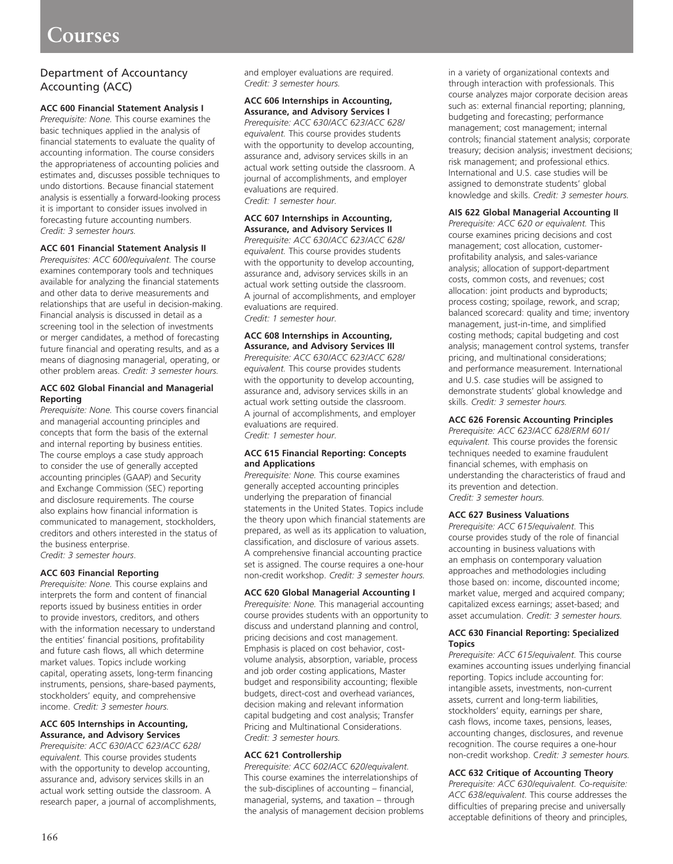# **Courses**

# Department of Accountancy Accounting (ACC)

# **ACC 600 Financial Statement Analysis I**

*Prerequisite: None.* This course examines the basic techniques applied in the analysis of financial statements to evaluate the quality of accounting information. The course considers the appropriateness of accounting policies and estimates and, discusses possible techniques to undo distortions. Because financial statement analysis is essentially a forward-looking process it is important to consider issues involved in forecasting future accounting numbers. *Credit: 3 semester hours.* 

## **ACC 601 Financial Statement Analysis II**

*Prerequisites: ACC 600/equivalent.* The course examines contemporary tools and techniques available for analyzing the financial statements and other data to derive measurements and relationships that are useful in decision-making. Financial analysis is discussed in detail as a screening tool in the selection of investments or merger candidates, a method of forecasting future financial and operating results, and as a means of diagnosing managerial, operating, or other problem areas. *Credit: 3 semester hours.*

## **ACC 602 Global Financial and Managerial Reporting**

*Prerequisite: None.* This course covers financial and managerial accounting principles and concepts that form the basis of the external and internal reporting by business entities. The course employs a case study approach to consider the use of generally accepted accounting principles (GAAP) and Security and Exchange Commission (SEC) reporting and disclosure requirements. The course also explains how financial information is communicated to management, stockholders, creditors and others interested in the status of the business enterprise. *Credit: 3 semester hours*.

# **ACC 603 Financial Reporting**

*Prerequisite: None.* This course explains and interprets the form and content of financial reports issued by business entities in order to provide investors, creditors, and others with the information necessary to understand the entities' financial positions, profitability and future cash flows, all which determine market values. Topics include working capital, operating assets, long-term financing instruments, pensions, share-based payments, stockholders' equity, and comprehensive income. *Credit: 3 semester hours.* 

#### **ACC 605 Internships in Accounting, Assurance, and Advisory Services**

*Prerequisite: ACC 630/ACC 623/ACC 628/ equivalent.* This course provides students with the opportunity to develop accounting, assurance and, advisory services skills in an actual work setting outside the classroom. A research paper, a journal of accomplishments, and employer evaluations are required. *Credit: 3 semester hours.* 

#### **ACC 606 Internships in Accounting, Assurance, and Advisory Services I**

*Prerequisite: ACC 630/ACC 623/ACC 628/ equivalent.* This course provides students with the opportunity to develop accounting, assurance and, advisory services skills in an actual work setting outside the classroom. A journal of accomplishments, and employer evaluations are required. *Credit: 1 semester hour.* 

## **ACC 607 Internships in Accounting, Assurance, and Advisory Services II**

*Prerequisite: ACC 630/ACC 623/ACC 628/ equivalent.* This course provides students with the opportunity to develop accounting, assurance and, advisory services skills in an actual work setting outside the classroom. A journal of accomplishments, and employer evaluations are required. *Credit: 1 semester hour.* 

#### **ACC 608 Internships in Accounting, Assurance, and Advisory Services III**

*Prerequisite: ACC 630/ACC 623/ACC 628/ equivalent.* This course provides students with the opportunity to develop accounting, assurance and, advisory services skills in an actual work setting outside the classroom. A journal of accomplishments, and employer evaluations are required. *Credit: 1 semester hour.* 

## **ACC 615 Financial Reporting: Concepts and Applications**

*Prerequisite: None.* This course examines generally accepted accounting principles underlying the preparation of financial statements in the United States. Topics include the theory upon which financial statements are prepared, as well as its application to valuation, classification, and disclosure of various assets. A comprehensive financial accounting practice set is assigned. The course requires a one-hour non-credit workshop. *Credit: 3 semester hours.*

# **ACC 620 Global Managerial Accounting I**

*Prerequisite: None.* This managerial accounting course provides students with an opportunity to discuss and understand planning and control, pricing decisions and cost management. Emphasis is placed on cost behavior, costvolume analysis, absorption, variable, process and job order costing applications, Master budget and responsibility accounting; flexible budgets, direct-cost and overhead variances, decision making and relevant information capital budgeting and cost analysis; Transfer Pricing and Multinational Considerations. *Credit: 3 semester hours.* 

# **ACC 621 Controllership**

*Prerequisite: ACC 602/ACC 620/equivalent.* This course examines the interrelationships of the sub-disciplines of accounting – financial, managerial, systems, and taxation – through the analysis of management decision problems in a variety of organizational contexts and through interaction with professionals. This course analyzes major corporate decision areas such as: external financial reporting; planning, budgeting and forecasting; performance management; cost management; internal controls; financial statement analysis; corporate treasury; decision analysis; investment decisions; risk management; and professional ethics. International and U.S. case studies will be assigned to demonstrate students' global knowledge and skills. *Credit: 3 semester hours.* 

## **AIS 622 Global Managerial Accounting II**

*Prerequisite: ACC 620 or equivalent.* This course examines pricing decisions and cost management; cost allocation, customerprofitability analysis, and sales-variance analysis; allocation of support-department costs, common costs, and revenues; cost allocation: joint products and byproducts; process costing; spoilage, rework, and scrap; balanced scorecard: quality and time; inventory management, just-in-time, and simplified costing methods; capital budgeting and cost analysis; management control systems, transfer pricing, and multinational considerations; and performance measurement. International and U.S. case studies will be assigned to demonstrate students' global knowledge and skills. *Credit: 3 semester hours.* 

# **ACC 626 Forensic Accounting Principles**

*Prerequisite: ACC 623/ACC 628/ERM 601/ equivalent.* This course provides the forensic techniques needed to examine fraudulent financial schemes, with emphasis on understanding the characteristics of fraud and its prevention and detection. *Credit: 3 semester hours.* 

# **ACC 627 Business Valuations**

*Prerequisite: ACC 615/equivalent.* This course provides study of the role of financial accounting in business valuations with an emphasis on contemporary valuation approaches and methodologies including those based on: income, discounted income; market value, merged and acquired company; capitalized excess earnings; asset-based; and asset accumulation. *Credit: 3 semester hours.* 

#### **ACC 630 Financial Reporting: Specialized Topics**

*Prerequisite: ACC 615/equivalent.* This course examines accounting issues underlying financial reporting. Topics include accounting for: intangible assets, investments, non-current assets, current and long-term liabilities, stockholders' equity, earnings per share, cash flows, income taxes, pensions, leases, accounting changes, disclosures, and revenue recognition. The course requires a one-hour non-credit workshop. C*redit: 3 semester hours.* 

# **ACC 632 Critique of Accounting Theory**

*Prerequisite: ACC 630/equivalent. Co-requisite: ACC 638/equivalent.* This course addresses the difficulties of preparing precise and universally acceptable definitions of theory and principles,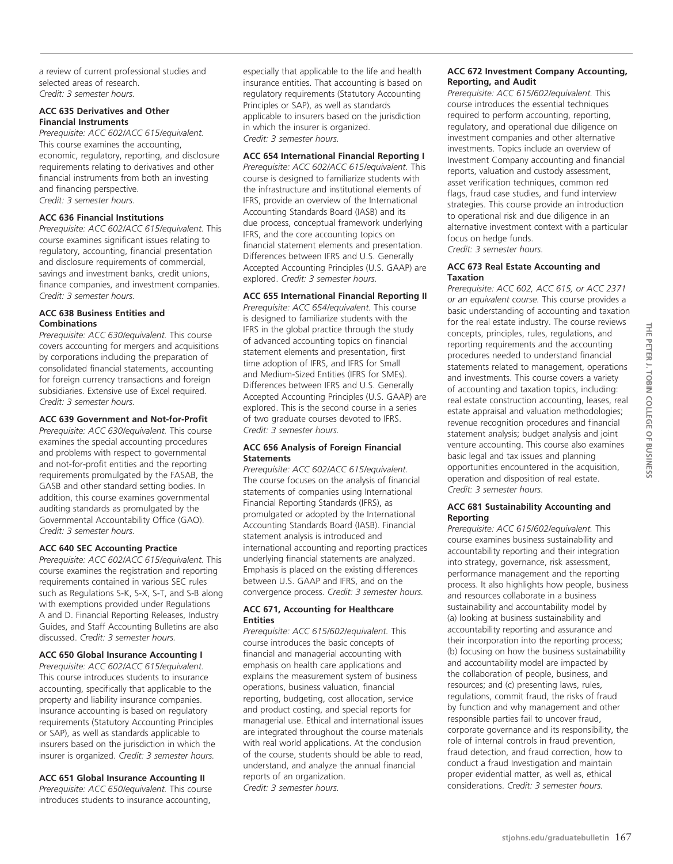a review of current professional studies and selected areas of research. *Credit: 3 semester hours.* 

#### **ACC 635 Derivatives and Other Financial Instruments**

*Prerequisite: ACC 602/ACC 615/equivalent.* This course examines the accounting, economic, regulatory, reporting, and disclosure requirements relating to derivatives and other financial instruments from both an investing and financing perspective. *Credit: 3 semester hours.*

## **ACC 636 Financial Institutions**

*Prerequisite: ACC 602/ACC 615/equivalent.* This course examines significant issues relating to regulatory, accounting, financial presentation and disclosure requirements of commercial, savings and investment banks, credit unions, finance companies, and investment companies. *Credit: 3 semester hours.* 

#### **ACC 638 Business Entities and Combinations**

*Prerequisite: ACC 630/equivalent.* This course covers accounting for mergers and acquisitions by corporations including the preparation of consolidated financial statements, accounting for foreign currency transactions and foreign subsidiaries. Extensive use of Excel required. *Credit: 3 semester hours.* 

# **ACC 639 Government and Not-for-Profit**

*Prerequisite: ACC 630/equivalent.* This course examines the special accounting procedures and problems with respect to governmental and not-for-profit entities and the reporting requirements promulgated by the FASAB, the GASB and other standard setting bodies. In addition, this course examines governmental auditing standards as promulgated by the Governmental Accountability Office (GAO). *Credit: 3 semester hours.* 

# **ACC 640 SEC Accounting Practice**

*Prerequisite: ACC 602/ACC 615/equivalent.* This course examines the registration and reporting requirements contained in various SEC rules such as Regulations S-K, S-X, S-T, and S-B along with exemptions provided under Regulations A and D. Financial Reporting Releases, Industry Guides, and Staff Accounting Bulletins are also discussed. *Credit: 3 semester hours.* 

#### **ACC 650 Global Insurance Accounting I**

*Prerequisite: ACC 602/ACC 615/equivalent.*  This course introduces students to insurance accounting, specifically that applicable to the property and liability insurance companies. Insurance accounting is based on regulatory requirements (Statutory Accounting Principles or SAP), as well as standards applicable to insurers based on the jurisdiction in which the insurer is organized. *Credit: 3 semester hours.*

#### **ACC 651 Global Insurance Accounting II**

*Prerequisite: ACC 650/equivalent.* This course introduces students to insurance accounting,

especially that applicable to the life and health insurance entities. That accounting is based on regulatory requirements (Statutory Accounting Principles or SAP), as well as standards applicable to insurers based on the jurisdiction in which the insurer is organized. *Credit: 3 semester hours.* 

#### **ACC 654 International Financial Reporting I**

*Prerequisite: ACC 602/ACC 615/equivalent.* This course is designed to familiarize students with the infrastructure and institutional elements of IFRS, provide an overview of the International Accounting Standards Board (IASB) and its due process, conceptual framework underlying IFRS, and the core accounting topics on financial statement elements and presentation. Differences between IFRS and U.S. Generally Accepted Accounting Principles (U.S. GAAP) are explored. *Credit: 3 semester hours.* 

### **ACC 655 International Financial Reporting II**

*Prerequisite: ACC 654/equivalent.* This course is designed to familiarize students with the IFRS in the global practice through the study of advanced accounting topics on financial statement elements and presentation, first time adoption of IFRS, and IFRS for Small and Medium-Sized Entities (IFRS for SMEs). Differences between IFRS and U.S. Generally Accepted Accounting Principles (U.S. GAAP) are explored. This is the second course in a series of two graduate courses devoted to IFRS. *Credit: 3 semester hours.* 

## **ACC 656 Analysis of Foreign Financial Statements**

*Prerequisite: ACC 602/ACC 615/equivalent.*  The course focuses on the analysis of financial statements of companies using International Financial Reporting Standards (IFRS), as promulgated or adopted by the International Accounting Standards Board (IASB). Financial statement analysis is introduced and international accounting and reporting practices underlying financial statements are analyzed. Emphasis is placed on the existing differences between U.S. GAAP and IFRS, and on the convergence process. *Credit: 3 semester hours.*

#### **ACC 671, Accounting for Healthcare Entities**

*Prerequisite: ACC 615/602/equivalent.* This course introduces the basic concepts of financial and managerial accounting with emphasis on health care applications and explains the measurement system of business operations, business valuation, financial reporting, budgeting, cost allocation, service and product costing, and special reports for managerial use. Ethical and international issues are integrated throughout the course materials with real world applications. At the conclusion of the course, students should be able to read, understand, and analyze the annual financial reports of an organization. *Credit: 3 semester hours.* 

### **ACC 672 Investment Company Accounting, Reporting, and Audit**

*Prerequisite: ACC 615/602/equivalent.* This course introduces the essential techniques required to perform accounting, reporting, regulatory, and operational due diligence on investment companies and other alternative investments. Topics include an overview of Investment Company accounting and financial reports, valuation and custody assessment, asset verification techniques, common red flags, fraud case studies, and fund interview strategies. This course provide an introduction to operational risk and due diligence in an alternative investment context with a particular focus on hedge funds.

*Credit: 3 semester hours.* 

### **ACC 673 Real Estate Accounting and Taxation**

*Prerequisite: ACC 602, ACC 615, or ACC 2371 or an equivalent course.* This course provides a basic understanding of accounting and taxation for the real estate industry. The course reviews concepts, principles, rules, regulations, and reporting requirements and the accounting procedures needed to understand financial statements related to management, operations and investments. This course covers a variety of accounting and taxation topics, including: real estate construction accounting, leases, real estate appraisal and valuation methodologies; revenue recognition procedures and financial statement analysis; budget analysis and joint venture accounting. This course also examines basic legal and tax issues and planning opportunities encountered in the acquisition, operation and disposition of real estate. *Credit: 3 semester hours.* 

## **ACC 681 Sustainability Accounting and Reporting**

*Prerequisite: ACC 615/602/equivalent.* This course examines business sustainability and accountability reporting and their integration into strategy, governance, risk assessment, performance management and the reporting process. It also highlights how people, business and resources collaborate in a business sustainability and accountability model by (a) looking at business sustainability and accountability reporting and assurance and their incorporation into the reporting process; (b) focusing on how the business sustainability and accountability model are impacted by the collaboration of people, business, and resources; and (c) presenting laws, rules, regulations, commit fraud, the risks of fraud by function and why management and other responsible parties fail to uncover fraud, corporate governance and its responsibility, the role of internal controls in fraud prevention, fraud detection, and fraud correction, how to conduct a fraud Investigation and maintain proper evidential matter, as well as, ethical considerations. *Credit: 3 semester hours.*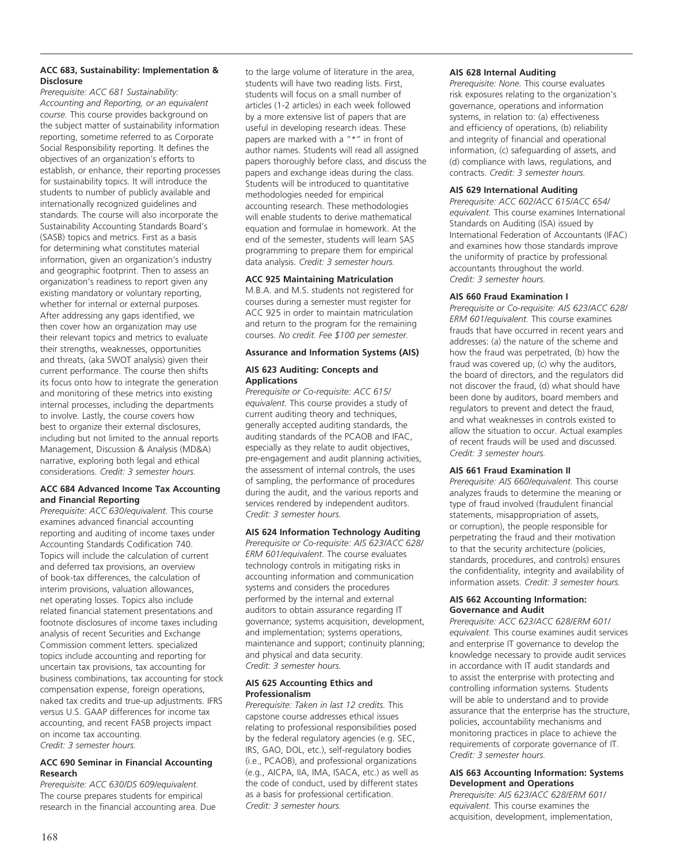# **ACC 683, Sustainability: Implementation & Disclosure**

*Prerequisite: ACC 681 Sustainability: Accounting and Reporting, or an equivalent course.* This course provides background on the subject matter of sustainability information reporting, sometime referred to as Corporate Social Responsibility reporting. It defines the objectives of an organization's efforts to establish, or enhance, their reporting processes for sustainability topics. It will introduce the students to number of publicly available and internationally recognized guidelines and standards. The course will also incorporate the Sustainability Accounting Standards Board's (SASB) topics and metrics. First as a basis for determining what constitutes material information, given an organization's industry and geographic footprint. Then to assess an organization's readiness to report given any existing mandatory or voluntary reporting, whether for internal or external purposes. After addressing any gaps identified, we then cover how an organization may use their relevant topics and metrics to evaluate their strengths, weaknesses, opportunities and threats, (aka SWOT analysis) given their current performance. The course then shifts its focus onto how to integrate the generation and monitoring of these metrics into existing internal processes, including the departments to involve. Lastly, the course covers how best to organize their external disclosures, including but not limited to the annual reports Management, Discussion & Analysis (MD&A) narrative, exploring both legal and ethical considerations. *Credit: 3 semester hours.*

# **ACC 684 Advanced Income Tax Accounting and Financial Reporting**

*Prerequisite: ACC 630/equivalent.* This course examines advanced financial accounting reporting and auditing of income taxes under Accounting Standards Codification 740. Topics will include the calculation of current and deferred tax provisions, an overview of book-tax differences, the calculation of interim provisions, valuation allowances, net operating losses. Topics also include related financial statement presentations and footnote disclosures of income taxes including analysis of recent Securities and Exchange Commission comment letters. specialized topics include accounting and reporting for uncertain tax provisions, tax accounting for business combinations, tax accounting for stock compensation expense, foreign operations, naked tax credits and true-up adjustments. IFRS versus U.S. GAAP differences for income tax accounting, and recent FASB projects impact on income tax accounting. *Credit: 3 semester hours.* 

## **ACC 690 Seminar in Financial Accounting Research**

*Prerequisite: ACC 630/DS 609/equivalent.*  The course prepares students for empirical research in the financial accounting area. Due to the large volume of literature in the area, students will have two reading lists. First, students will focus on a small number of articles (1-2 articles) in each week followed by a more extensive list of papers that are useful in developing research ideas. These papers are marked with a "\*" in front of author names. Students will read all assigned papers thoroughly before class, and discuss the papers and exchange ideas during the class. Students will be introduced to quantitative methodologies needed for empirical accounting research. These methodologies will enable students to derive mathematical equation and formulae in homework. At the end of the semester, students will learn SAS programming to prepare them for empirical data analysis. *Credit: 3 semester hours.*

# **ACC 925 Maintaining Matriculation**

M.B.A. and M.S. students not registered for courses during a semester must register for ACC 925 in order to maintain matriculation and return to the program for the remaining courses. *No credit. Fee \$100 per semester.*

# **Assurance and Information Systems (AIS)**

# **AIS 623 Auditing: Concepts and Applications**

*Prerequisite or Co-requisite: ACC 615/ equivalent.* This course provides a study of current auditing theory and techniques, generally accepted auditing standards, the auditing standards of the PCAOB and IFAC, especially as they relate to audit objectives, pre-engagement and audit planning activities, the assessment of internal controls, the uses of sampling, the performance of procedures during the audit, and the various reports and services rendered by independent auditors. *Credit: 3 semester hours.* 

# **AIS 624 Information Technology Auditing**

*Prerequisite or Co-requisite: AIS 623/ACC 628/ ERM 601/equivalent.* The course evaluates technology controls in mitigating risks in accounting information and communication systems and considers the procedures performed by the internal and external auditors to obtain assurance regarding IT governance; systems acquisition, development, and implementation; systems operations, maintenance and support; continuity planning; and physical and data security. *Credit: 3 semester hours.* 

## **AIS 625 Accounting Ethics and Professionalism**

*Prerequisite: Taken in last 12 credits.* This capstone course addresses ethical issues relating to professional responsibilities posed by the federal regulatory agencies (e.g. SEC, IRS, GAO, DOL, etc.), self-regulatory bodies (i.e., PCAOB), and professional organizations (e.g., AICPA, IIA, IMA, ISACA, etc.) as well as the code of conduct, used by different states as a basis for professional certification. *Credit: 3 semester hours.* 

# **AIS 628 Internal Auditing**

*Prerequisite: None.* This course evaluates risk exposures relating to the organization's governance, operations and information systems, in relation to: (a) effectiveness and efficiency of operations, (b) reliability and integrity of financial and operational information, (c) safeguarding of assets, and (d) compliance with laws, regulations, and contracts. *Credit: 3 semester hours.* 

# **AIS 629 International Auditing**

*Prerequisite: ACC 602/ACC 615/ACC 654/ equivalent.* This course examines International Standards on Auditing (ISA) issued by International Federation of Accountants (IFAC) and examines how those standards improve the uniformity of practice by professional accountants throughout the world. *Credit: 3 semester hours.* 

# **AIS 660 Fraud Examination I**

*Prerequisite or Co-requisite: AIS 623/ACC 628/ ERM 601/equivalent.* This course examines frauds that have occurred in recent years and addresses: (a) the nature of the scheme and how the fraud was perpetrated, (b) how the fraud was covered up, (c) why the auditors, the board of directors, and the regulators did not discover the fraud, (d) what should have been done by auditors, board members and regulators to prevent and detect the fraud, and what weaknesses in controls existed to allow the situation to occur. Actual examples of recent frauds will be used and discussed. *Credit: 3 semester hours.* 

# **AIS 661 Fraud Examination II**

*Prerequisite: AIS 660/equivalent.* This course analyzes frauds to determine the meaning or type of fraud involved (fraudulent financial statements, misappropriation of assets, or corruption), the people responsible for perpetrating the fraud and their motivation to that the security architecture (policies, standards, procedures, and controls) ensures the confidentiality, integrity and availability of information assets. *Credit: 3 semester hours.* 

## **AIS 662 Accounting Information: Governance and Audit**

*Prerequisite: ACC 623/ACC 628/ERM 601/ equivalent.* This course examines audit services and enterprise IT governance to develop the knowledge necessary to provide audit services in accordance with IT audit standards and to assist the enterprise with protecting and controlling information systems. Students will be able to understand and to provide assurance that the enterprise has the structure, policies, accountability mechanisms and monitoring practices in place to achieve the requirements of corporate governance of IT. *Credit: 3 semester hours.* 

# **AIS 663 Accounting Information: Systems Development and Operations**

*Prerequisite: AIS 623/ACC 628/ERM 601/ equivalent.* This course examines the acquisition, development, implementation,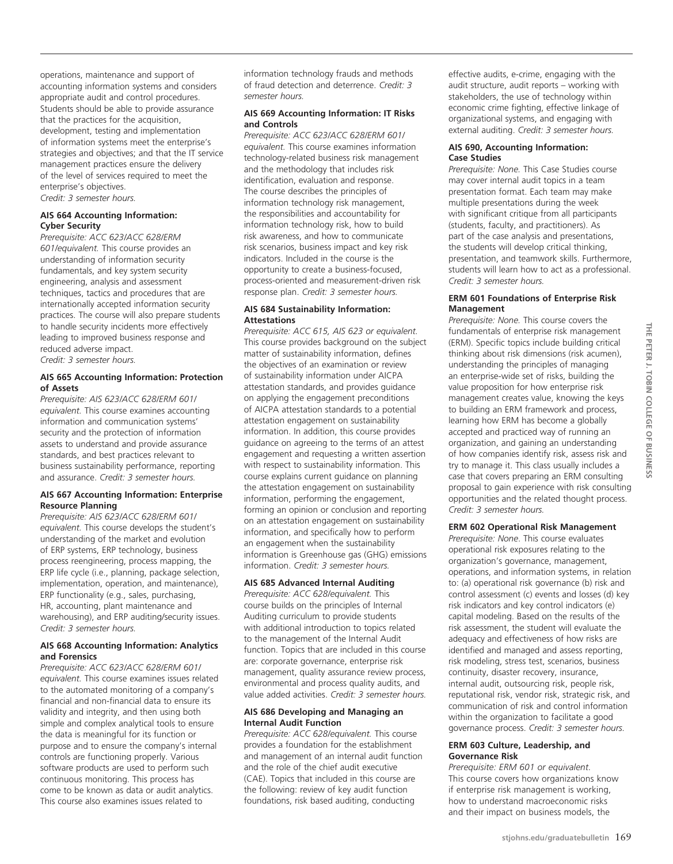operations, maintenance and support of accounting information systems and considers appropriate audit and control procedures. Students should be able to provide assurance that the practices for the acquisition, development, testing and implementation of information systems meet the enterprise's strategies and objectives; and that the IT service management practices ensure the delivery of the level of services required to meet the enterprise's objectives. *Credit: 3 semester hours.* 

## **AIS 664 Accounting Information: Cyber Security**

*Prerequisite: ACC 623/ACC 628/ERM 601/equivalent.* This course provides an understanding of information security fundamentals, and key system security engineering, analysis and assessment techniques, tactics and procedures that are internationally accepted information security practices. The course will also prepare students to handle security incidents more effectively leading to improved business response and reduced adverse impact.

*Credit: 3 semester hours.*

## **AIS 665 Accounting Information: Protection of Assets**

*Prerequisite: AIS 623/ACC 628/ERM 601/ equivalent.* This course examines accounting information and communication systems' security and the protection of information assets to understand and provide assurance standards, and best practices relevant to business sustainability performance, reporting and assurance. *Credit: 3 semester hours.* 

# **AIS 667 Accounting Information: Enterprise Resource Planning**

*Prerequisite: AIS 623/ACC 628/ERM 601/ equivalent.* This course develops the student's understanding of the market and evolution of ERP systems, ERP technology, business process reengineering, process mapping, the ERP life cycle (i.e., planning, package selection, implementation, operation, and maintenance), ERP functionality (e.g., sales, purchasing, HR, accounting, plant maintenance and warehousing), and ERP auditing/security issues. *Credit: 3 semester hours.* 

## **AIS 668 Accounting Information: Analytics and Forensics**

*Prerequisite: ACC 623/ACC 628/ERM 601/ equivalent.* This course examines issues related to the automated monitoring of a company's financial and non-financial data to ensure its validity and integrity, and then using both simple and complex analytical tools to ensure the data is meaningful for its function or purpose and to ensure the company's internal controls are functioning properly. Various software products are used to perform such continuous monitoring. This process has come to be known as data or audit analytics. This course also examines issues related to

information technology frauds and methods of fraud detection and deterrence. *Credit: 3 semester hours.* 

## **AIS 669 Accounting Information: IT Risks and Controls**

*Prerequisite: ACC 623/ACC 628/ERM 601/ equivalent.* This course examines information technology-related business risk management and the methodology that includes risk identification, evaluation and response. The course describes the principles of information technology risk management, the responsibilities and accountability for information technology risk, how to build risk awareness, and how to communicate risk scenarios, business impact and key risk indicators. Included in the course is the opportunity to create a business-focused, process-oriented and measurement-driven risk response plan. *Credit: 3 semester hours.*

## **AIS 684 Sustainability Information: Attestations**

*Prerequisite: ACC 615, AIS 623 or equivalent.* This course provides background on the subject matter of sustainability information, defines the objectives of an examination or review of sustainability information under AICPA attestation standards, and provides guidance on applying the engagement preconditions of AICPA attestation standards to a potential attestation engagement on sustainability information. In addition, this course provides guidance on agreeing to the terms of an attest engagement and requesting a written assertion with respect to sustainability information. This course explains current guidance on planning the attestation engagement on sustainability information, performing the engagement, forming an opinion or conclusion and reporting on an attestation engagement on sustainability information, and specifically how to perform an engagement when the sustainability information is Greenhouse gas (GHG) emissions information. *Credit: 3 semester hours.* 

# **AIS 685 Advanced Internal Auditing**

*Prerequisite: ACC 628/equivalent.* This course builds on the principles of Internal Auditing curriculum to provide students with additional introduction to topics related to the management of the Internal Audit function. Topics that are included in this course are: corporate governance, enterprise risk management, quality assurance review process, environmental and process quality audits, and value added activities. *Credit: 3 semester hours.* 

## **AIS 686 Developing and Managing an Internal Audit Function**

*Prerequisite: ACC 628/equivalent.* This course provides a foundation for the establishment and management of an internal audit function and the role of the chief audit executive (CAE). Topics that included in this course are the following: review of key audit function foundations, risk based auditing, conducting

effective audits, e-crime, engaging with the audit structure, audit reports – working with stakeholders, the use of technology within economic crime fighting, effective linkage of organizational systems, and engaging with external auditing. *Credit: 3 semester hours.* 

#### **AIS 690, Accounting Information: Case Studies**

*Prerequisite: None.* This Case Studies course may cover internal audit topics in a team presentation format. Each team may make multiple presentations during the week with significant critique from all participants (students, faculty, and practitioners). As part of the case analysis and presentations, the students will develop critical thinking, presentation, and teamwork skills. Furthermore, students will learn how to act as a professional. *Credit: 3 semester hours.*

# **ERM 601 Foundations of Enterprise Risk Management**

*Prerequisite: None.* This course covers the fundamentals of enterprise risk management (ERM). Specific topics include building critical thinking about risk dimensions (risk acumen), understanding the principles of managing an enterprise-wide set of risks, building the value proposition for how enterprise risk management creates value, knowing the keys to building an ERM framework and process, learning how ERM has become a globally accepted and practiced way of running an organization, and gaining an understanding of how companies identify risk, assess risk and try to manage it. This class usually includes a case that covers preparing an ERM consulting proposal to gain experience with risk consulting opportunities and the related thought process. *Credit: 3 semester hours.*

# **ERM 602 Operational Risk Management**

*Prerequisite: None*. This course evaluates operational risk exposures relating to the organization's governance, management, operations, and information systems, in relation to: (a) operational risk governance (b) risk and control assessment (c) events and losses (d) key risk indicators and key control indicators (e) capital modeling. Based on the results of the risk assessment, the student will evaluate the adequacy and effectiveness of how risks are identified and managed and assess reporting, risk modeling, stress test, scenarios, business continuity, disaster recovery, insurance, internal audit, outsourcing risk, people risk, reputational risk, vendor risk, strategic risk, and communication of risk and control information within the organization to facilitate a good governance process. *Credit: 3 semester hours.*

# **ERM 603 Culture, Leadership, and Governance Risk**

*Prerequisite: ERM 601 or equivalent.* This course covers how organizations know if enterprise risk management is working, how to understand macroeconomic risks and their impact on business models, the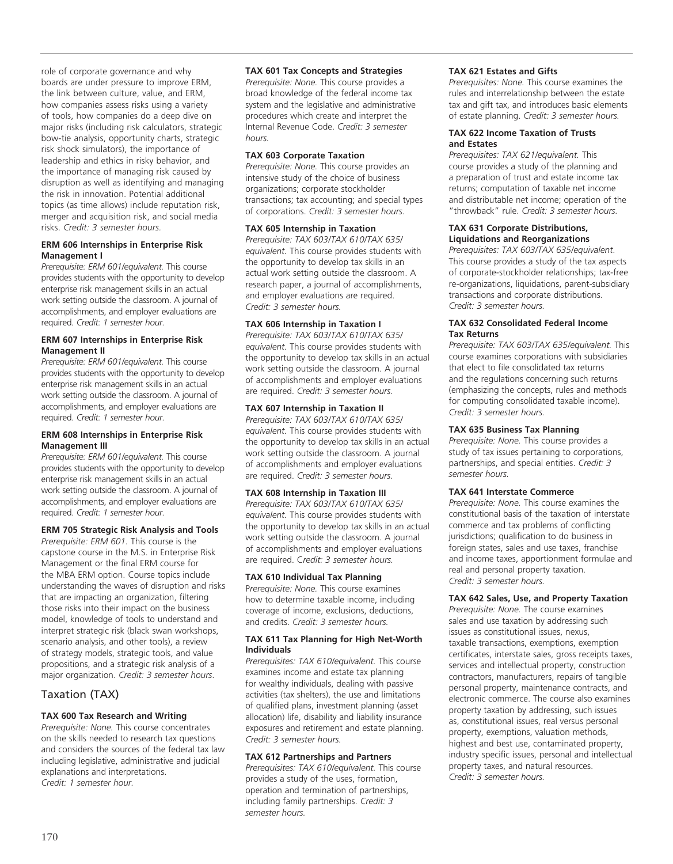role of corporate governance and why boards are under pressure to improve ERM, the link between culture, value, and ERM, how companies assess risks using a variety of tools, how companies do a deep dive on major risks (including risk calculators, strategic bow-tie analysis, opportunity charts, strategic risk shock simulators), the importance of leadership and ethics in risky behavior, and the importance of managing risk caused by disruption as well as identifying and managing the risk in innovation. Potential additional topics (as time allows) include reputation risk, merger and acquisition risk, and social media risks. *Credit: 3 semester hours.*

#### **ERM 606 Internships in Enterprise Risk Management I**

*Prerequisite: ERM 601/equivalent.* This course provides students with the opportunity to develop enterprise risk management skills in an actual work setting outside the classroom. A journal of accomplishments, and employer evaluations are required*. Credit: 1 semester hour.*

# **ERM 607 Internships in Enterprise Risk Management II**

*Prerequisite: ERM 601/equivalent.* This course provides students with the opportunity to develop enterprise risk management skills in an actual work setting outside the classroom. A journal of accomplishments, and employer evaluations are required. *Credit: 1 semester hour.*

## **ERM 608 Internships in Enterprise Risk Management III**

*Prerequisite: ERM 601/equivalent.* This course provides students with the opportunity to develop enterprise risk management skills in an actual work setting outside the classroom. A journal of accomplishments, and employer evaluations are required. *Credit: 1 semester hour.*

# **ERM 705 Strategic Risk Analysis and Tools**

*Prerequisite: ERM 601.* This course is the capstone course in the M.S. in Enterprise Risk Management or the final ERM course for the MBA ERM option. Course topics include understanding the waves of disruption and risks that are impacting an organization, filtering those risks into their impact on the business model, knowledge of tools to understand and interpret strategic risk (black swan workshops, scenario analysis, and other tools), a review of strategy models, strategic tools, and value propositions, and a strategic risk analysis of a major organization. *Credit: 3 semester hours*.

# Taxation (TAX)

# **TAX 600 Tax Research and Writing**

*Prerequisite: None.* This course concentrates on the skills needed to research tax questions and considers the sources of the federal tax law including legislative, administrative and judicial explanations and interpretations. *Credit: 1 semester hour.*

## **TAX 601 Tax Concepts and Strategies**

*Prerequisite: None.* This course provides a broad knowledge of the federal income tax system and the legislative and administrative procedures which create and interpret the Internal Revenue Code. *Credit: 3 semester hours.*

#### **TAX 603 Corporate Taxation**

*Prerequisite: None.* This course provides an intensive study of the choice of business organizations; corporate stockholder transactions; tax accounting; and special types of corporations. *Credit: 3 semester hours.*

#### **TAX 605 Internship in Taxation**

*Prerequisite: TAX 603/TAX 610/TAX 635/ equivalent.* This course provides students with the opportunity to develop tax skills in an actual work setting outside the classroom. A research paper, a journal of accomplishments, and employer evaluations are required. *Credit: 3 semester hours.*

## **TAX 606 Internship in Taxation I**

*Prerequisite: TAX 603/TAX 610/TAX 635/ equivalent.* This course provides students with the opportunity to develop tax skills in an actual work setting outside the classroom. A journal of accomplishments and employer evaluations are required. *Credit: 3 semester hours.*

## **TAX 607 Internship in Taxation II**

*Prerequisite: TAX 603/TAX 610/TAX 635/ equivalent.* This course provides students with the opportunity to develop tax skills in an actual work setting outside the classroom. A journal of accomplishments and employer evaluations are required. *Credit: 3 semester hours.*

## **TAX 608 Internship in Taxation III**

*Prerequisite: TAX 603/TAX 610/TAX 635/ equivalent.* This course provides students with the opportunity to develop tax skills in an actual work setting outside the classroom. A journal of accomplishments and employer evaluations are required. C*redit: 3 semester hours.*

## **TAX 610 Individual Tax Planning**

P*rerequisite: None.* This course examines how to determine taxable income, including coverage of income, exclusions, deductions, and credits. *Credit: 3 semester hours.*

## **TAX 611 Tax Planning for High Net-Worth Individuals**

*Prerequisites: TAX 610/equivalent.* This course examines income and estate tax planning for wealthy individuals, dealing with passive activities (tax shelters), the use and limitations of qualified plans, investment planning (asset allocation) life, disability and liability insurance exposures and retirement and estate planning. *Credit: 3 semester hours.*

# **TAX 612 Partnerships and Partners**

*Prerequisites: TAX 610/equivalent.* This course provides a study of the uses, formation, operation and termination of partnerships, including family partnerships. *Credit: 3 semester hours.*

### **TAX 621 Estates and Gifts**

*Prerequisites: None.* This course examines the rules and interrelationship between the estate tax and gift tax, and introduces basic elements of estate planning. *Credit: 3 semester hours.*

## **TAX 622 Income Taxation of Trusts and Estates**

*Prerequisites: TAX 621/equivalent.* This course provides a study of the planning and a preparation of trust and estate income tax returns; computation of taxable net income and distributable net income; operation of the "throwback" rule. *Credit: 3 semester hours.*

#### **TAX 631 Corporate Distributions, Liquidations and Reorganizations**

*Prerequisites: TAX 603/TAX 635/equivalent*. This course provides a study of the tax aspects of corporate-stockholder relationships; tax-free re-organizations, liquidations, parent-subsidiary transactions and corporate distributions. *Credit: 3 semester hours.*

#### **TAX 632 Consolidated Federal Income Tax Returns**

*Prerequisite: TAX 603/TAX 635/equivalent.* This course examines corporations with subsidiaries that elect to file consolidated tax returns and the regulations concerning such returns (emphasizing the concepts, rules and methods for computing consolidated taxable income). *Credit: 3 semester hours.*

## **TAX 635 Business Tax Planning**

*Prerequisite: None.* This course provides a study of tax issues pertaining to corporations, partnerships, and special entities. *Credit: 3 semester hours.*

## **TAX 641 Interstate Commerce**

*Prerequisite: None.* This course examines the constitutional basis of the taxation of interstate commerce and tax problems of conflicting jurisdictions; qualification to do business in foreign states, sales and use taxes, franchise and income taxes, apportionment formulae and real and personal property taxation. *Credit: 3 semester hours.*

# **TAX 642 Sales, Use, and Property Taxation**

*Prerequisite: None.* The course examines sales and use taxation by addressing such issues as constitutional issues, nexus, taxable transactions, exemptions, exemption certificates, interstate sales, gross receipts taxes, services and intellectual property, construction contractors, manufacturers, repairs of tangible personal property, maintenance contracts, and electronic commerce. The course also examines property taxation by addressing, such issues as, constitutional issues, real versus personal property, exemptions, valuation methods, highest and best use, contaminated property, industry specific issues, personal and intellectual property taxes, and natural resources. *Credit: 3 semester hours.*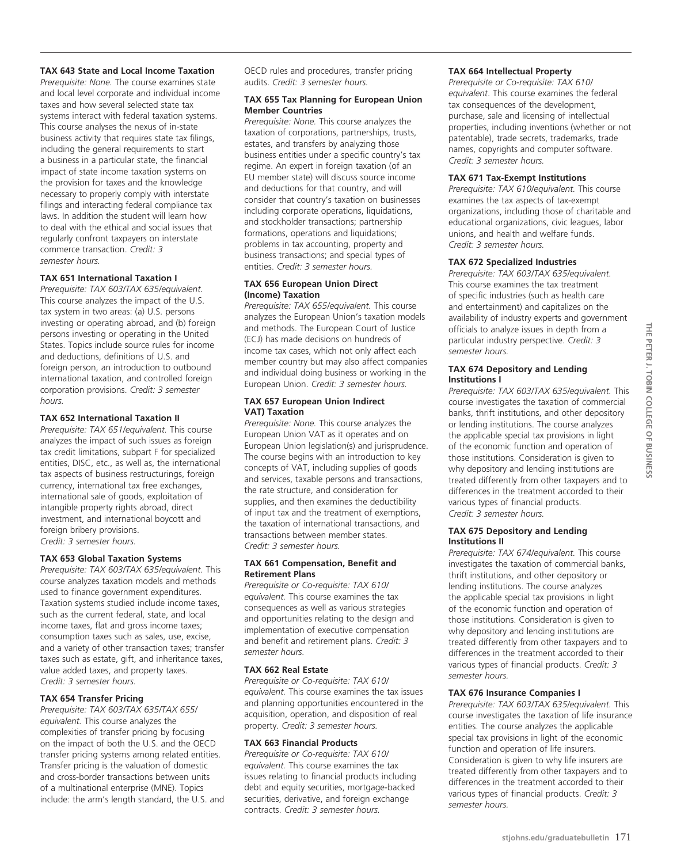## **TAX 643 State and Local Income Taxation**

*Prerequisite: None.* The course examines state and local level corporate and individual income taxes and how several selected state tax systems interact with federal taxation systems. This course analyses the nexus of in-state business activity that requires state tax filings, including the general requirements to start a business in a particular state, the financial impact of state income taxation systems on the provision for taxes and the knowledge necessary to properly comply with interstate filings and interacting federal compliance tax laws. In addition the student will learn how to deal with the ethical and social issues that regularly confront taxpayers on interstate commerce transaction. *Credit: 3 semester hours.*

# **TAX 651 International Taxation I**

*Prerequisite: TAX 603/TAX 635/equivalent.*  This course analyzes the impact of the U.S. tax system in two areas: (a) U.S. persons investing or operating abroad, and (b) foreign persons investing or operating in the United States. Topics include source rules for income and deductions, definitions of U.S. and foreign person, an introduction to outbound international taxation, and controlled foreign corporation provisions. *Credit: 3 semester hours.*

#### **TAX 652 International Taxation II**

*Prerequisite: TAX 651/equivalent.* This course analyzes the impact of such issues as foreign tax credit limitations, subpart F for specialized entities, DISC, etc., as well as, the international tax aspects of business restructurings, foreign currency, international tax free exchanges, international sale of goods, exploitation of intangible property rights abroad, direct investment, and international boycott and foreign bribery provisions. *Credit: 3 semester hours.*

#### **TAX 653 Global Taxation Systems**

*Prerequisite: TAX 603/TAX 635/equivalent.* This course analyzes taxation models and methods used to finance government expenditures. Taxation systems studied include income taxes, such as the current federal, state, and local income taxes, flat and gross income taxes; consumption taxes such as sales, use, excise, and a variety of other transaction taxes; transfer taxes such as estate, gift, and inheritance taxes, value added taxes, and property taxes. *Credit: 3 semester hours.*

#### **TAX 654 Transfer Pricing**

*Prerequisite: TAX 603/TAX 635/TAX 655/ equivalent.* This course analyzes the complexities of transfer pricing by focusing on the impact of both the U.S. and the OECD transfer pricing systems among related entities. Transfer pricing is the valuation of domestic and cross-border transactions between units of a multinational enterprise (MNE). Topics include: the arm's length standard, the U.S. and OECD rules and procedures, transfer pricing audits. *Credit: 3 semester hours.*

## **TAX 655 Tax Planning for European Union Member Countries**

*Prerequisite: None.* This course analyzes the taxation of corporations, partnerships, trusts, estates, and transfers by analyzing those business entities under a specific country's tax regime. An expert in foreign taxation (of an EU member state) will discuss source income and deductions for that country, and will consider that country's taxation on businesses including corporate operations, liquidations, and stockholder transactions; partnership formations, operations and liquidations; problems in tax accounting, property and business transactions; and special types of entities. *Credit: 3 semester hours.*

## **TAX 656 European Union Direct (Income) Taxation**

*Prerequisite: TAX 655/equivalent.* This course analyzes the European Union's taxation models and methods. The European Court of Justice (ECJ) has made decisions on hundreds of income tax cases, which not only affect each member country but may also affect companies and individual doing business or working in the European Union. *Credit: 3 semester hours.*

#### **TAX 657 European Union Indirect VAT) Taxation**

*Prerequisite: None.* This course analyzes the European Union VAT as it operates and on European Union legislation(s) and jurisprudence. The course begins with an introduction to key concepts of VAT, including supplies of goods and services, taxable persons and transactions, the rate structure, and consideration for supplies, and then examines the deductibility of input tax and the treatment of exemptions, the taxation of international transactions, and transactions between member states. *Credit: 3 semester hours.*

## **TAX 661 Compensation, Benefit and Retirement Plans**

*Prerequisite or Co-requisite: TAX 610/ equivalent.* This course examines the tax consequences as well as various strategies and opportunities relating to the design and implementation of executive compensation and benefit and retirement plans. *Credit: 3 semester hours.*

#### **TAX 662 Real Estate**

*Prerequisite or Co-requisite: TAX 610/ equivalent.* This course examines the tax issues and planning opportunities encountered in the acquisition, operation, and disposition of real property. *Credit: 3 semester hours.*

#### **TAX 663 Financial Products**

*Prerequisite or Co-requisite: TAX 610/ equivalent.* This course examines the tax issues relating to financial products including debt and equity securities, mortgage-backed securities, derivative, and foreign exchange contracts. *Credit: 3 semester hours.*

#### **TAX 664 Intellectual Property**

*Prerequisite or Co-requisite: TAX 610/ equivalent*. This course examines the federal tax consequences of the development, purchase, sale and licensing of intellectual properties, including inventions (whether or not patentable), trade secrets, trademarks, trade names, copyrights and computer software. *Credit: 3 semester hours.*

#### **TAX 671 Tax-Exempt Institutions**

*Prerequisite: TAX 610/equivalent.* This course examines the tax aspects of tax-exempt organizations, including those of charitable and educational organizations, civic leagues, labor unions, and health and welfare funds. *Credit: 3 semester hours.*

## **TAX 672 Specialized Industries**

*Prerequisite: TAX 603/TAX 635/equivalent.*  This course examines the tax treatment of specific industries (such as health care and entertainment) and capitalizes on the availability of industry experts and government officials to analyze issues in depth from a particular industry perspective. *Credit: 3 semester hours.*

#### **TAX 674 Depository and Lending Institutions I**

*Prerequisite: TAX 603/TAX 635/equivalent.* This course investigates the taxation of commercial banks, thrift institutions, and other depository or lending institutions. The course analyzes the applicable special tax provisions in light of the economic function and operation of those institutions. Consideration is given to why depository and lending institutions are treated differently from other taxpayers and to differences in the treatment accorded to their various types of financial products. *Credit: 3 semester hours.*

#### **TAX 675 Depository and Lending Institutions II**

*Prerequisite: TAX 674/equivalent.* This course investigates the taxation of commercial banks, thrift institutions, and other depository or lending institutions. The course analyzes the applicable special tax provisions in light of the economic function and operation of those institutions. Consideration is given to why depository and lending institutions are treated differently from other taxpayers and to differences in the treatment accorded to their various types of financial products. *Credit: 3 semester hours.*

#### **TAX 676 Insurance Companies I**

*Prerequisite: TAX 603/TAX 635/equivalent.* This course investigates the taxation of life insurance entities. The course analyzes the applicable special tax provisions in light of the economic function and operation of life insurers. Consideration is given to why life insurers are treated differently from other taxpayers and to differences in the treatment accorded to their various types of financial products. *Credit: 3 semester hours.*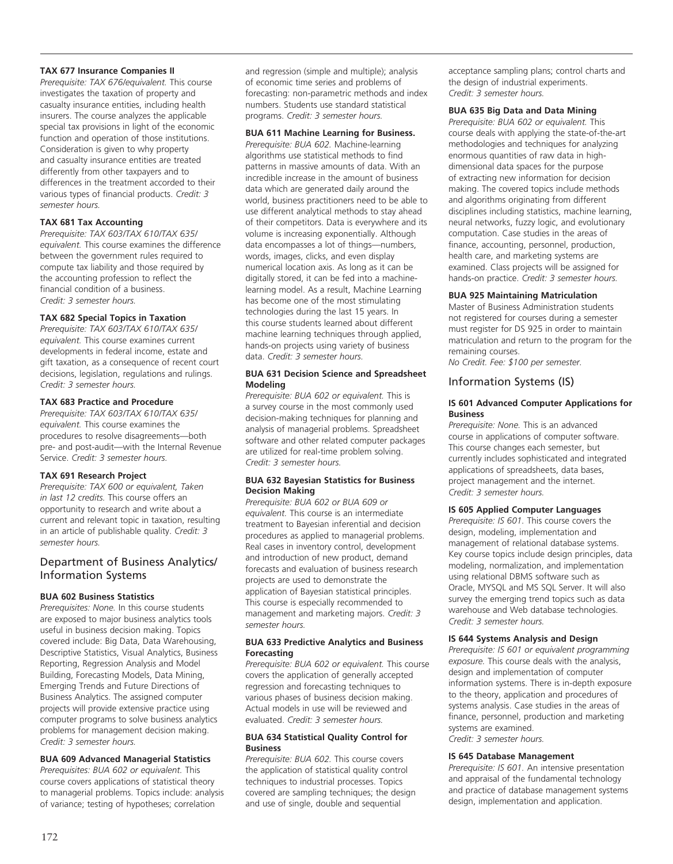# **TAX 677 Insurance Companies II**

*Prerequisite: TAX 676/equivalent.* This course investigates the taxation of property and casualty insurance entities, including health insurers. The course analyzes the applicable special tax provisions in light of the economic function and operation of those institutions. Consideration is given to why property and casualty insurance entities are treated differently from other taxpayers and to differences in the treatment accorded to their various types of financial products. *Credit: 3 semester hours.*

# **TAX 681 Tax Accounting**

*Prerequisite: TAX 603/TAX 610/TAX 635/ equivalent.* This course examines the difference between the government rules required to compute tax liability and those required by the accounting profession to reflect the financial condition of a business. *Credit: 3 semester hours.*

# **TAX 682 Special Topics in Taxation**

*Prerequisite: TAX 603/TAX 610/TAX 635/ equivalent.* This course examines current developments in federal income, estate and gift taxation, as a consequence of recent court decisions, legislation, regulations and rulings. *Credit: 3 semester hours.*

# **TAX 683 Practice and Procedure**

*Prerequisite: TAX 603/TAX 610/TAX 635/ equivalent.* This course examines the procedures to resolve disagreements—both pre- and post-audit—with the Internal Revenue Service. *Credit: 3 semester hours.*

# **TAX 691 Research Project**

*Prerequisite: TAX 600 or equivalent, Taken in last 12 credits.* This course offers an opportunity to research and write about a current and relevant topic in taxation, resulting in an article of publishable quality. *Credit: 3 semester hours.*

# Department of Business Analytics/ Information Systems

# **BUA 602 Business Statistics**

*Prerequisites: None.* In this course students are exposed to major business analytics tools useful in business decision making. Topics covered include: Big Data, Data Warehousing, Descriptive Statistics, Visual Analytics, Business Reporting, Regression Analysis and Model Building, Forecasting Models, Data Mining, Emerging Trends and Future Directions of Business Analytics. The assigned computer projects will provide extensive practice using computer programs to solve business analytics problems for management decision making. *Credit: 3 semester hours.*

# **BUA 609 Advanced Managerial Statistics**

*Prerequisites: BUA 602 or equivalent.* This course covers applications of statistical theory to managerial problems. Topics include: analysis of variance; testing of hypotheses; correlation

and regression (simple and multiple); analysis of economic time series and problems of forecasting: non-parametric methods and index numbers. Students use standard statistical programs. *Credit: 3 semester hours.*

# **BUA 611 Machine Learning for Business.**

*Prerequisite: BUA 602.* Machine-learning algorithms use statistical methods to find patterns in massive amounts of data. With an incredible increase in the amount of business data which are generated daily around the world, business practitioners need to be able to use different analytical methods to stay ahead of their competitors. Data is everywhere and its volume is increasing exponentially. Although data encompasses a lot of things—numbers, words, images, clicks, and even display numerical location axis. As long as it can be digitally stored, it can be fed into a machinelearning model. As a result, Machine Learning has become one of the most stimulating technologies during the last 15 years. In this course students learned about different machine learning techniques through applied, hands-on projects using variety of business data. *Credit: 3 semester hours.*

## **BUA 631 Decision Science and Spreadsheet Modeling**

*Prerequisite: BUA 602 or equivalent.* This is a survey course in the most commonly used decision-making techniques for planning and analysis of managerial problems. Spreadsheet software and other related computer packages are utilized for real-time problem solving. *Credit: 3 semester hours.* 

# **BUA 632 Bayesian Statistics for Business Decision Making**

*Prerequisite: BUA 602 or BUA 609 or equivalent.* This course is an intermediate treatment to Bayesian inferential and decision procedures as applied to managerial problems. Real cases in inventory control, development and introduction of new product, demand forecasts and evaluation of business research projects are used to demonstrate the application of Bayesian statistical principles. This course is especially recommended to management and marketing majors. *Credit: 3 semester hours.* 

## **BUA 633 Predictive Analytics and Business Forecasting**

*Prerequisite: BUA 602 or equivalent.* This course covers the application of generally accepted regression and forecasting techniques to various phases of business decision making. Actual models in use will be reviewed and evaluated. *Credit: 3 semester hours.*

## **BUA 634 Statistical Quality Control for Business**

*Prerequisite: BUA 602.* This course covers the application of statistical quality control techniques to industrial processes. Topics covered are sampling techniques; the design and use of single, double and sequential

acceptance sampling plans; control charts and the design of industrial experiments. *Credit: 3 semester hours.* 

# **BUA 635 Big Data and Data Mining**

*Prerequisite: BUA 602 or equivalent.* This course deals with applying the state-of-the-art methodologies and techniques for analyzing enormous quantities of raw data in highdimensional data spaces for the purpose of extracting new information for decision making. The covered topics include methods and algorithms originating from different disciplines including statistics, machine learning, neural networks, fuzzy logic, and evolutionary computation. Case studies in the areas of finance, accounting, personnel, production, health care, and marketing systems are examined. Class projects will be assigned for hands-on practice. *Credit: 3 semester hours.*

# **BUA 925 Maintaining Matriculation**

Master of Business Administration students not registered for courses during a semester must register for DS 925 in order to maintain matriculation and return to the program for the remaining courses.

*No Credit. Fee: \$100 per semester.* 

# Information Systems (IS)

## **IS 601 Advanced Computer Applications for Business**

*Prerequisite: None.* This is an advanced course in applications of computer software. This course changes each semester, but currently includes sophisticated and integrated applications of spreadsheets, data bases, project management and the internet. *Credit: 3 semester hours.* 

# **IS 605 Applied Computer Languages**

*Prerequisite: IS 601.* This course covers the design, modeling, implementation and management of relational database systems. Key course topics include design principles, data modeling, normalization, and implementation using relational DBMS software such as Oracle, MYSQL and MS SQL Server. It will also survey the emerging trend topics such as data warehouse and Web database technologies. *Credit: 3 semester hours.* 

# **IS 644 Systems Analysis and Design**

*Prerequisite: IS 601 or equivalent programming exposure.* This course deals with the analysis, design and implementation of computer information systems. There is in-depth exposure to the theory, application and procedures of systems analysis. Case studies in the areas of finance, personnel, production and marketing systems are examined.

*Credit: 3 semester hours.* 

# **IS 645 Database Management**

*Prerequisite: IS 601.* An intensive presentation and appraisal of the fundamental technology and practice of database management systems design, implementation and application.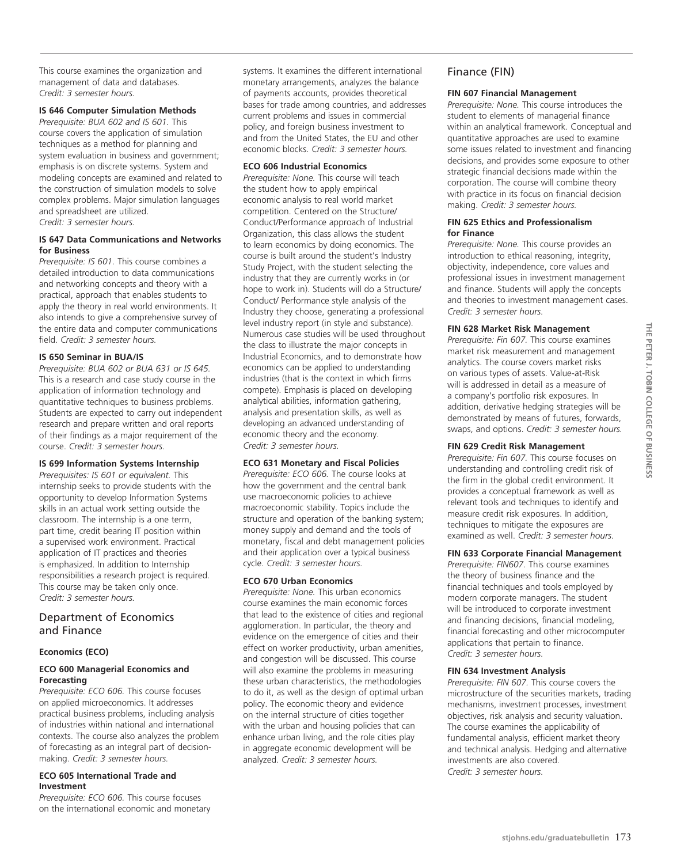This course examines the organization and management of data and databases. *Credit: 3 semester hours.*

# **IS 646 Computer Simulation Methods**

*Prerequisite: BUA 602 and IS 601.* This course covers the application of simulation techniques as a method for planning and system evaluation in business and government; emphasis is on discrete systems. System and modeling concepts are examined and related to the construction of simulation models to solve complex problems. Major simulation languages and spreadsheet are utilized. *Credit: 3 semester hours.* 

# **IS 647 Data Communications and Networks for Business**

*Prerequisite: IS 601.* This course combines a detailed introduction to data communications and networking concepts and theory with a practical, approach that enables students to apply the theory in real world environments. It also intends to give a comprehensive survey of the entire data and computer communications field. *Credit: 3 semester hours.* 

#### **IS 650 Seminar in BUA/IS**

*Prerequisite: BUA 602 or BUA 631 or IS 645.* This is a research and case study course in the application of information technology and quantitative techniques to business problems. Students are expected to carry out independent research and prepare written and oral reports of their findings as a major requirement of the course. *Credit: 3 semester hours.* 

## **IS 699 Information Systems Internship**

*Prerequisites: IS 601 or equivalent.* This internship seeks to provide students with the opportunity to develop Information Systems skills in an actual work setting outside the classroom. The internship is a one term, part time, credit bearing IT position within a supervised work environment. Practical application of IT practices and theories is emphasized. In addition to Internship responsibilities a research project is required. This course may be taken only once. *Credit: 3 semester hours.* 

# Department of Economics and Finance

#### **Economics (ECO)**

## **ECO 600 Managerial Economics and Forecasting**

*Prerequisite: ECO 606.* This course focuses on applied microeconomics. It addresses practical business problems, including analysis of industries within national and international contexts. The course also analyzes the problem of forecasting as an integral part of decisionmaking. *Credit: 3 semester hours.*

#### **ECO 605 International Trade and Investment**

*Prerequisite: ECO 606.* This course focuses on the international economic and monetary systems. It examines the different international monetary arrangements, analyzes the balance of payments accounts, provides theoretical bases for trade among countries, and addresses current problems and issues in commercial policy, and foreign business investment to and from the United States, the EU and other economic blocks. *Credit: 3 semester hours.* 

#### **ECO 606 Industrial Economics**

*Prerequisite: None.* This course will teach the student how to apply empirical economic analysis to real world market competition. Centered on the Structure/ Conduct/Performance approach of Industrial Organization, this class allows the student to learn economics by doing economics. The course is built around the student's Industry Study Project, with the student selecting the industry that they are currently works in (or hope to work in). Students will do a Structure/ Conduct/ Performance style analysis of the Industry they choose, generating a professional level industry report (in style and substance). Numerous case studies will be used throughout the class to illustrate the major concepts in Industrial Economics, and to demonstrate how economics can be applied to understanding industries (that is the context in which firms compete). Emphasis is placed on developing analytical abilities, information gathering, analysis and presentation skills, as well as developing an advanced understanding of economic theory and the economy. *Credit: 3 semester hours.*

#### **ECO 631 Monetary and Fiscal Policies**

*Prerequisite: ECO 606.* The course looks at how the government and the central bank use macroeconomic policies to achieve macroeconomic stability. Topics include the structure and operation of the banking system; money supply and demand and the tools of monetary, fiscal and debt management policies and their application over a typical business cycle. *Credit: 3 semester hours.* 

#### **ECO 670 Urban Economics**

*Prerequisite: None.* This urban economics course examines the main economic forces that lead to the existence of cities and regional agglomeration. In particular, the theory and evidence on the emergence of cities and their effect on worker productivity, urban amenities, and congestion will be discussed. This course will also examine the problems in measuring these urban characteristics, the methodologies to do it, as well as the design of optimal urban policy. The economic theory and evidence on the internal structure of cities together with the urban and housing policies that can enhance urban living, and the role cities play in aggregate economic development will be analyzed. *Credit: 3 semester hours.*

# Finance (FIN)

# **FIN 607 Financial Management**

*Prerequisite: None.* This course introduces the student to elements of managerial finance within an analytical framework. Conceptual and quantitative approaches are used to examine some issues related to investment and financing decisions, and provides some exposure to other strategic financial decisions made within the corporation. The course will combine theory with practice in its focus on financial decision making. *Credit: 3 semester hours.*

#### **FIN 625 Ethics and Professionalism for Finance**

*Prerequisite: None.* This course provides an introduction to ethical reasoning, integrity, objectivity, independence, core values and professional issues in investment management and finance. Students will apply the concepts and theories to investment management cases. *Credit: 3 semester hours.* 

#### **FIN 628 Market Risk Management**

*Prerequisite: Fin 607.* This course examines market risk measurement and management analytics. The course covers market risks on various types of assets. Value-at-Risk will is addressed in detail as a measure of a company's portfolio risk exposures. In addition, derivative hedging strategies will be demonstrated by means of futures, forwards, swaps, and options. *Credit: 3 semester hours.* 

#### **FIN 629 Credit Risk Management**

*Prerequisite: Fin 607.* This course focuses on understanding and controlling credit risk of the firm in the global credit environment. It provides a conceptual framework as well as relevant tools and techniques to identify and measure credit risk exposures. In addition, techniques to mitigate the exposures are examined as well. *Credit: 3 semester hours.* 

#### **FIN 633 Corporate Financial Management**

*Prerequisite: FIN607.* This course examines the theory of business finance and the financial techniques and tools employed by modern corporate managers. The student will be introduced to corporate investment and financing decisions, financial modeling, financial forecasting and other microcomputer applications that pertain to finance. *Credit: 3 semester hours.* 

#### **FIN 634 Investment Analysis**

*Prerequisite: FIN 607.* This course covers the microstructure of the securities markets, trading mechanisms, investment processes, investment objectives, risk analysis and security valuation. The course examines the applicability of fundamental analysis, efficient market theory and technical analysis. Hedging and alternative investments are also covered. *Credit: 3 semester hours.*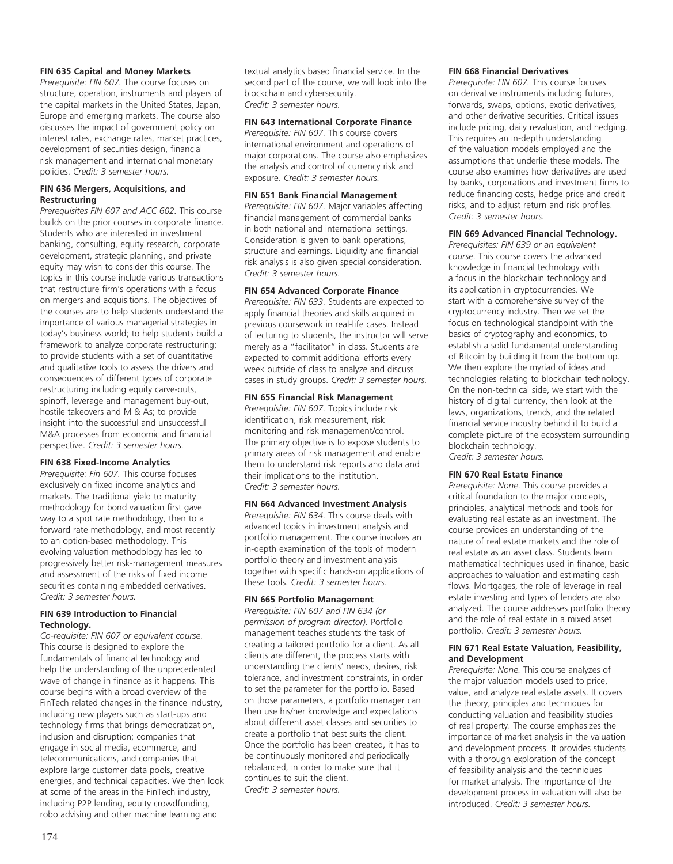## **FIN 635 Capital and Money Markets**

*Prerequisite: FIN 607.* The course focuses on structure, operation, instruments and players of the capital markets in the United States, Japan, Europe and emerging markets. The course also discusses the impact of government policy on interest rates, exchange rates, market practices, development of securities design, financial risk management and international monetary policies. *Credit: 3 semester hours.* 

#### **FIN 636 Mergers, Acquisitions, and Restructuring**

*Prerequisites FIN 607 and ACC 602.* This course builds on the prior courses in corporate finance. Students who are interested in investment banking, consulting, equity research, corporate development, strategic planning, and private equity may wish to consider this course. The topics in this course include various transactions that restructure firm's operations with a focus on mergers and acquisitions. The objectives of the courses are to help students understand the importance of various managerial strategies in today's business world; to help students build a framework to analyze corporate restructuring; to provide students with a set of quantitative and qualitative tools to assess the drivers and consequences of different types of corporate restructuring including equity carve-outs, spinoff, leverage and management buy-out, hostile takeovers and M & As; to provide insight into the successful and unsuccessful M&A processes from economic and financial perspective. *Credit: 3 semester hours.*

## **FIN 638 Fixed-Income Analytics**

*Prerequisite: Fin 607.* This course focuses exclusively on fixed income analytics and markets. The traditional yield to maturity methodology for bond valuation first gave way to a spot rate methodology, then to a forward rate methodology, and most recently to an option-based methodology. This evolving valuation methodology has led to progressively better risk-management measures and assessment of the risks of fixed income securities containing embedded derivatives. *Credit: 3 semester hours.* 

## **FIN 639 Introduction to Financial Technology.**

*Co-requisite: FIN 607 or equivalent course.* This course is designed to explore the fundamentals of financial technology and help the understanding of the unprecedented wave of change in finance as it happens. This course begins with a broad overview of the FinTech related changes in the finance industry, including new players such as start-ups and technology firms that brings democratization, inclusion and disruption; companies that engage in social media, ecommerce, and telecommunications, and companies that explore large customer data pools, creative energies, and technical capacities. We then look at some of the areas in the FinTech industry, including P2P lending, equity crowdfunding, robo advising and other machine learning and

textual analytics based financial service. In the second part of the course, we will look into the blockchain and cybersecurity. *Credit: 3 semester hours.*

#### **FIN 643 International Corporate Finance**

*Prerequisite: FIN 607.* This course covers international environment and operations of major corporations. The course also emphasizes the analysis and control of currency risk and exposure. *Credit: 3 semester hours.* 

#### **FIN 651 Bank Financial Management**

*Prerequisite: FIN 607.* Major variables affecting financial management of commercial banks in both national and international settings. Consideration is given to bank operations, structure and earnings. Liquidity and financial risk analysis is also given special consideration. *Credit: 3 semester hours.* 

#### **FIN 654 Advanced Corporate Finance**

*Prerequisite: FIN 633.* Students are expected to apply financial theories and skills acquired in previous coursework in real-life cases. Instead of lecturing to students, the instructor will serve merely as a "facilitator" in class. Students are expected to commit additional efforts every week outside of class to analyze and discuss cases in study groups. *Credit: 3 semester hours.* 

#### **FIN 655 Financial Risk Management**

*Prerequisite: FIN 607.* Topics include risk identification, risk measurement, risk monitoring and risk management/control. The primary objective is to expose students to primary areas of risk management and enable them to understand risk reports and data and their implications to the institution. *Credit: 3 semester hours.* 

## **FIN 664 Advanced Investment Analysis**

*Prerequisite: FIN 634.* This course deals with advanced topics in investment analysis and portfolio management. The course involves an in-depth examination of the tools of modern portfolio theory and investment analysis together with specific hands-on applications of these tools. *Credit: 3 semester hours.*

#### **FIN 665 Portfolio Management**

*Prerequisite: FIN 607 and FIN 634 (or permission of program director).* Portfolio management teaches students the task of creating a tailored portfolio for a client. As all clients are different, the process starts with understanding the clients' needs, desires, risk tolerance, and investment constraints, in order to set the parameter for the portfolio. Based on those parameters, a portfolio manager can then use his/her knowledge and expectations about different asset classes and securities to create a portfolio that best suits the client. Once the portfolio has been created, it has to be continuously monitored and periodically rebalanced, in order to make sure that it continues to suit the client. *Credit: 3 semester hours.* 

#### **FIN 668 Financial Derivatives**

*Prerequisite: FIN 607.* This course focuses on derivative instruments including futures, forwards, swaps, options, exotic derivatives, and other derivative securities. Critical issues include pricing, daily revaluation, and hedging. This requires an in-depth understanding of the valuation models employed and the assumptions that underlie these models. The course also examines how derivatives are used by banks, corporations and investment firms to reduce financing costs, hedge price and credit risks, and to adjust return and risk profiles. *Credit: 3 semester hours.* 

## **FIN 669 Advanced Financial Technology.**

*Prerequisites: FIN 639 or an equivalent course.* This course covers the advanced knowledge in financial technology with a focus in the blockchain technology and its application in cryptocurrencies. We start with a comprehensive survey of the cryptocurrency industry. Then we set the focus on technological standpoint with the basics of cryptography and economics, to establish a solid fundamental understanding of Bitcoin by building it from the bottom up. We then explore the myriad of ideas and technologies relating to blockchain technology. On the non-technical side, we start with the history of digital currency, then look at the laws, organizations, trends, and the related financial service industry behind it to build a complete picture of the ecosystem surrounding blockchain technology.

*Credit: 3 semester hours.*

## **FIN 670 Real Estate Finance**

*Prerequisite: None.* This course provides a critical foundation to the major concepts, principles, analytical methods and tools for evaluating real estate as an investment. The course provides an understanding of the nature of real estate markets and the role of real estate as an asset class. Students learn mathematical techniques used in finance, basic approaches to valuation and estimating cash flows. Mortgages, the role of leverage in real estate investing and types of lenders are also analyzed. The course addresses portfolio theory and the role of real estate in a mixed asset portfolio. *Credit: 3 semester hours.* 

#### **FIN 671 Real Estate Valuation, Feasibility, and Development**

*Prerequisite: None.* This course analyzes of the major valuation models used to price, value, and analyze real estate assets. It covers the theory, principles and techniques for conducting valuation and feasibility studies of real property. The course emphasizes the importance of market analysis in the valuation and development process. It provides students with a thorough exploration of the concept of feasibility analysis and the techniques for market analysis. The importance of the development process in valuation will also be introduced. *Credit: 3 semester hours.*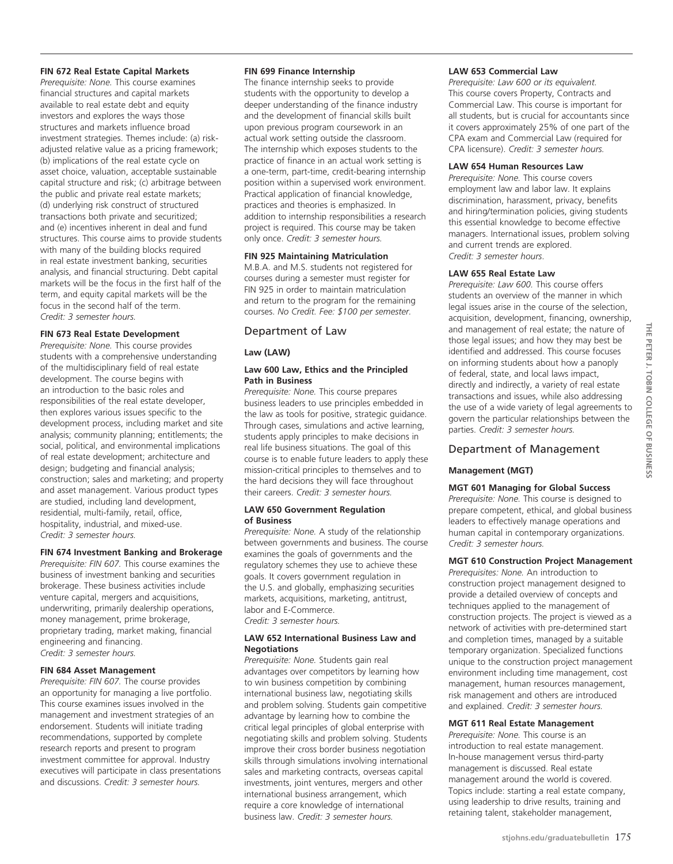# **FIN 672 Real Estate Capital Markets**

*Prerequisite: None.* This course examines financial structures and capital markets available to real estate debt and equity investors and explores the ways those structures and markets influence broad investment strategies. Themes include: (a) riskadjusted relative value as a pricing framework; (b) implications of the real estate cycle on asset choice, valuation, acceptable sustainable capital structure and risk; (c) arbitrage between the public and private real estate markets; (d) underlying risk construct of structured transactions both private and securitized; and (e) incentives inherent in deal and fund structures. This course aims to provide students with many of the building blocks required in real estate investment banking, securities analysis, and financial structuring. Debt capital markets will be the focus in the first half of the term, and equity capital markets will be the focus in the second half of the term. *Credit: 3 semester hours.*

## **FIN 673 Real Estate Development**

*Prerequisite: None.* This course provides students with a comprehensive understanding of the multidisciplinary field of real estate development. The course begins with an introduction to the basic roles and responsibilities of the real estate developer, then explores various issues specific to the development process, including market and site analysis; community planning; entitlements; the social, political, and environmental implications of real estate development; architecture and design; budgeting and financial analysis; construction; sales and marketing; and property and asset management. Various product types are studied, including land development, residential, multi-family, retail, office, hospitality, industrial, and mixed-use. *Credit: 3 semester hours.* 

#### **FIN 674 Investment Banking and Brokerage**

*Prerequisite: FIN 607.* This course examines the business of investment banking and securities brokerage. These business activities include venture capital, mergers and acquisitions, underwriting, primarily dealership operations, money management, prime brokerage, proprietary trading, market making, financial engineering and financing. *Credit: 3 semester hours.* 

#### **FIN 684 Asset Management**

*Prerequisite: FIN 607.* The course provides an opportunity for managing a live portfolio. This course examines issues involved in the management and investment strategies of an endorsement. Students will initiate trading recommendations, supported by complete research reports and present to program investment committee for approval. Industry executives will participate in class presentations and discussions. *Credit: 3 semester hours.* 

#### **FIN 699 Finance Internship**

The finance internship seeks to provide students with the opportunity to develop a deeper understanding of the finance industry and the development of financial skills built upon previous program coursework in an actual work setting outside the classroom. The internship which exposes students to the practice of finance in an actual work setting is a one-term, part-time, credit-bearing internship position within a supervised work environment. Practical application of financial knowledge, practices and theories is emphasized. In addition to internship responsibilities a research project is required. This course may be taken only once. *Credit: 3 semester hours.* 

#### **FIN 925 Maintaining Matriculation**

M.B.A. and M.S. students not registered for courses during a semester must register for FIN 925 in order to maintain matriculation and return to the program for the remaining courses. *No Credit. Fee: \$100 per semester.*

# Department of Law

#### **Law (LAW)**

## **Law 600 Law, Ethics and the Principled Path in Business**

*Prerequisite: None.* This course prepares business leaders to use principles embedded in the law as tools for positive, strategic guidance. Through cases, simulations and active learning, students apply principles to make decisions in real life business situations. The goal of this course is to enable future leaders to apply these mission-critical principles to themselves and to the hard decisions they will face throughout their careers. *Credit: 3 semester hours.*

#### **LAW 650 Government Regulation of Business**

*Prerequisite: None.* A study of the relationship between governments and business. The course examines the goals of governments and the regulatory schemes they use to achieve these goals. It covers government regulation in the U.S. and globally, emphasizing securities markets, acquisitions, marketing, antitrust, labor and E-Commerce.

*Credit: 3 semester hours.* 

#### **LAW 652 International Business Law and Negotiations**

*Prerequisite: None.* Students gain real advantages over competitors by learning how to win business competition by combining international business law, negotiating skills and problem solving. Students gain competitive advantage by learning how to combine the critical legal principles of global enterprise with negotiating skills and problem solving. Students improve their cross border business negotiation skills through simulations involving international sales and marketing contracts, overseas capital investments, joint ventures, mergers and other international business arrangement, which require a core knowledge of international business law. *Credit: 3 semester hours.*

#### **LAW 653 Commercial Law**

*Prerequisite: Law 600 or its equivalent.* This course covers Property, Contracts and Commercial Law. This course is important for all students, but is crucial for accountants since it covers approximately 25% of one part of the CPA exam and Commercial Law (required for CPA licensure). *Credit: 3 semester hours.* 

#### **LAW 654 Human Resources Law**

*Prerequisite: None.* This course covers employment law and labor law. It explains discrimination, harassment, privacy, benefits and hiring/termination policies, giving students this essential knowledge to become effective managers. International issues, problem solving and current trends are explored. *Credit: 3 semester hours*.

#### **LAW 655 Real Estate Law**

*Prerequisite: Law 600.* This course offers students an overview of the manner in which legal issues arise in the course of the selection, acquisition, development, financing, ownership, and management of real estate; the nature of those legal issues; and how they may best be identified and addressed. This course focuses on informing students about how a panoply of federal, state, and local laws impact, directly and indirectly, a variety of real estate transactions and issues, while also addressing the use of a wide variety of legal agreements to govern the particular relationships between the parties. *Credit: 3 semester hours.*

# Department of Management

#### **Management (MGT)**

## **MGT 601 Managing for Global Success**

*Prerequisite: None.* This course is designed to prepare competent, ethical, and global business leaders to effectively manage operations and human capital in contemporary organizations. *Credit: 3 semester hours.*

#### **MGT 610 Construction Project Management**

*Prerequisites: None.* An introduction to construction project management designed to provide a detailed overview of concepts and techniques applied to the management of construction projects. The project is viewed as a network of activities with pre-determined start and completion times, managed by a suitable temporary organization. Specialized functions unique to the construction project management environment including time management, cost management, human resources management, risk management and others are introduced and explained. *Credit: 3 semester hours.* 

## **MGT 611 Real Estate Management**

*Prerequisite: None.* This course is an introduction to real estate management. In-house management versus third-party management is discussed. Real estate management around the world is covered. Topics include: starting a real estate company, using leadership to drive results, training and retaining talent, stakeholder management,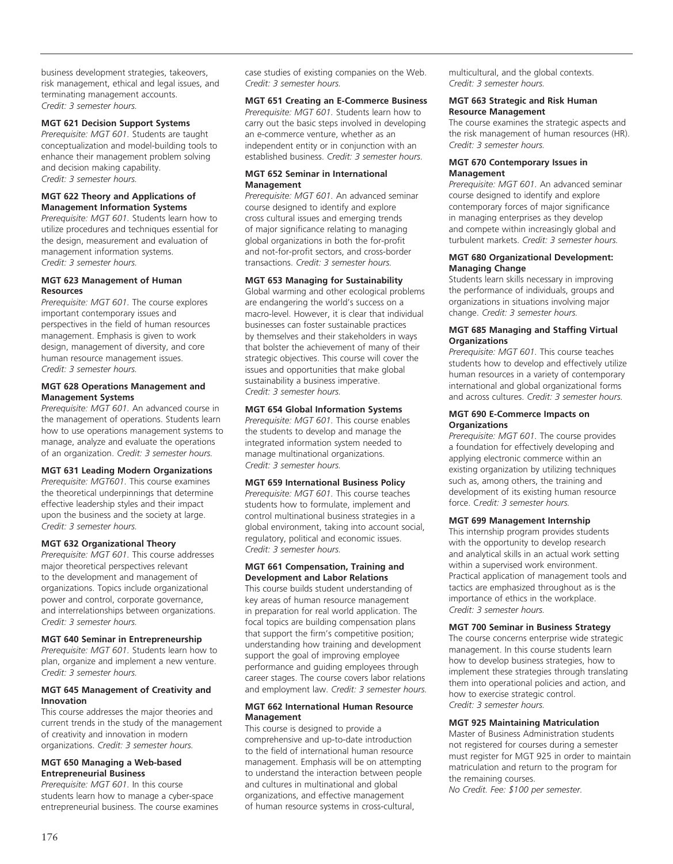business development strategies, takeovers, risk management, ethical and legal issues, and terminating management accounts. *Credit: 3 semester hours.* 

#### **MGT 621 Decision Support Systems**

*Prerequisite: MGT 601.* Students are taught conceptualization and model-building tools to enhance their management problem solving and decision making capability. *Credit: 3 semester hours.* 

#### **MGT 622 Theory and Applications of Management Information Systems**

*Prerequisite: MGT 601.* Students learn how to utilize procedures and techniques essential for the design, measurement and evaluation of management information systems. *Credit: 3 semester hours.*

#### **MGT 623 Management of Human Resources**

*Prerequisite: MGT 601.* The course explores important contemporary issues and perspectives in the field of human resources management. Emphasis is given to work design, management of diversity, and core human resource management issues. *Credit: 3 semester hours.*

#### **MGT 628 Operations Management and Management Systems**

*Prerequisite: MGT 601.* An advanced course in the management of operations. Students learn how to use operations management systems to manage, analyze and evaluate the operations of an organization. *Credit: 3 semester hours.* 

# **MGT 631 Leading Modern Organizations**

*Prerequisite: MGT601.* This course examines the theoretical underpinnings that determine effective leadership styles and their impact upon the business and the society at large. *Credit: 3 semester hours.* 

#### **MGT 632 Organizational Theory**

*Prerequisite: MGT 601.* This course addresses major theoretical perspectives relevant to the development and management of organizations. Topics include organizational power and control, corporate governance, and interrelationships between organizations. *Credit: 3 semester hours.* 

#### **MGT 640 Seminar in Entrepreneurship**

*Prerequisite: MGT 601.* Students learn how to plan, organize and implement a new venture. *Credit: 3 semester hours.* 

#### **MGT 645 Management of Creativity and Innovation**

This course addresses the major theories and current trends in the study of the management of creativity and innovation in modern organizations. *Credit: 3 semester hours.*

#### **MGT 650 Managing a Web-based Entrepreneurial Business**

*Prerequisite: MGT 601.* In this course students learn how to manage a cyber-space entrepreneurial business. The course examines case studies of existing companies on the Web. *Credit: 3 semester hours.* 

# **MGT 651 Creating an E-Commerce Business**

*Prerequisite: MGT 601.* Students learn how to carry out the basic steps involved in developing an e-commerce venture, whether as an independent entity or in conjunction with an established business. *Credit: 3 semester hours.*

## **MGT 652 Seminar in International Management**

*Prerequisite: MGT 601.* An advanced seminar course designed to identify and explore cross cultural issues and emerging trends of major significance relating to managing global organizations in both the for-profit and not-for-profit sectors, and cross-border transactions. *Credit: 3 semester hours.* 

# **MGT 653 Managing for Sustainability**

Global warming and other ecological problems are endangering the world's success on a macro-level. However, it is clear that individual businesses can foster sustainable practices by themselves and their stakeholders in ways that bolster the achievement of many of their strategic objectives. This course will cover the issues and opportunities that make global sustainability a business imperative. *Credit: 3 semester hours.*

#### **MGT 654 Global Information Systems**

*Prerequisite: MGT 601.* This course enables the students to develop and manage the integrated information system needed to manage multinational organizations. *Credit: 3 semester hours.* 

#### **MGT 659 International Business Policy**

*Prerequisite: MGT 601.* This course teaches students how to formulate, implement and control multinational business strategies in a global environment, taking into account social, regulatory, political and economic issues. *Credit: 3 semester hours.* 

#### **MGT 661 Compensation, Training and Development and Labor Relations**

This course builds student understanding of key areas of human resource management in preparation for real world application. The focal topics are building compensation plans that support the firm's competitive position; understanding how training and development support the goal of improving employee performance and guiding employees through career stages. The course covers labor relations and employment law. *Credit: 3 semester hours.* 

#### **MGT 662 International Human Resource Management**

This course is designed to provide a comprehensive and up-to-date introduction to the field of international human resource management. Emphasis will be on attempting to understand the interaction between people and cultures in multinational and global organizations, and effective management of human resource systems in cross-cultural,

multicultural, and the global contexts. *Credit: 3 semester hours.* 

#### **MGT 663 Strategic and Risk Human Resource Management**

The course examines the strategic aspects and the risk management of human resources (HR). *Credit: 3 semester hours.* 

#### **MGT 670 Contemporary Issues in Management**

*Prerequisite: MGT 601.* An advanced seminar course designed to identify and explore contemporary forces of major significance in managing enterprises as they develop and compete within increasingly global and turbulent markets. *Credit: 3 semester hours.*

## **MGT 680 Organizational Development: Managing Change**

Students learn skills necessary in improving the performance of individuals, groups and organizations in situations involving major change. *Credit: 3 semester hours.* 

#### **MGT 685 Managing and Staffing Virtual Organizations**

*Prerequisite: MGT 601.* This course teaches students how to develop and effectively utilize human resources in a variety of contemporary international and global organizational forms and across cultures. *Credit: 3 semester hours.*

#### **MGT 690 E-Commerce Impacts on Organizations**

*Prerequisite: MGT 601.* The course provides a foundation for effectively developing and applying electronic commerce within an existing organization by utilizing techniques such as, among others, the training and development of its existing human resource force. C*redit: 3 semester hours.* 

#### **MGT 699 Management Internship**

This internship program provides students with the opportunity to develop research and analytical skills in an actual work setting within a supervised work environment. Practical application of management tools and tactics are emphasized throughout as is the importance of ethics in the workplace. *Credit: 3 semester hours.* 

#### **MGT 700 Seminar in Business Strategy**

The course concerns enterprise wide strategic management. In this course students learn how to develop business strategies, how to implement these strategies through translating them into operational policies and action, and how to exercise strategic control. *Credit: 3 semester hours.* 

#### **MGT 925 Maintaining Matriculation**

Master of Business Administration students not registered for courses during a semester must register for MGT 925 in order to maintain matriculation and return to the program for the remaining courses.

*No Credit. Fee: \$100 per semester.*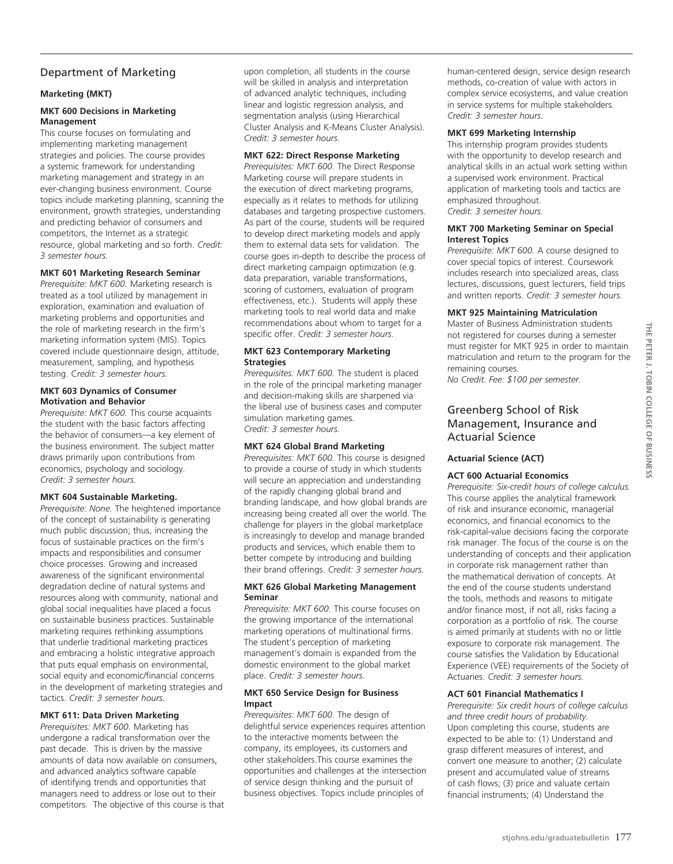# Department of Marketing

# **Marketing (MKT)**

## **MKT 600 Decisions in Marketing Management**

This course focuses on formulating and implementing marketing management strategies and policies. The course provides a systemic framework for understanding marketing management and strategy in an ever-changing business environment. Course topics include marketing planning, scanning the environment, growth strategies, understanding and predicting behavior of consumers and competitors, the Internet as a strategic resource, global marketing and so forth. *Credit: 3 semester hours.* 

# **MKT 601 Marketing Research Seminar**

*Prerequisite: MKT 600.* Marketing research is treated as a tool utilized by management in exploration, examination and evaluation of marketing problems and opportunities and the role of marketing research in the firm's marketing information system (MIS). Topics covered include questionnaire design, attitude, measurement, sampling, and hypothesis testing. C*redit: 3 semester hours.* 

#### **MKT 603 Dynamics of Consumer Motivation and Behavior**

*Prerequisite: MKT 600.* This course acquaints the student with the basic factors affecting the behavior of consumers—a key element of the business environment. The subject matter draws primarily upon contributions from economics, psychology and sociology. *Credit: 3 semester hours.* 

# **MKT 604 Sustainable Marketing.**

*Prerequisite: None.* The heightened importance of the concept of sustainability is generating much public discussion; thus, increasing the focus of sustainable practices on the firm's impacts and responsibilities and consumer choice processes. Growing and increased awareness of the significant environmental degradation decline of natural systems and resources along with community, national and global social inequalities have placed a focus on sustainable business practices. Sustainable marketing requires rethinking assumptions that underlie traditional marketing practices and embracing a holistic integrative approach that puts equal emphasis on environmental, social equity and economic/financial concerns in the development of marketing strategies and tactics. *Credit: 3 semester hours.*

# **MKT 611: Data Driven Marketing**

*Prerequisites: MKT 600.* Marketing has undergone a radical transformation over the past decade. This is driven by the massive amounts of data now available on consumers, and advanced analytics software capable of identifying trends and opportunities that managers need to address or lose out to their competitors. The objective of this course is that upon completion, all students in the course will be skilled in analysis and interpretation of advanced analytic techniques, including linear and logistic regression analysis, and segmentation analysis (using Hierarchical Cluster Analysis and K-Means Cluster Analysis). *Credit: 3 semester hours.* 

## **MKT 622: Direct Response Marketing**

*Prerequisites: MKT 600.* The Direct Response Marketing course will prepare students in the execution of direct marketing programs, especially as it relates to methods for utilizing databases and targeting prospective customers. As part of the course, students will be required to develop direct marketing models and apply them to external data sets for validation. The course goes in-depth to describe the process of direct marketing campaign optimization (e.g. data preparation, variable transformations, scoring of customers, evaluation of program effectiveness, etc.). Students will apply these marketing tools to real world data and make recommendations about whom to target for a specific offer. *Credit: 3 semester hours.* 

## **MKT 623 Contemporary Marketing Strategies**

*Prerequisites: MKT 600.* The student is placed in the role of the principal marketing manager and decision-making skills are sharpened via the liberal use of business cases and computer simulation marketing games. *Credit: 3 semester hours.* 

# **MKT 624 Global Brand Marketing**

*Prerequisites: MKT 600.* This course is designed to provide a course of study in which students will secure an appreciation and understanding of the rapidly changing global brand and branding landscape, and how global brands are increasing being created all over the world. The challenge for players in the global marketplace is increasingly to develop and manage branded products and services, which enable them to better compete by introducing and building their brand offerings. *Credit: 3 semester hours.*

#### **MKT 626 Global Marketing Management Seminar**

*Prerequisite: MKT 600.* This course focuses on the growing importance of the international marketing operations of multinational firms. The student's perception of marketing management's domain is expanded from the domestic environment to the global market place. *Credit: 3 semester hours.* 

## **MKT 650 Service Design for Business Impact**

*Prerequisites: MKT 600.* The design of delightful service experiences requires attention to the interactive moments between the company, its employees, its customers and other stakeholders.This course examines the opportunities and challenges at the intersection of service design thinking and the pursuit of business objectives. Topics include principles of

human-centered design, service design research methods, co-creation of value with actors in complex service ecosystems, and value creation in service systems for multiple stakeholders. *Credit: 3 semester hours.*

# **MKT 699 Marketing Internship**

This internship program provides students with the opportunity to develop research and analytical skills in an actual work setting within a supervised work environment. Practical application of marketing tools and tactics are emphasized throughout. *Credit: 3 semester hours.*

#### **MKT 700 Marketing Seminar on Special Interest Topics**

*Prerequisite: MKT 600.* A course designed to cover special topics of interest. Coursework includes research into specialized areas, class lectures, discussions, guest lecturers, field trips and written reports. *Credit: 3 semester hours.* 

# **MKT 925 Maintaining Matriculation**

Master of Business Administration students not registered for courses during a semester must register for MKT 925 in order to maintain matriculation and return to the program for the remaining courses.

*No Credit. Fee: \$100 per semester.* 

# Greenberg School of Risk Management, Insurance and Actuarial Science

#### **Actuarial Science (ACT)**

# **ACT 600 Actuarial Economics**

*Prerequisite: Six-credit hours of college calculus.*  This course applies the analytical framework of risk and insurance economic, managerial economics, and financial economics to the risk-capital-value decisions facing the corporate risk manager. The focus of the course is on the understanding of concepts and their application in corporate risk management rather than the mathematical derivation of concepts. At the end of the course students understand the tools, methods and reasons to mitigate and/or finance most, if not all, risks facing a corporation as a portfolio of risk. The course is aimed primarily at students with no or little exposure to corporate risk management. The course satisfies the Validation by Educational Experience (VEE) requirements of the Society of Actuaries. *Credit: 3 semester hours.* 

# **ACT 601 Financial Mathematics I**

*Prerequisite: Six credit hours of college calculus and three credit hours of probability.*  Upon completing this course, students are expected to be able to: (1) Understand and grasp different measures of interest, and convert one measure to another; (2) calculate present and accumulated value of streams of cash flows; (3) price and valuate certain financial instruments; (4) Understand the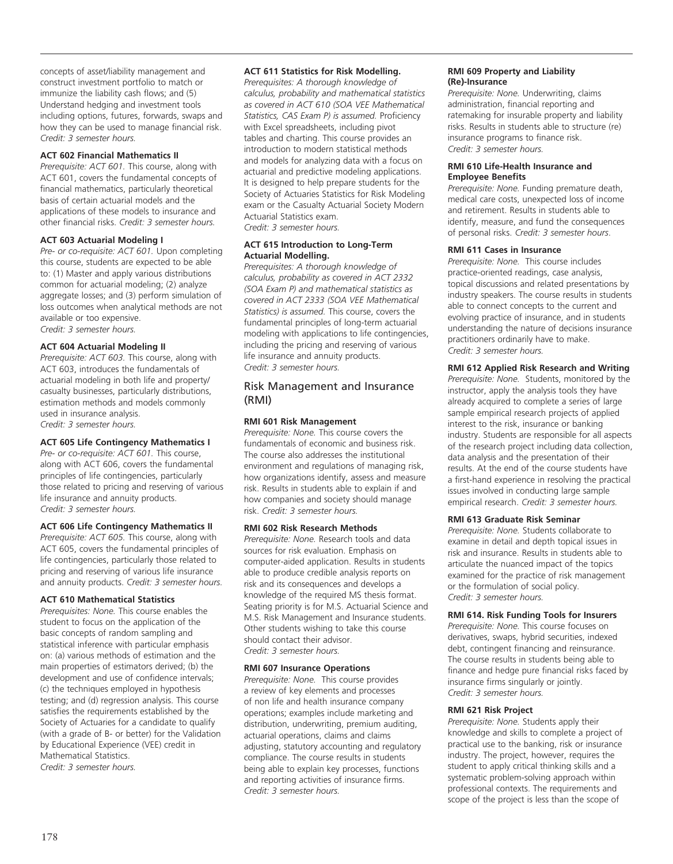concepts of asset/liability management and construct investment portfolio to match or immunize the liability cash flows; and (5) Understand hedging and investment tools including options, futures, forwards, swaps and how they can be used to manage financial risk. *Credit: 3 semester hours.* 

# **ACT 602 Financial Mathematics II**

*Prerequisite: ACT 601.* This course, along with ACT 601, covers the fundamental concepts of financial mathematics, particularly theoretical basis of certain actuarial models and the applications of these models to insurance and other financial risks. *Credit: 3 semester hours.*

#### **ACT 603 Actuarial Modeling I**

*Pre- or co-requisite: ACT 601.* Upon completing this course, students are expected to be able to: (1) Master and apply various distributions common for actuarial modeling; (2) analyze aggregate losses; and (3) perform simulation of loss outcomes when analytical methods are not available or too expensive. *Credit: 3 semester hours.* 

## **ACT 604 Actuarial Modeling II**

*Prerequisite: ACT 603.* This course, along with ACT 603, introduces the fundamentals of actuarial modeling in both life and property/ casualty businesses, particularly distributions, estimation methods and models commonly used in insurance analysis. *Credit: 3 semester hours.* 

# **ACT 605 Life Contingency Mathematics I**

*Pre- or co-requisite: ACT 601.* This course, along with ACT 606, covers the fundamental principles of life contingencies, particularly those related to pricing and reserving of various life insurance and annuity products. *Credit: 3 semester hours.* 

#### **ACT 606 Life Contingency Mathematics II**

*Prerequisite: ACT 605.* This course, along with ACT 605, covers the fundamental principles of life contingencies, particularly those related to pricing and reserving of various life insurance and annuity products. *Credit: 3 semester hours.* 

#### **ACT 610 Mathematical Statistics**

*Prerequisites: None.* This course enables the student to focus on the application of the basic concepts of random sampling and statistical inference with particular emphasis on: (a) various methods of estimation and the main properties of estimators derived; (b) the development and use of confidence intervals; (c) the techniques employed in hypothesis testing; and (d) regression analysis. This course satisfies the requirements established by the Society of Actuaries for a candidate to qualify (with a grade of B- or better) for the Validation by Educational Experience (VEE) credit in Mathematical Statistics. *Credit: 3 semester hours.*

## **ACT 611 Statistics for Risk Modelling.**

*Prerequisites: A thorough knowledge of calculus, probability and mathematical statistics as covered in ACT 610 (SOA VEE Mathematical Statistics, CAS Exam P) is assumed.* Proficiency with Excel spreadsheets, including pivot tables and charting. This course provides an introduction to modern statistical methods and models for analyzing data with a focus on actuarial and predictive modeling applications. It is designed to help prepare students for the Society of Actuaries Statistics for Risk Modeling exam or the Casualty Actuarial Society Modern Actuarial Statistics exam. *Credit: 3 semester hours.*

#### **ACT 615 Introduction to Long-Term Actuarial Modelling.**

*Prerequisites: A thorough knowledge of calculus, probability as covered in ACT 2332 (SOA Exam P) and mathematical statistics as covered in ACT 2333 (SOA VEE Mathematical Statistics) is assumed.* This course, covers the fundamental principles of long-term actuarial modeling with applications to life contingencies, including the pricing and reserving of various life insurance and annuity products. *Credit: 3 semester hours.*

# Risk Management and Insurance (RMI)

## **RMI 601 Risk Management**

*Prerequisite: None.* This course covers the fundamentals of economic and business risk. The course also addresses the institutional environment and regulations of managing risk, how organizations identify, assess and measure risk. Results in students able to explain if and how companies and society should manage risk. *Credit: 3 semester hours.*

#### **RMI 602 Risk Research Methods**

*Prerequisite: None.* Research tools and data sources for risk evaluation. Emphasis on computer-aided application. Results in students able to produce credible analysis reports on risk and its consequences and develops a knowledge of the required MS thesis format. Seating priority is for M.S. Actuarial Science and M.S. Risk Management and Insurance students. Other students wishing to take this course should contact their advisor. *Credit: 3 semester hours.* 

## **RMI 607 Insurance Operations**

*Prerequisite: None.* This course provides a review of key elements and processes of non life and health insurance company operations; examples include marketing and distribution, underwriting, premium auditing, actuarial operations, claims and claims adjusting, statutory accounting and regulatory compliance. The course results in students being able to explain key processes, functions and reporting activities of insurance firms. *Credit: 3 semester hours.*

## **RMI 609 Property and Liability (Re)-Insurance**

*Prerequisite: None.* Underwriting, claims administration, financial reporting and ratemaking for insurable property and liability risks. Results in students able to structure (re) insurance programs to finance risk. *Credit: 3 semester hours.*

#### **RMI 610 Life-Health Insurance and Employee Benefits**

*Prerequisite: None.* Funding premature death, medical care costs, unexpected loss of income and retirement. Results in students able to identify, measure, and fund the consequences of personal risks. *Credit: 3 semester hours*.

#### **RMI 611 Cases in Insurance**

*Prerequisite: None.* This course includes practice-oriented readings, case analysis, topical discussions and related presentations by industry speakers. The course results in students able to connect concepts to the current and evolving practice of insurance, and in students understanding the nature of decisions insurance practitioners ordinarily have to make. *Credit: 3 semester hours.*

# **RMI 612 Applied Risk Research and Writing**

*Prerequisite: None.* Students, monitored by the instructor, apply the analysis tools they have already acquired to complete a series of large sample empirical research projects of applied interest to the risk, insurance or banking industry. Students are responsible for all aspects of the research project including data collection, data analysis and the presentation of their results. At the end of the course students have a first-hand experience in resolving the practical issues involved in conducting large sample empirical research. *Credit: 3 semester hours.*

## **RMI 613 Graduate Risk Seminar**

*Prerequisite: None.* Students collaborate to examine in detail and depth topical issues in risk and insurance. Results in students able to articulate the nuanced impact of the topics examined for the practice of risk management or the formulation of social policy. *Credit: 3 semester hours.*

## **RMI 614. Risk Funding Tools for Insurers**

*Prerequisite: None.* This course focuses on derivatives, swaps, hybrid securities, indexed debt, contingent financing and reinsurance. The course results in students being able to finance and hedge pure financial risks faced by insurance firms singularly or jointly. *Credit: 3 semester hours.*

#### **RMI 621 Risk Project**

*Prerequisite: None.* Students apply their knowledge and skills to complete a project of practical use to the banking, risk or insurance industry. The project, however, requires the student to apply critical thinking skills and a systematic problem-solving approach within professional contexts. The requirements and scope of the project is less than the scope of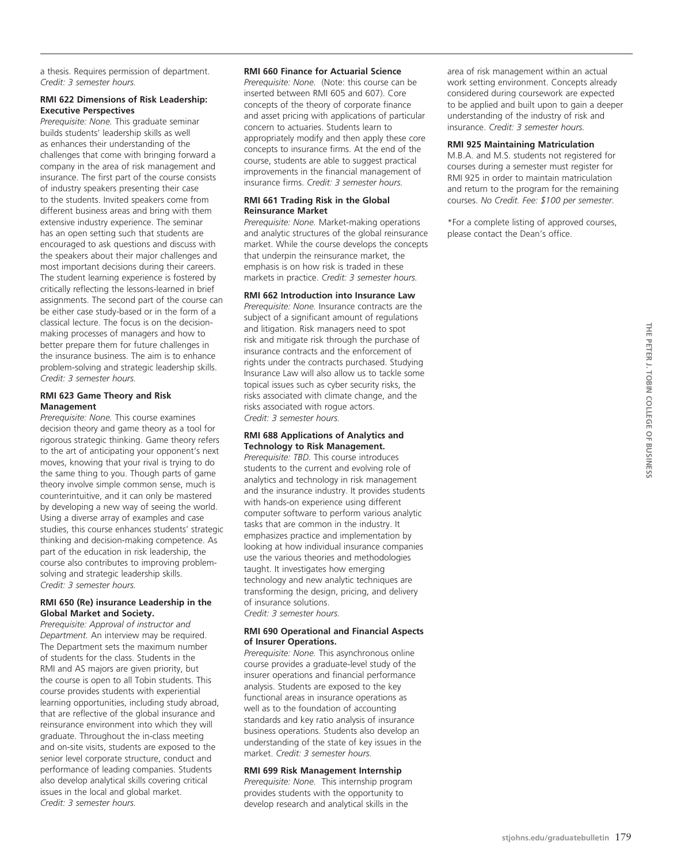a thesis. Requires permission of department. *Credit: 3 semester hours.*

## **RMI 622 Dimensions of Risk Leadership: Executive Perspectives**

*Prerequisite: None.* This graduate seminar builds students' leadership skills as well as enhances their understanding of the challenges that come with bringing forward a company in the area of risk management and insurance. The first part of the course consists of industry speakers presenting their case to the students. Invited speakers come from different business areas and bring with them extensive industry experience. The seminar has an open setting such that students are encouraged to ask questions and discuss with the speakers about their major challenges and most important decisions during their careers. The student learning experience is fostered by critically reflecting the lessons-learned in brief assignments. The second part of the course can be either case study-based or in the form of a classical lecture. The focus is on the decisionmaking processes of managers and how to better prepare them for future challenges in the insurance business. The aim is to enhance problem-solving and strategic leadership skills. *Credit: 3 semester hours.*

## **RMI 623 Game Theory and Risk Management**

*Prerequisite: None.* This course examines decision theory and game theory as a tool for rigorous strategic thinking. Game theory refers to the art of anticipating your opponent's next moves, knowing that your rival is trying to do the same thing to you. Though parts of game theory involve simple common sense, much is counterintuitive, and it can only be mastered by developing a new way of seeing the world. Using a diverse array of examples and case studies, this course enhances students' strategic thinking and decision-making competence. As part of the education in risk leadership, the course also contributes to improving problemsolving and strategic leadership skills. *Credit: 3 semester hours.*

# **RMI 650 (Re) insurance Leadership in the Global Market and Society.**

*Prerequisite: Approval of instructor and Department.* An interview may be required. The Department sets the maximum number of students for the class. Students in the RMI and AS majors are given priority, but the course is open to all Tobin students. This course provides students with experiential learning opportunities, including study abroad, that are reflective of the global insurance and reinsurance environment into which they will graduate. Throughout the in-class meeting and on-site visits, students are exposed to the senior level corporate structure, conduct and performance of leading companies. Students also develop analytical skills covering critical issues in the local and global market. *Credit: 3 semester hours.*

#### **RMI 660 Finance for Actuarial Science**

*Prerequisite: None.* (Note: this course can be inserted between RMI 605 and 607). Core concepts of the theory of corporate finance and asset pricing with applications of particular concern to actuaries. Students learn to appropriately modify and then apply these core concepts to insurance firms. At the end of the course, students are able to suggest practical improvements in the financial management of insurance firms. *Credit: 3 semester hours.* 

#### **RMI 661 Trading Risk in the Global Reinsurance Market**

*Prerequisite: None.* Market-making operations and analytic structures of the global reinsurance market. While the course develops the concepts that underpin the reinsurance market, the emphasis is on how risk is traded in these markets in practice. *Credit: 3 semester hours.*

# **RMI 662 Introduction into Insurance Law**

*Prerequisite: None.* Insurance contracts are the subject of a significant amount of regulations and litigation. Risk managers need to spot risk and mitigate risk through the purchase of insurance contracts and the enforcement of rights under the contracts purchased. Studying Insurance Law will also allow us to tackle some topical issues such as cyber security risks, the risks associated with climate change, and the risks associated with rogue actors. *Credit: 3 semester hours.* 

#### **RMI 688 Applications of Analytics and Technology to Risk Management.**

*Prerequisite: TBD.* This course introduces students to the current and evolving role of analytics and technology in risk management and the insurance industry. It provides students with hands-on experience using different computer software to perform various analytic tasks that are common in the industry. It emphasizes practice and implementation by looking at how individual insurance companies use the various theories and methodologies taught. It investigates how emerging technology and new analytic techniques are transforming the design, pricing, and delivery of insurance solutions.

*Credit: 3 semester hours.*

#### **RMI 690 Operational and Financial Aspects of Insurer Operations.**

*Prerequisite: None.* This asynchronous online course provides a graduate-level study of the insurer operations and financial performance analysis. Students are exposed to the key functional areas in insurance operations as well as to the foundation of accounting standards and key ratio analysis of insurance business operations. Students also develop an understanding of the state of key issues in the market. *Credit: 3 semester hours.*

# **RMI 699 Risk Management Internship**

*Prerequisite: None.* This internship program provides students with the opportunity to develop research and analytical skills in the

area of risk management within an actual work setting environment. Concepts already considered during coursework are expected to be applied and built upon to gain a deeper understanding of the industry of risk and insurance. *Credit: 3 semester hours.*

# **RMI 925 Maintaining Matriculation**

M.B.A. and M.S. students not registered for courses during a semester must register for RMI 925 in order to maintain matriculation and return to the program for the remaining courses. *No Credit. Fee: \$100 per semester.*

\*For a complete listing of approved courses, please contact the Dean's office.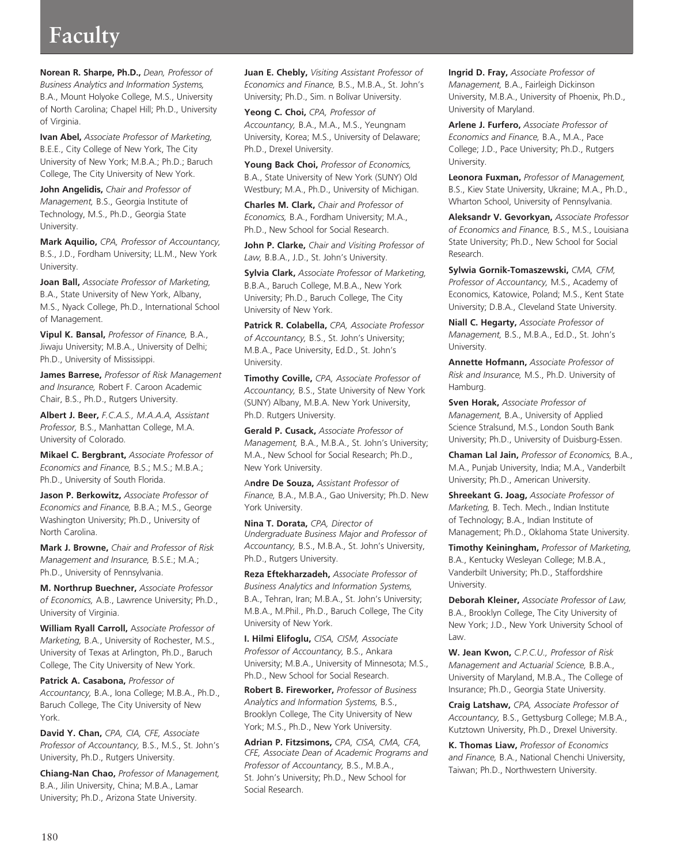# **Faculty**

**Norean R. Sharpe, Ph.D.,** *Dean, Professor of Business Analytics and Information Systems,* B.A., Mount Holyoke College, M.S., University of North Carolina; Chapel Hill; Ph.D., University of Virginia.

**Ivan Abel,** *Associate Professor of Marketing,* B.E.E., City College of New York, The City University of New York; M.B.A.; Ph.D.; Baruch College, The City University of New York.

**John Angelidis,** *Chair and Professor of Management,* B.S., Georgia Institute of Technology, M.S., Ph.D., Georgia State University.

**Mark Aquilio,** *CPA, Professor of Accountancy,* B.S., J.D., Fordham University; LL.M., New York University.

**Joan Ball,** *Associate Professor of Marketing,* B.A., State University of New York, Albany, M.S., Nyack College, Ph.D., International School of Management.

**Vipul K. Bansal,** *Professor of Finance,* B.A., Jiwaju University; M.B.A., University of Delhi; Ph.D., University of Mississippi.

**James Barrese,** *Professor of Risk Management and Insurance,* Robert F. Caroon Academic Chair, B.S., Ph.D., Rutgers University.

**Albert J. Beer,** *F.C.A.S., M.A.A.A, Assistant Professor,* B.S., Manhattan College, M.A. University of Colorado.

**Mikael C. Bergbrant,** *Associate Professor of Economics and Finance,* B.S.; M.S.; M.B.A.; Ph.D., University of South Florida.

**Jason P. Berkowitz,** *Associate Professor of Economics and Finance,* B.B.A.; M.S., George Washington University; Ph.D., University of North Carolina.

**Mark J. Browne,** *Chair and Professor of Risk Management and Insurance,* B.S.E.; M.A.; Ph.D., University of Pennsylvania.

**M. Northrup Buechner,** *Associate Professor of Economics,* A.B., Lawrence University; Ph.D., University of Virginia.

**William Ryall Carroll,** A*ssociate Professor of Marketing,* B.A., University of Rochester, M.S., University of Texas at Arlington, Ph.D., Baruch College, The City University of New York.

**Patrick A. Casabona,** *Professor of Accountancy,* B.A., Iona College; M.B.A., Ph.D., Baruch College, The City University of New York.

**David Y. Chan,** *CPA, CIA, CFE, Associate Professor of Accountancy,* B.S., M.S., St. John's University, Ph.D., Rutgers University.

**Chiang-Nan Chao,** *Professor of Management,* B.A., Jilin University, China; M.B.A., Lamar University; Ph.D., Arizona State University.

**Juan E. Chebly,** *Visiting Assistant Professor of Economics and Finance,* B.S., M.B.A., St. John's University; Ph.D., Sim. n Bolívar University.

**Yeong C. Choi,** *CPA, Professor of Accountancy,* B.A., M.A., M.S., Yeungnam University, Korea; M.S., University of Delaware; Ph.D., Drexel University.

**Young Back Choi,** *Professor of Economics,* B.A., State University of New York (SUNY) Old Westbury; M.A., Ph.D., University of Michigan.

**Charles M. Clark,** *Chair and Professor of Economics,* B.A., Fordham University; M.A., Ph.D., New School for Social Research.

**John P. Clarke,** *Chair and Visiting Professor of Law,* B.B.A., J.D., St. John's University.

**Sylvia Clark,** *Associate Professor of Marketing,* B.B.A., Baruch College, M.B.A., New York University; Ph.D., Baruch College, The City University of New York.

**Patrick R. Colabella,** *CPA, Associate Professor of Accountancy,* B.S., St. John's University; M.B.A., Pace University, Ed.D., St. John's University.

**Timothy Coville,** *CPA, Associate Professor of Accountancy,* B.S., State University of New York (SUNY) Albany, M.B.A. New York University, Ph.D. Rutgers University.

**Gerald P. Cusack,** *Associate Professor of Management,* B.A., M.B.A., St. John's University; M.A., New School for Social Research; Ph.D., New York University.

A**ndre De Souza,** *Assistant Professor of Finance,* B.A., M.B.A., Gao University; Ph.D. New York University.

**Nina T. Dorata,** *CPA, Director of Undergraduate Business Major and Professor of Accountancy,* B.S., M.B.A., St. John's University, Ph.D., Rutgers University.

**Reza Eftekharzadeh,** *Associate Professor of Business Analytics and Information Systems,* B.A., Tehran, Iran; M.B.A., St. John's University; M.B.A., M.Phil., Ph.D., Baruch College, The City University of New York.

**I. Hilmi Elifoglu,** *CISA, CISM, Associate Professor of Accountancy,* B.S., Ankara University; M.B.A., University of Minnesota; M.S., Ph.D., New School for Social Research.

**Robert B. Fireworker,** *Professor of Business Analytics and Information Systems,* B.S., Brooklyn College, The City University of New York; M.S., Ph.D., New York University.

**Adrian P. Fitzsimons,** *CPA, CISA, CMA, CFA, CFE, Associate Dean of Academic Programs and Professor of Accountancy,* B.S., M.B.A., St. John's University; Ph.D., New School for Social Research.

**Ingrid D. Fray,** *Associate Professor of Management,* B.A., Fairleigh Dickinson University, M.B.A., University of Phoenix, Ph.D., University of Maryland.

**Arlene J. Furfero,** *Associate Professor of Economics and Finance,* B.A., M.A., Pace College; J.D., Pace University; Ph.D., Rutgers University.

**Leonora Fuxman,** *Professor of Management,* B.S., Kiev State University, Ukraine; M.A., Ph.D., Wharton School, University of Pennsylvania.

**Aleksandr V. Gevorkyan,** *Associate Professor of Economics and Finance,* B.S., M.S., Louisiana State University; Ph.D., New School for Social Research.

**Sylwia Gornik-Tomaszewski,** *CMA, CFM, Professor of Accountancy,* M.S., Academy of Economics, Katowice, Poland; M.S., Kent State University; D.B.A., Cleveland State University.

**Niall C. Hegarty,** *Associate Professor of Management,* B.S., M.B.A., Ed.D., St. John's University.

**Annette Hofmann,** *Associate Professor of Risk and Insurance,* M.S., Ph.D. University of Hamburg.

**Sven Horak,** *Associate Professor of Management,* B.A., University of Applied Science Stralsund, M.S., London South Bank University; Ph.D., University of Duisburg-Essen.

**Chaman Lal Jain,** *Professor of Economics,* B.A., M.A., Punjab University, India; M.A., Vanderbilt University; Ph.D., American University.

**Shreekant G. Joag,** *Associate Professor of Marketing,* B. Tech. Mech., Indian Institute of Technology; B.A., Indian Institute of Management; Ph.D., Oklahoma State University.

**Timothy Keiningham,** *Professor of Marketing,* B.A., Kentucky Wesleyan College; M.B.A., Vanderbilt University; Ph.D., Staffordshire University.

**Deborah Kleiner,** *Associate Professor of Law,* B.A., Brooklyn College, The City University of New York; J.D., New York University School of Law.

**W. Jean Kwon,** *C.P.C.U., Professor of Risk Management and Actuarial Science,* B.B.A., University of Maryland, M.B.A., The College of Insurance; Ph.D., Georgia State University.

**Craig Latshaw,** *CPA, Associate Professor of Accountancy,* B.S., Gettysburg College; M.B.A., Kutztown University, Ph.D., Drexel University.

**K. Thomas Liaw,** *Professor of Economics and Finance,* B.A., National Chenchi University, Taiwan; Ph.D., Northwestern University.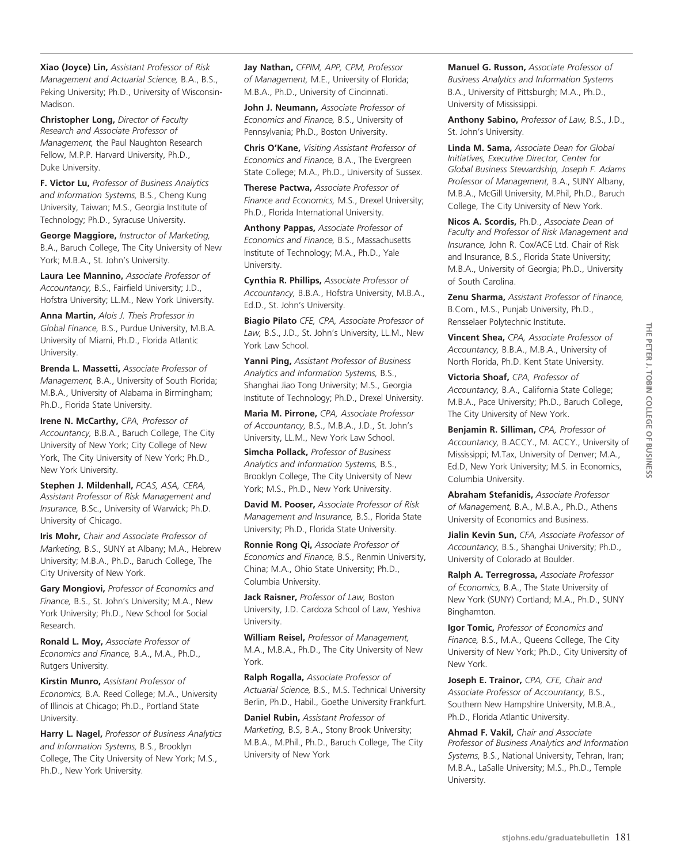**Xiao (Joyce) Lin,** *Assistant Professor of Risk Management and Actuarial Science,* B.A., B.S., Peking University; Ph.D., University of Wisconsin-Madison.

**Christopher Long,** *Director of Faculty Research and Associate Professor of Management,* the Paul Naughton Research Fellow, M.P.P. Harvard University, Ph.D., Duke University.

**F. Victor Lu,** *Professor of Business Analytics and Information Systems,* B.S., Cheng Kung University, Taiwan; M.S., Georgia Institute of Technology; Ph.D., Syracuse University.

**George Maggiore,** *Instructor of Marketing,* B.A., Baruch College, The City University of New York; M.B.A., St. John's University.

**Laura Lee Mannino,** *Associate Professor of Accountancy,* B.S., Fairfield University; J.D., Hofstra University; LL.M., New York University.

**Anna Martin,** *Alois J. Theis Professor in Global Finance,* B.S., Purdue University, M.B.A. University of Miami, Ph.D., Florida Atlantic University.

**Brenda L. Massetti,** *Associate Professor of Management,* B.A., University of South Florida; M.B.A., University of Alabama in Birmingham; Ph.D., Florida State University.

**Irene N. McCarthy,** *CPA, Professor of Accountancy,* B.B.A., Baruch College, The City University of New York; City College of New York, The City University of New York; Ph.D., New York University.

**Stephen J. Mildenhall,** *FCAS, ASA, CERA, Assistant Professor of Risk Management and Insurance,* B.Sc., University of Warwick; Ph.D. University of Chicago.

**Iris Mohr,** *Chair and Associate Professor of Marketing,* B.S., SUNY at Albany; M.A., Hebrew University; M.B.A., Ph.D., Baruch College, The City University of New York.

**Gary Mongiovi,** *Professor of Economics and Finance,* B.S., St. John's University; M.A., New York University; Ph.D., New School for Social Research.

**Ronald L. Moy,** *Associate Professor of Economics and Finance,* B.A., M.A., Ph.D., Rutgers University.

**Kirstin Munro,** *Assistant Professor of Economics,* B.A. Reed College; M.A., University of Illinois at Chicago; Ph.D., Portland State University.

**Harry L. Nagel,** *Professor of Business Analytics and Information Systems,* B.S., Brooklyn College, The City University of New York; M.S., Ph.D., New York University.

**Jay Nathan,** *CFPIM, APP, CPM, Professor of Management,* M.E., University of Florida; M.B.A., Ph.D., University of Cincinnati.

**John J. Neumann,** *Associate Professor of Economics and Finance,* B.S., University of Pennsylvania; Ph.D., Boston University.

**Chris O'Kane,** *Visiting Assistant Professor of Economics and Finance,* B.A., The Evergreen State College; M.A., Ph.D., University of Sussex.

**Therese Pactwa,** *Associate Professor of Finance and Economics,* M.S., Drexel University; Ph.D., Florida International University.

**Anthony Pappas,** *Associate Professor of Economics and Finance,* B.S., Massachusetts Institute of Technology; M.A., Ph.D., Yale University.

**Cynthia R. Phillips,** *Associate Professor of Accountancy,* B.B.A., Hofstra University, M.B.A., Ed.D., St. John's University.

**Biagio Pilato** *CFE, CPA, Associate Professor of Law,* B.S., J.D., St. John's University, LL.M., New York Law School.

**Yanni Ping,** *Assistant Professor of Business Analytics and Information Systems,* B.S., Shanghai Jiao Tong University; M.S., Georgia Institute of Technology; Ph.D., Drexel University.

**Maria M. Pirrone,** *CPA, Associate Professor of Accountancy,* B.S., M.B.A., J.D., St. John's University, LL.M., New York Law School.

**Simcha Pollack,** *Professor of Business Analytics and Information Systems,* B.S., Brooklyn College, The City University of New York; M.S., Ph.D., New York University.

**David M. Pooser,** *Associate Professor of Risk Management and Insurance,* B.S., Florida State University; Ph.D., Florida State University.

**Ronnie Rong Qi,** *Associate Professor of Economics and Finance,* B.S., Renmin University, China; M.A., Ohio State University; Ph.D., Columbia University.

**Jack Raisner,** *Professor of Law,* Boston University, J.D. Cardoza School of Law, Yeshiva University.

**William Reisel,** *Professor of Management,* M.A., M.B.A., Ph.D., The City University of New York.

**Ralph Rogalla,** *Associate Professor of Actuarial Science,* B.S., M.S. Technical University Berlin, Ph.D., Habil., Goethe University Frankfurt.

**Daniel Rubin,** *Assistant Professor of Marketing,* B.S, B.A., Stony Brook University; M.B.A., M.Phil., Ph.D., Baruch College, The City University of New York

**Manuel G. Russon,** *Associate Professor of Business Analytics and Information Systems* B.A., University of Pittsburgh; M.A., Ph.D., University of Mississippi.

**Anthony Sabino,** *Professor of Law,* B.S., J.D., St. John's University.

**Linda M. Sama,** *Associate Dean for Global Initiatives, Executive Director, Center for Global Business Stewardship, Joseph F. Adams Professor of Management,* B.A., SUNY Albany, M.B.A., McGill University, M.Phil, Ph.D., Baruch College, The City University of New York.

**Nicos A. Scordis,** Ph.D., *Associate Dean of Faculty and Professor of Risk Management and Insurance,* John R. Cox/ACE Ltd. Chair of Risk and Insurance, B.S., Florida State University; M.B.A., University of Georgia; Ph.D., University of South Carolina.

**Zenu Sharma,** *Assistant Professor of Finance,* B.Com., M.S., Punjab University, Ph.D., Rensselaer Polytechnic Institute.

**Vincent Shea,** *CPA, Associate Professor of Accountancy,* B.B.A., M.B.A., University of North Florida, Ph.D. Kent State University.

**Victoria Shoaf,** *CPA, Professor of Accountancy,* B.A., California State College; M.B.A., Pace University; Ph.D., Baruch College, The City University of New York.

**Benjamin R. Silliman,** *CPA, Professor of Accountancy,* B.ACCY., M. ACCY., University of Mississippi; M.Tax, University of Denver; M.A., Ed.D, New York University; M.S. in Economics, Columbia University.

**Abraham Stefanidis,** *Associate Professor of Management,* B.A., M.B.A., Ph.D., Athens University of Economics and Business.

**Jialin Kevin Sun,** *CFA, Associate Professor of Accountancy,* B.S., Shanghai University; Ph.D., University of Colorado at Boulder.

**Ralph A. Terregrossa,** *Associate Professor of Economics,* B.A., The State University of New York (SUNY) Cortland; M.A., Ph.D., SUNY Binghamton.

**Igor Tomic,** *Professor of Economics and Finance,* B.S., M.A., Queens College, The City University of New York; Ph.D., City University of New York.

**Joseph E. Trainor,** *CPA, CFE, Chair and Associate Professor of Accountancy,* B.S., Southern New Hampshire University, M.B.A., Ph.D., Florida Atlantic University.

**Ahmad F. Vakil,** *Chair and Associate Professor of Business Analytics and Information Systems,* B.S., National University, Tehran, Iran; M.B.A., LaSalle University; M.S., Ph.D., Temple University.